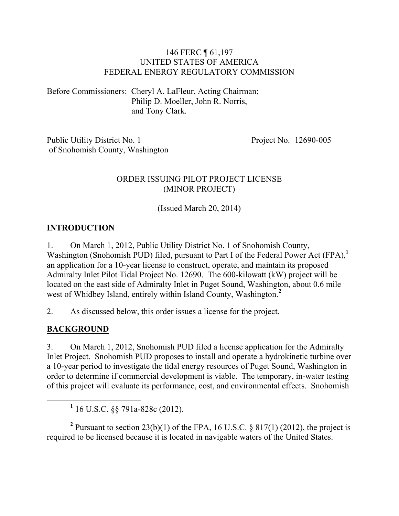#### 146 FERC ¶ 61,197 UNITED STATES OF AMERICA FEDERAL ENERGY REGULATORY COMMISSION

Before Commissioners: Cheryl A. LaFleur, Acting Chairman; Philip D. Moeller, John R. Norris, and Tony Clark.

Public Utility District No. 1 of Snohomish County, Washington Project No. 12690-005

#### ORDER ISSUING PILOT PROJECT LICENSE (MINOR PROJECT)

(Issued March 20, 2014)

#### **INTRODUCTION**

1. On March 1, 2012, Public Utility District No. 1 of Snohomish County, Washington (Snohomish PUD) filed, pursuant to Part I of the Federal Power Act (FPA),<sup>1</sup> an application for a 10-year license to construct, operate, and maintain its proposed Admiralty Inlet Pilot Tidal Project No. 12690. The 600-kilowatt (kW) project will be located on the east side of Admiralty Inlet in Puget Sound, Washington, about 0.6 mile west of Whidbey Island, entirely within Island County, Washington.**<sup>2</sup>**

2. As discussed below, this order issues a license for the project.

#### **BACKGROUND**

3. On March 1, 2012, Snohomish PUD filed a license application for the Admiralty Inlet Project. Snohomish PUD proposes to install and operate a hydrokinetic turbine over a 10-year period to investigate the tidal energy resources of Puget Sound, Washington in order to determine if commercial development is viable. The temporary, in-water testing of this project will evaluate its performance, cost, and environmental effects. Snohomish

<sup>2</sup> Pursuant to section 23(b)(1) of the FPA, 16 U.S.C.  $\S$  817(1) (2012), the project is required to be licensed because it is located in navigable waters of the United States.

**<sup>1</sup>** 16 U.S.C. §§ 791a-828c (2012).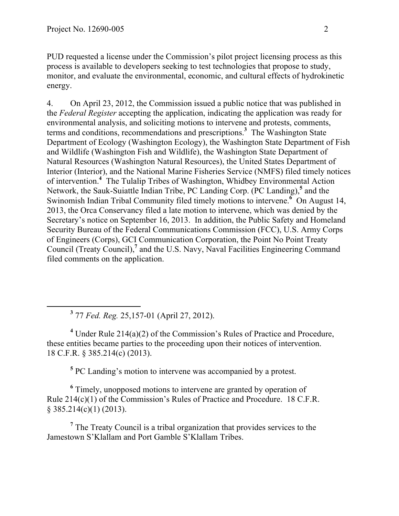PUD requested a license under the Commission's pilot project licensing process as this process is available to developers seeking to test technologies that propose to study, monitor, and evaluate the environmental, economic, and cultural effects of hydrokinetic energy.

4. On April 23, 2012, the Commission issued a public notice that was published in the *Federal Register* accepting the application, indicating the application was ready for environmental analysis, and soliciting motions to intervene and protests, comments, terms and conditions, recommendations and prescriptions.**<sup>3</sup>** The Washington State Department of Ecology (Washington Ecology), the Washington State Department of Fish and Wildlife (Washington Fish and Wildlife), the Washington State Department of Natural Resources (Washington Natural Resources), the United States Department of Interior (Interior), and the National Marine Fisheries Service (NMFS) filed timely notices of intervention.**<sup>4</sup>** The Tulalip Tribes of Washington, Whidbey Environmental Action Network, the Sauk-Suiattle Indian Tribe, PC Landing Corp. (PC Landing), **<sup>5</sup>** and the Swinomish Indian Tribal Community filed timely motions to intervene.<sup>6</sup> On August 14, 2013, the Orca Conservancy filed a late motion to intervene, which was denied by the Secretary's notice on September 16, 2013. In addition, the Public Safety and Homeland Security Bureau of the Federal Communications Commission (FCC), U.S. Army Corps of Engineers (Corps), GCI Communication Corporation, the Point No Point Treaty Council (Treaty Council),<sup>7</sup> and the U.S. Navy, Naval Facilities Engineering Command filed comments on the application.

**<sup>3</sup>** <sup>77</sup>*Fed. Reg.* 25,157-01 (April 27, 2012).

**<sup>4</sup>** Under Rule 214(a)(2) of the Commission's Rules of Practice and Procedure, these entities became parties to the proceeding upon their notices of intervention. 18 C.F.R. § 385.214(c) (2013).

**<sup>5</sup>** PC Landing's motion to intervene was accompanied by a protest.

**<sup>6</sup>** Timely, unopposed motions to intervene are granted by operation of Rule 214(c)(1) of the Commission's Rules of Practice and Procedure. 18 C.F.R.  $§$  385.214(c)(1) (2013).

**<sup>7</sup>** The Treaty Council is a tribal organization that provides services to the Jamestown S'Klallam and Port Gamble S'Klallam Tribes.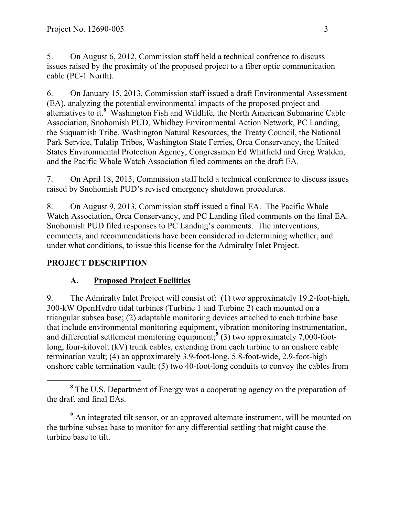5. On August 6, 2012, Commission staff held a technical confrence to discuss issues raised by the proximity of the proposed project to a fiber optic communication cable (PC-1 North).

6. On January 15, 2013, Commission staff issued a draft Environmental Assessment (EA), analyzing the potential environmental impacts of the proposed project and alternatives to it.**<sup>8</sup>** Washington Fish and Wildlife, the North American Submarine Cable Association, Snohomish PUD, Whidbey Environmental Action Network, PC Landing, the Suquamish Tribe, Washington Natural Resources, the Treaty Council, the National Park Service, Tulalip Tribes, Washington State Ferries, Orca Conservancy, the United States Environmental Protection Agency, Congressmen Ed Whitfield and Greg Walden, and the Pacific Whale Watch Association filed comments on the draft EA.

7. On April 18, 2013, Commission staff held a technical conference to discuss issues raised by Snohomish PUD's revised emergency shutdown procedures.

8. On August 9, 2013, Commission staff issued a final EA. The Pacific Whale Watch Association, Orca Conservancy, and PC Landing filed comments on the final EA. Snohomish PUD filed responses to PC Landing's comments. The interventions, comments, and recommendations have been considered in determining whether, and under what conditions, to issue this license for the Admiralty Inlet Project.

### **PROJECT DESCRIPTION**

#### **A. Proposed Project Facilities**

9. The Admiralty Inlet Project will consist of: (1) two approximately 19.2-foot-high, 300-kW OpenHydro tidal turbines (Turbine 1 and Turbine 2) each mounted on a triangular subsea base; (2) adaptable monitoring devices attached to each turbine base that include environmental monitoring equipment, vibration monitoring instrumentation, and differential settlement monitoring equipment;<sup>9</sup> (3) two approximately 7,000-footlong, four-kilovolt (kV) trunk cables, extending from each turbine to an onshore cable termination vault; (4) an approximately 3.9-foot-long, 5.8-foot-wide, 2.9-foot-high onshore cable termination vault; (5) two 40-foot-long conduits to convey the cables from

**<sup>8</sup>** The U.S. Department of Energy was a cooperating agency on the preparation of the draft and final EAs.

<sup>&</sup>lt;sup>9</sup> An integrated tilt sensor, or an approved alternate instrument, will be mounted on the turbine subsea base to monitor for any differential settling that might cause the turbine base to tilt.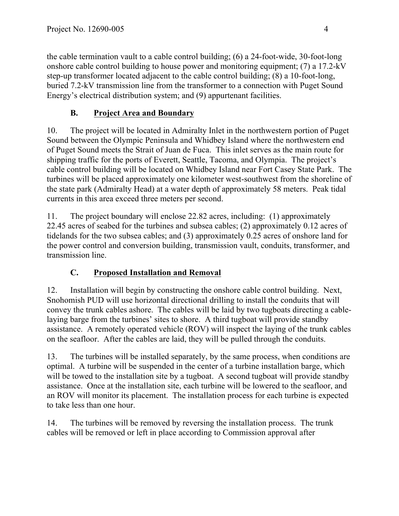the cable termination vault to a cable control building; (6) a 24-foot-wide, 30-foot-long onshore cable control building to house power and monitoring equipment; (7) a 17.2-kV step-up transformer located adjacent to the cable control building; (8) a 10-foot-long, buried 7.2-kV transmission line from the transformer to a connection with Puget Sound Energy's electrical distribution system; and (9) appurtenant facilities.

# **B. Project Area and Boundary**

10. The project will be located in Admiralty Inlet in the northwestern portion of Puget Sound between the Olympic Peninsula and Whidbey Island where the northwestern end of Puget Sound meets the Strait of Juan de Fuca. This inlet serves as the main route for shipping traffic for the ports of Everett, Seattle, Tacoma, and Olympia. The project's cable control building will be located on Whidbey Island near Fort Casey State Park. The turbines will be placed approximately one kilometer west-southwest from the shoreline of the state park (Admiralty Head) at a water depth of approximately 58 meters. Peak tidal currents in this area exceed three meters per second.

11. The project boundary will enclose 22.82 acres, including: (1) approximately 22.45 acres of seabed for the turbines and subsea cables; (2) approximately 0.12 acres of tidelands for the two subsea cables; and (3) approximately 0.25 acres of onshore land for the power control and conversion building, transmission vault, conduits, transformer, and transmission line.

# **C. Proposed Installation and Removal**

12. Installation will begin by constructing the onshore cable control building. Next, Snohomish PUD will use horizontal directional drilling to install the conduits that will convey the trunk cables ashore. The cables will be laid by two tugboats directing a cablelaying barge from the turbines' sites to shore. A third tugboat will provide standby assistance. A remotely operated vehicle (ROV) will inspect the laying of the trunk cables on the seafloor. After the cables are laid, they will be pulled through the conduits.

13. The turbines will be installed separately, by the same process, when conditions are optimal. A turbine will be suspended in the center of a turbine installation barge, which will be towed to the installation site by a tugboat. A second tugboat will provide standby assistance. Once at the installation site, each turbine will be lowered to the seafloor, and an ROV will monitor its placement. The installation process for each turbine is expected to take less than one hour.

14. The turbines will be removed by reversing the installation process. The trunk cables will be removed or left in place according to Commission approval after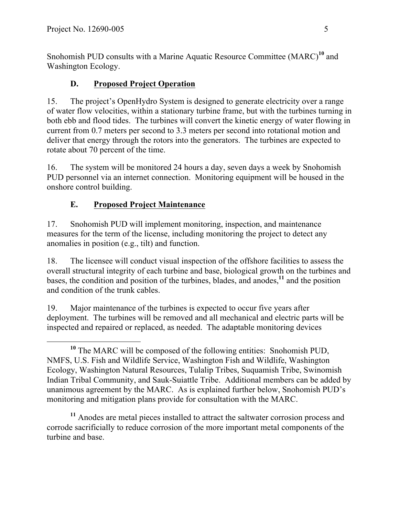Snohomish PUD consults with a Marine Aquatic Resource Committee (MARC)**<sup>10</sup>** and Washington Ecology.

### **D. Proposed Project Operation**

15. The project's OpenHydro System is designed to generate electricity over a range of water flow velocities, within a stationary turbine frame, but with the turbines turning in both ebb and flood tides. The turbines will convert the kinetic energy of water flowing in current from 0.7 meters per second to 3.3 meters per second into rotational motion and deliver that energy through the rotors into the generators. The turbines are expected to rotate about 70 percent of the time.

16. The system will be monitored 24 hours a day, seven days a week by Snohomish PUD personnel via an internet connection. Monitoring equipment will be housed in the onshore control building.

### **E. Proposed Project Maintenance**

17. Snohomish PUD will implement monitoring, inspection, and maintenance measures for the term of the license, including monitoring the project to detect any anomalies in position (e.g., tilt) and function.

18. The licensee will conduct visual inspection of the offshore facilities to assess the overall structural integrity of each turbine and base, biological growth on the turbines and bases, the condition and position of the turbines, blades, and anodes, **<sup>11</sup>** and the position and condition of the trunk cables.

19. Major maintenance of the turbines is expected to occur five years after deployment. The turbines will be removed and all mechanical and electric parts will be inspected and repaired or replaced, as needed. The adaptable monitoring devices

**<sup>11</sup>** Anodes are metal pieces installed to attract the saltwater corrosion process and corrode sacrificially to reduce corrosion of the more important metal components of the turbine and base.

**<sup>10</sup>** The MARC will be composed of the following entities: Snohomish PUD, NMFS, U.S. Fish and Wildlife Service, Washington Fish and Wildlife, Washington Ecology, Washington Natural Resources, Tulalip Tribes, Suquamish Tribe, Swinomish Indian Tribal Community, and Sauk-Suiattle Tribe. Additional members can be added by unanimous agreement by the MARC. As is explained further below, Snohomish PUD's monitoring and mitigation plans provide for consultation with the MARC.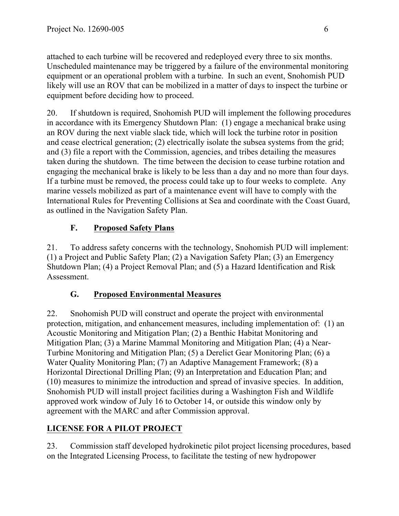attached to each turbine will be recovered and redeployed every three to six months. Unscheduled maintenance may be triggered by a failure of the environmental monitoring equipment or an operational problem with a turbine. In such an event, Snohomish PUD likely will use an ROV that can be mobilized in a matter of days to inspect the turbine or equipment before deciding how to proceed.

20. If shutdown is required, Snohomish PUD will implement the following procedures in accordance with its Emergency Shutdown Plan: (1) engage a mechanical brake using an ROV during the next viable slack tide, which will lock the turbine rotor in position and cease electrical generation; (2) electrically isolate the subsea systems from the grid; and (3) file a report with the Commission, agencies, and tribes detailing the measures taken during the shutdown. The time between the decision to cease turbine rotation and engaging the mechanical brake is likely to be less than a day and no more than four days. If a turbine must be removed, the process could take up to four weeks to complete. Any marine vessels mobilized as part of a maintenance event will have to comply with the International Rules for Preventing Collisions at Sea and coordinate with the Coast Guard, as outlined in the Navigation Safety Plan.

# **F. Proposed Safety Plans**

21. To address safety concerns with the technology, Snohomish PUD will implement: (1) a Project and Public Safety Plan; (2) a Navigation Safety Plan; (3) an Emergency Shutdown Plan; (4) a Project Removal Plan; and (5) a Hazard Identification and Risk Assessment.

# **G. Proposed Environmental Measures**

22. Snohomish PUD will construct and operate the project with environmental protection, mitigation, and enhancement measures, including implementation of: (1) an Acoustic Monitoring and Mitigation Plan; (2) a Benthic Habitat Monitoring and Mitigation Plan; (3) a Marine Mammal Monitoring and Mitigation Plan; (4) a Near-Turbine Monitoring and Mitigation Plan; (5) a Derelict Gear Monitoring Plan; (6) a Water Quality Monitoring Plan; (7) an Adaptive Management Framework; (8) a Horizontal Directional Drilling Plan; (9) an Interpretation and Education Plan; and (10) measures to minimize the introduction and spread of invasive species. In addition, Snohomish PUD will install project facilities during a Washington Fish and Wildlife approved work window of July 16 to October 14, or outside this window only by agreement with the MARC and after Commission approval.

# **LICENSE FOR A PILOT PROJECT**

23. Commission staff developed hydrokinetic pilot project licensing procedures, based on the Integrated Licensing Process, to facilitate the testing of new hydropower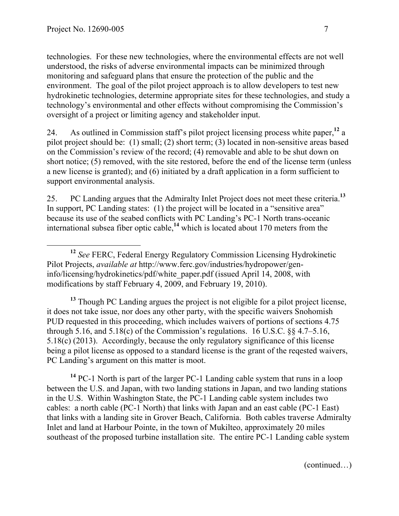technologies. For these new technologies, where the environmental effects are not well understood, the risks of adverse environmental impacts can be minimized through monitoring and safeguard plans that ensure the protection of the public and the environment. The goal of the pilot project approach is to allow developers to test new hydrokinetic technologies, determine appropriate sites for these technologies, and study a technology's environmental and other effects without compromising the Commission's oversight of a project or limiting agency and stakeholder input.

24. As outlined in Commission staff's pilot project licensing process white paper,**<sup>12</sup>** a pilot project should be: (1) small; (2) short term; (3) located in non-sensitive areas based on the Commission's review of the record; (4) removable and able to be shut down on short notice; (5) removed, with the site restored, before the end of the license term (unless a new license is granted); and (6) initiated by a draft application in a form sufficient to support environmental analysis.

25. PC Landing argues that the Admiralty Inlet Project does not meet these criteria.**<sup>13</sup>** In support, PC Landing states: (1) the project will be located in a "sensitive area" because its use of the seabed conflicts with PC Landing's PC-1 North trans-oceanic international subsea fiber optic cable,**<sup>14</sup>** which is located about 170 meters from the

**<sup>13</sup>** Though PC Landing argues the project is not eligible for a pilot project license, it does not take issue, nor does any other party, with the specific waivers Snohomish PUD requested in this proceeding, which includes waivers of portions of sections 4.75 through 5.16, and 5.18(c) of the Commission's regulations. 16 U.S.C.  $\& 4.7 - 5.16$ , 5.18(c) (2013). Accordingly, because the only regulatory significance of this license being a pilot license as opposed to a standard license is the grant of the reqested waivers, PC Landing's argument on this matter is moot.

**<sup>14</sup>** PC-1 North is part of the larger PC-1 Landing cable system that runs in a loop between the U.S. and Japan, with two landing stations in Japan, and two landing stations in the U.S. Within Washington State, the PC-1 Landing cable system includes two cables: a north cable (PC-1 North) that links with Japan and an east cable (PC-1 East) that links with a landing site in Grover Beach, California. Both cables traverse Admiralty Inlet and land at Harbour Pointe, in the town of Mukilteo, approximately 20 miles southeast of the proposed turbine installation site. The entire PC-1 Landing cable system

(continued…)

**<sup>12</sup>** *See* FERC, Federal Energy Regulatory Commission Licensing Hydrokinetic Pilot Projects, *available at* http://www.ferc.gov/industries/hydropower/geninfo/licensing/hydrokinetics/pdf/white\_paper.pdf (issued April 14, 2008, with modifications by staff February 4, 2009, and February 19, 2010).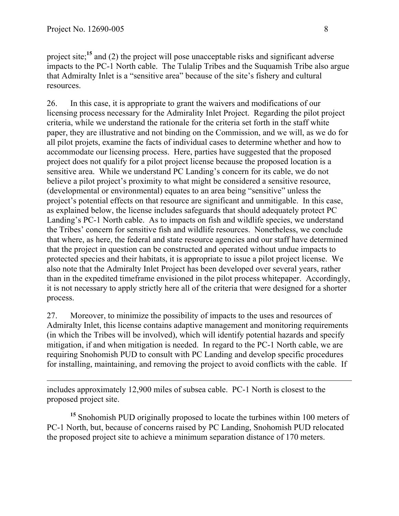project site;<sup>15</sup> and (2) the project will pose unacceptable risks and significant adverse impacts to the PC-1 North cable. The Tulalip Tribes and the Suquamish Tribe also argue that Admiralty Inlet is a "sensitive area" because of the site's fishery and cultural resources.

26. In this case, it is appropriate to grant the waivers and modifications of our licensing process necessary for the Admirality Inlet Project. Regarding the pilot project criteria, while we understand the rationale for the criteria set forth in the staff white paper, they are illustrative and not binding on the Commission, and we will, as we do for all pilot projets, examine the facts of individual cases to determine whether and how to accommodate our licensing process. Here, parties have suggested that the proposed project does not qualify for a pilot project license because the proposed location is a sensitive area. While we understand PC Landing's concern for its cable, we do not believe a pilot project's proximity to what might be considered a sensitive resource, (developmental or environmental) equates to an area being "sensitive" unless the project's potential effects on that resource are significant and unmitigable. In this case, as explained below, the license includes safeguards that should adequately protect PC Landing's PC-1 North cable. As to impacts on fish and wildlife species, we understand the Tribes' concern for sensitive fish and wildlife resources. Nonetheless, we conclude that where, as here, the federal and state resource agencies and our staff have determined that the project in question can be constructed and operated without undue impacts to protected species and their habitats, it is appropriate to issue a pilot project license. We also note that the Admiralty Inlet Project has been developed over several years, rather than in the expedited timeframe envisioned in the pilot process whitepaper. Accordingly, it is not necessary to apply strictly here all of the criteria that were designed for a shorter process.

27. Moreover, to minimize the possibility of impacts to the uses and resources of Admiralty Inlet, this license contains adaptive management and monitoring requirements (in which the Tribes will be involved), which will identify potential hazards and specify mitigation, if and when mitigation is needed. In regard to the PC-1 North cable, we are requiring Snohomish PUD to consult with PC Landing and develop specific procedures for installing, maintaining, and removing the project to avoid conflicts with the cable. If

 $\overline{a}$ includes approximately 12,900 miles of subsea cable. PC-1 North is closest to the proposed project site.

**<sup>15</sup>** Snohomish PUD originally proposed to locate the turbines within 100 meters of PC-1 North, but, because of concerns raised by PC Landing, Snohomish PUD relocated the proposed project site to achieve a minimum separation distance of 170 meters.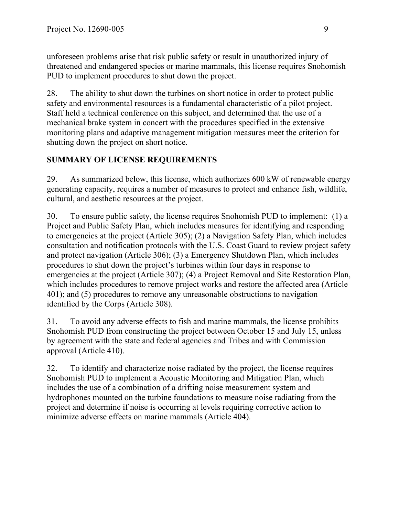unforeseen problems arise that risk public safety or result in unauthorized injury of threatened and endangered species or marine mammals, this license requires Snohomish PUD to implement procedures to shut down the project.

28. The ability to shut down the turbines on short notice in order to protect public safety and environmental resources is a fundamental characteristic of a pilot project. Staff held a technical conference on this subject, and determined that the use of a mechanical brake system in concert with the procedures specified in the extensive monitoring plans and adaptive management mitigation measures meet the criterion for shutting down the project on short notice.

# **SUMMARY OF LICENSE REQUIREMENTS**

29. As summarized below, this license, which authorizes 600 kW of renewable energy generating capacity, requires a number of measures to protect and enhance fish, wildlife, cultural, and aesthetic resources at the project.

30. To ensure public safety, the license requires Snohomish PUD to implement: (1) a Project and Public Safety Plan, which includes measures for identifying and responding to emergencies at the project (Article 305); (2) a Navigation Safety Plan, which includes consultation and notification protocols with the U.S. Coast Guard to review project safety and protect navigation (Article 306); (3) a Emergency Shutdown Plan, which includes procedures to shut down the project's turbines within four days in response to emergencies at the project (Article 307); (4) a Project Removal and Site Restoration Plan, which includes procedures to remove project works and restore the affected area (Article 401); and (5) procedures to remove any unreasonable obstructions to navigation identified by the Corps (Article 308).

31. To avoid any adverse effects to fish and marine mammals, the license prohibits Snohomish PUD from constructing the project between October 15 and July 15, unless by agreement with the state and federal agencies and Tribes and with Commission approval (Article 410).

32. To identify and characterize noise radiated by the project, the license requires Snohomish PUD to implement a Acoustic Monitoring and Mitigation Plan, which includes the use of a combination of a drifting noise measurement system and hydrophones mounted on the turbine foundations to measure noise radiating from the project and determine if noise is occurring at levels requiring corrective action to minimize adverse effects on marine mammals (Article 404).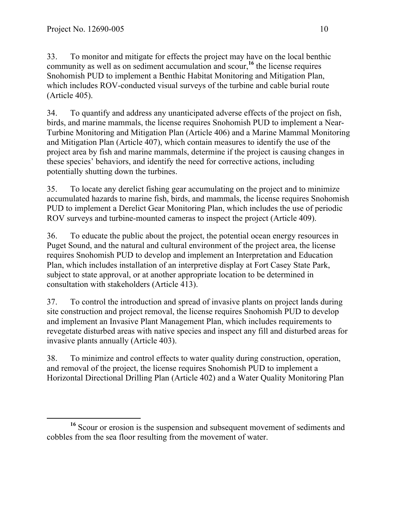33. To monitor and mitigate for effects the project may have on the local benthic community as well as on sediment accumulation and scour, **<sup>16</sup>** the license requires Snohomish PUD to implement a Benthic Habitat Monitoring and Mitigation Plan, which includes ROV-conducted visual surveys of the turbine and cable burial route (Article 405).

34. To quantify and address any unanticipated adverse effects of the project on fish, birds, and marine mammals, the license requires Snohomish PUD to implement a Near-Turbine Monitoring and Mitigation Plan (Article 406) and a Marine Mammal Monitoring and Mitigation Plan (Article 407), which contain measures to identify the use of the project area by fish and marine mammals, determine if the project is causing changes in these species' behaviors, and identify the need for corrective actions, including potentially shutting down the turbines.

35. To locate any derelict fishing gear accumulating on the project and to minimize accumulated hazards to marine fish, birds, and mammals, the license requires Snohomish PUD to implement a Derelict Gear Monitoring Plan, which includes the use of periodic ROV surveys and turbine-mounted cameras to inspect the project (Article 409).

36. To educate the public about the project, the potential ocean energy resources in Puget Sound, and the natural and cultural environment of the project area, the license requires Snohomish PUD to develop and implement an Interpretation and Education Plan, which includes installation of an interpretive display at Fort Casey State Park, subject to state approval, or at another appropriate location to be determined in consultation with stakeholders (Article 413).

37. To control the introduction and spread of invasive plants on project lands during site construction and project removal, the license requires Snohomish PUD to develop and implement an Invasive Plant Management Plan, which includes requirements to revegetate disturbed areas with native species and inspect any fill and disturbed areas for invasive plants annually (Article 403).

38. To minimize and control effects to water quality during construction, operation, and removal of the project, the license requires Snohomish PUD to implement a Horizontal Directional Drilling Plan (Article 402) and a Water Quality Monitoring Plan

**<sup>16</sup>** Scour or erosion is the suspension and subsequent movement of sediments and cobbles from the sea floor resulting from the movement of water.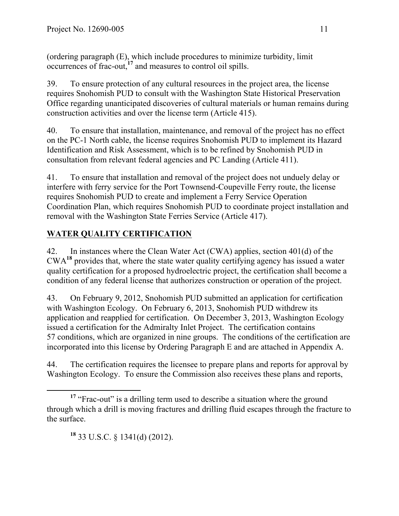(ordering paragraph (E), which include procedures to minimize turbidity, limit occurrences of frac-out, **<sup>17</sup>** and measures to control oil spills.

39. To ensure protection of any cultural resources in the project area, the license requires Snohomish PUD to consult with the Washington State Historical Preservation Office regarding unanticipated discoveries of cultural materials or human remains during construction activities and over the license term (Article 415).

40. To ensure that installation, maintenance, and removal of the project has no effect on the PC-1 North cable, the license requires Snohomish PUD to implement its Hazard Identification and Risk Assessment, which is to be refined by Snohomish PUD in consultation from relevant federal agencies and PC Landing (Article 411).

41. To ensure that installation and removal of the project does not unduely delay or interfere with ferry service for the Port Townsend-Coupeville Ferry route, the license requires Snohomish PUD to create and implement a Ferry Service Operation Coordination Plan, which requires Snohomish PUD to coordinate project installation and removal with the Washington State Ferries Service (Article 417).

# **WATER QUALITY CERTIFICATION**

42. In instances where the Clean Water Act (CWA) applies, section 401(d) of the CWA**<sup>18</sup>** provides that, where the state water quality certifying agency has issued a water quality certification for a proposed hydroelectric project, the certification shall become a condition of any federal license that authorizes construction or operation of the project.

43. On February 9, 2012, Snohomish PUD submitted an application for certification with Washington Ecology. On February 6, 2013, Snohomish PUD withdrew its application and reapplied for certification. On December 3, 2013, Washington Ecology issued a certification for the Admiralty Inlet Project. The certification contains 57 conditions, which are organized in nine groups. The conditions of the certification are incorporated into this license by Ordering Paragraph E and are attached in Appendix A.

44. The certification requires the licensee to prepare plans and reports for approval by Washington Ecology. To ensure the Commission also receives these plans and reports,

**<sup>18</sup>** 33 U.S.C. § 1341(d) (2012).

<sup>&</sup>lt;sup>17</sup> "Frac-out" is a drilling term used to describe a situation where the ground through which a drill is moving fractures and drilling fluid escapes through the fracture to the surface.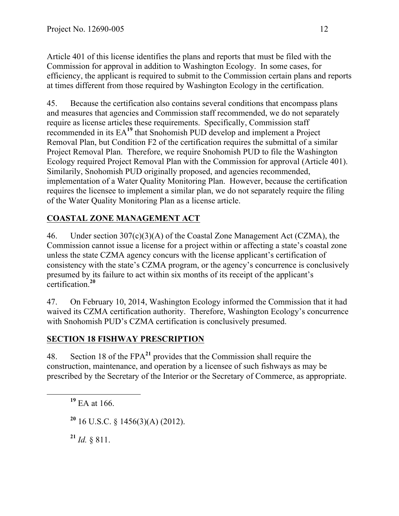Article 401 of this license identifies the plans and reports that must be filed with the Commission for approval in addition to Washington Ecology. In some cases, for efficiency, the applicant is required to submit to the Commission certain plans and reports at times different from those required by Washington Ecology in the certification.

45. Because the certification also contains several conditions that encompass plans and measures that agencies and Commission staff recommended, we do not separately require as license articles these requirements. Specifically, Commission staff recommended in its EA**<sup>19</sup>** that Snohomish PUD develop and implement a Project Removal Plan, but Condition F2 of the certification requires the submittal of a similar Project Removal Plan. Therefore, we require Snohomish PUD to file the Washington Ecology required Project Removal Plan with the Commission for approval (Article 401). Similarily, Snohomish PUD originally proposed, and agencies recommended, implementation of a Water Quality Monitoring Plan. However, because the certification requires the licensee to implement a similar plan, we do not separately require the filing of the Water Quality Monitoring Plan as a license article.

# **COASTAL ZONE MANAGEMENT ACT**

46. Under section 307(c)(3)(A) of the Coastal Zone Management Act (CZMA), the Commission cannot issue a license for a project within or affecting a state's coastal zone unless the state CZMA agency concurs with the license applicant's certification of consistency with the state's CZMA program, or the agency's concurrence is conclusively presumed by its failure to act within six months of its receipt of the applicant's certification.**<sup>20</sup>**

47. On February 10, 2014, Washington Ecology informed the Commission that it had waived its CZMA certification authority. Therefore, Washington Ecology's concurrence with Snohomish PUD's CZMA certification is conclusively presumed.

#### **SECTION 18 FISHWAY PRESCRIPTION**

48. Section 18 of the FPA**<sup>21</sup>** provides that the Commission shall require the construction, maintenance, and operation by a licensee of such fishways as may be prescribed by the Secretary of the Interior or the Secretary of Commerce, as appropriate.

**<sup>19</sup>** EA at 166.

**<sup>20</sup>** 16 U.S.C. § 1456(3)(A) (2012).

**<sup>21</sup>** *Id.* § 811.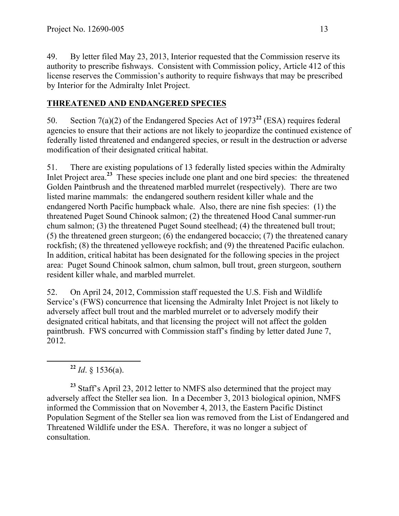49. By letter filed May 23, 2013, Interior requested that the Commission reserve its authority to prescribe fishways. Consistent with Commission policy, Article 412 of this license reserves the Commission's authority to require fishways that may be prescribed by Interior for the Admiralty Inlet Project.

# **THREATENED AND ENDANGERED SPECIES**

50. Section 7(a)(2) of the Endangered Species Act of 1973**<sup>22</sup>** (ESA) requires federal agencies to ensure that their actions are not likely to jeopardize the continued existence of federally listed threatened and endangered species, or result in the destruction or adverse modification of their designated critical habitat.

51. There are existing populations of 13 federally listed species within the Admiralty Inlet Project area.<sup>23</sup> These species include one plant and one bird species: the threatened Golden Paintbrush and the threatened marbled murrelet (respectively). There are two listed marine mammals: the endangered southern resident killer whale and the endangered North Pacific humpback whale. Also, there are nine fish species: (1) the threatened Puget Sound Chinook salmon; (2) the threatened Hood Canal summer-run chum salmon; (3) the threatened Puget Sound steelhead; (4) the threatened bull trout; (5) the threatened green sturgeon; (6) the endangered bocaccio; (7) the threatened canary rockfish; (8) the threatened yelloweye rockfish; and (9) the threatened Pacific eulachon. In addition, critical habitat has been designated for the following species in the project area: Puget Sound Chinook salmon, chum salmon, bull trout, green sturgeon, southern resident killer whale, and marbled murrelet.

52. On April 24, 2012, Commission staff requested the U.S. Fish and Wildlife Service's (FWS) concurrence that licensing the Admiralty Inlet Project is not likely to adversely affect bull trout and the marbled murrelet or to adversely modify their designated critical habitats, and that licensing the project will not affect the golden paintbrush. FWS concurred with Commission staff's finding by letter dated June 7, 2012.

 $^{22}$  *Id.* § 1536(a).

<sup>23</sup> Staff's April 23, 2012 letter to NMFS also determined that the project may adversely affect the Steller sea lion. In a December 3, 2013 biological opinion, NMFS informed the Commission that on November 4, 2013, the Eastern Pacific Distinct Population Segment of the Steller sea lion was removed from the List of Endangered and Threatened Wildlife under the ESA. Therefore, it was no longer a subject of consultation.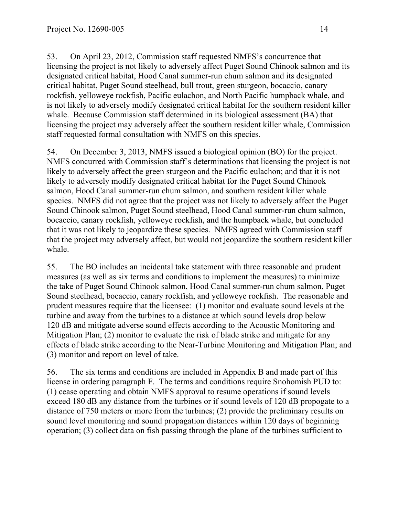53. On April 23, 2012, Commission staff requested NMFS's concurrence that licensing the project is not likely to adversely affect Puget Sound Chinook salmon and its designated critical habitat, Hood Canal summer-run chum salmon and its designated critical habitat, Puget Sound steelhead, bull trout, green sturgeon, bocaccio, canary rockfish, yelloweye rockfish, Pacific eulachon, and North Pacific humpback whale, and is not likely to adversely modify designated critical habitat for the southern resident killer whale. Because Commission staff determined in its biological assessment (BA) that licensing the project may adversely affect the southern resident killer whale, Commission staff requested formal consultation with NMFS on this species.

54. On December 3, 2013, NMFS issued a biological opinion (BO) for the project. NMFS concurred with Commission staff's determinations that licensing the project is not likely to adversely affect the green sturgeon and the Pacific eulachon; and that it is not likely to adversely modify designated critical habitat for the Puget Sound Chinook salmon, Hood Canal summer-run chum salmon, and southern resident killer whale species. NMFS did not agree that the project was not likely to adversely affect the Puget Sound Chinook salmon, Puget Sound steelhead, Hood Canal summer-run chum salmon, bocaccio, canary rockfish, yelloweye rockfish, and the humpback whale, but concluded that it was not likely to jeopardize these species. NMFS agreed with Commission staff that the project may adversely affect, but would not jeopardize the southern resident killer whale.

55. The BO includes an incidental take statement with three reasonable and prudent measures (as well as six terms and conditions to implement the measures) to minimize the take of Puget Sound Chinook salmon, Hood Canal summer-run chum salmon, Puget Sound steelhead, bocaccio, canary rockfish, and yelloweye rockfish. The reasonable and prudent measures require that the licensee: (1) monitor and evaluate sound levels at the turbine and away from the turbines to a distance at which sound levels drop below 120 dB and mitigate adverse sound effects according to the Acoustic Monitoring and Mitigation Plan; (2) monitor to evaluate the risk of blade strike and mitigate for any effects of blade strike according to the Near-Turbine Monitoring and Mitigation Plan; and (3) monitor and report on level of take.

56. The six terms and conditions are included in Appendix B and made part of this license in ordering paragraph F. The terms and conditions require Snohomish PUD to: (1) cease operating and obtain NMFS approval to resume operations if sound levels exceed 180 dB any distance from the turbines or if sound levels of 120 dB propogate to a distance of 750 meters or more from the turbines; (2) provide the preliminary results on sound level monitoring and sound propagation distances within 120 days of beginning operation; (3) collect data on fish passing through the plane of the turbines sufficient to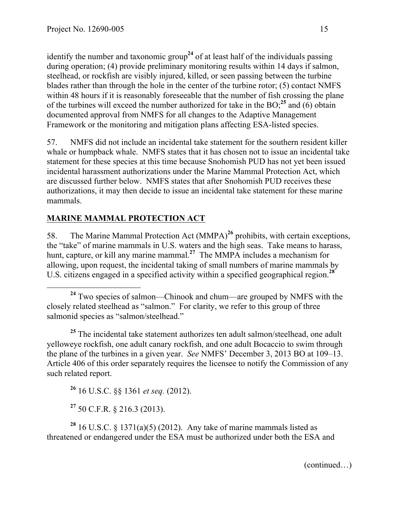identify the number and taxonomic group<sup>24</sup> of at least half of the individuals passing during operation; (4) provide preliminary monitoring results within 14 days if salmon, steelhead, or rockfish are visibly injured, killed, or seen passing between the turbine blades rather than through the hole in the center of the turbine rotor; (5) contact NMFS within 48 hours if it is reasonably foreseeable that the number of fish crossing the plane of the turbines will exceed the number authorized for take in the  $BO<sub>1</sub><sup>25</sup>$  and (6) obtain documented approval from NMFS for all changes to the Adaptive Management Framework or the monitoring and mitigation plans affecting ESA-listed species.

57. NMFS did not include an incidental take statement for the southern resident killer whale or humpback whale. NMFS states that it has chosen not to issue an incidental take statement for these species at this time because Snohomish PUD has not yet been issued incidental harassment authorizations under the Marine Mammal Protection Act, which are discussed further below. NMFS states that after Snohomish PUD receives these authorizations, it may then decide to issue an incidental take statement for these marine mammals.

# **MARINE MAMMAL PROTECTION ACT**

58. The Marine Mammal Protection Act (MMPA)**<sup>26</sup>** prohibits, with certain exceptions, the "take" of marine mammals in U.S. waters and the high seas. Take means to harass, hunt, capture, or kill any marine mammal.**<sup>27</sup>** The MMPA includes a mechanism for allowing, upon request, the incidental taking of small numbers of marine mammals by U.S. citizens engaged in a specified activity within a specified geographical region.**<sup>28</sup>**

**<sup>25</sup>** The incidental take statement authorizes ten adult salmon/steelhead, one adult yelloweye rockfish, one adult canary rockfish, and one adult Bocaccio to swim through the plane of the turbines in a given year. *See* NMFS' December 3, 2013 BO at 109–13. Article 406 of this order separately requires the licensee to notify the Commission of any such related report.

**<sup>26</sup>** 16 U.S.C. §§ 1361 *et seq.* (2012).

**<sup>27</sup>** 50 C.F.R. § 216.3 (2013).

<sup>28</sup> 16 U.S.C. § 1371(a)(5) (2012). Any take of marine mammals listed as threatened or endangered under the ESA must be authorized under both the ESA and

(continued…)

**<sup>24</sup>** Two species of salmon—Chinook and chum—are grouped by NMFS with the closely related steelhead as "salmon." For clarity, we refer to this group of three salmonid species as "salmon/steelhead."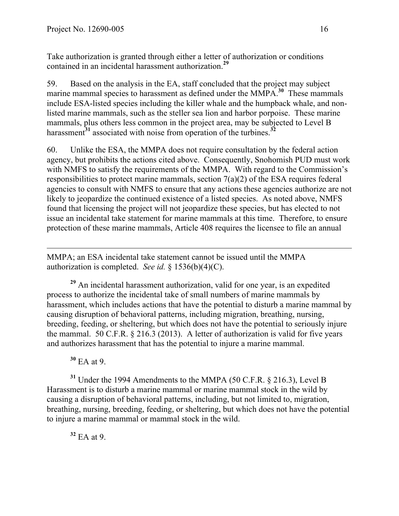Take authorization is granted through either a letter of authorization or conditions contained in an incidental harassment authorization.**<sup>29</sup>**

59. Based on the analysis in the EA, staff concluded that the project may subject marine mammal species to harassment as defined under the MMPA.<sup>30</sup> These mammals include ESA-listed species including the killer whale and the humpback whale, and nonlisted marine mammals, such as the steller sea lion and harbor porpoise. These marine mammals, plus others less common in the project area, may be subjected to Level B harassment**<sup>31</sup>** associated with noise from operation of the turbines.**<sup>32</sup>**

60. Unlike the ESA, the MMPA does not require consultation by the federal action agency, but prohibits the actions cited above. Consequently, Snohomish PUD must work with NMFS to satisfy the requirements of the MMPA. With regard to the Commission's responsibilities to protect marine mammals, section 7(a)(2) of the ESA requires federal agencies to consult with NMFS to ensure that any actions these agencies authorize are not likely to jeopardize the continued existence of a listed species. As noted above, NMFS found that licensing the project will not jeopardize these species, but has elected to not issue an incidental take statement for marine mammals at this time. Therefore, to ensure protection of these marine mammals, Article 408 requires the licensee to file an annual

MMPA; an ESA incidental take statement cannot be issued until the MMPA authorization is completed. *See id.* § 1536(b)(4)(C).

**<sup>29</sup>** An incidental harassment authorization, valid for one year, is an expedited process to authorize the incidental take of small numbers of marine mammals by harassment, which includes actions that have the potential to disturb a marine mammal by causing disruption of behavioral patterns, including migration, breathing, nursing, breeding, feeding, or sheltering, but which does not have the potential to seriously injure the mammal. 50 C.F.R. § 216.3 (2013). A letter of authorization is valid for five years and authorizes harassment that has the potential to injure a marine mammal.

**<sup>30</sup>** EA at 9.

 $\overline{a}$ 

**<sup>31</sup>** Under the 1994 Amendments to the MMPA (50 C.F.R. § 216.3), Level B Harassment is to disturb a marine mammal or marine mammal stock in the wild by causing a disruption of behavioral patterns, including, but not limited to, migration, breathing, nursing, breeding, feeding, or sheltering, but which does not have the potential to injure a marine mammal or mammal stock in the wild.

**<sup>32</sup>** EA at 9.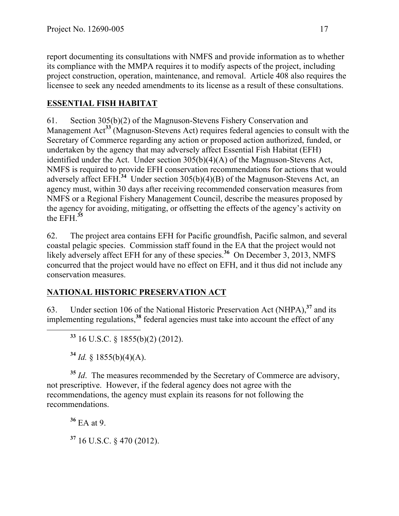report documenting its consultations with NMFS and provide information as to whether its compliance with the MMPA requires it to modify aspects of the project, including project construction, operation, maintenance, and removal. Article 408 also requires the licensee to seek any needed amendments to its license as a result of these consultations.

# **ESSENTIAL FISH HABITAT**

61. Section 305(b)(2) of the Magnuson-Stevens Fishery Conservation and Management Act**<sup>33</sup>** (Magnuson-Stevens Act) requires federal agencies to consult with the Secretary of Commerce regarding any action or proposed action authorized, funded, or undertaken by the agency that may adversely affect Essential Fish Habitat (EFH) identified under the Act. Under section 305(b)(4)(A) of the Magnuson-Stevens Act, NMFS is required to provide EFH conservation recommendations for actions that would adversely affect EFH.**<sup>34</sup>** Under section 305(b)(4)(B) of the Magnuson-Stevens Act, an agency must, within 30 days after receiving recommended conservation measures from NMFS or a Regional Fishery Management Council, describe the measures proposed by the agency for avoiding, mitigating, or offsetting the effects of the agency's activity on the EFH.**<sup>35</sup>**

62. The project area contains EFH for Pacific groundfish, Pacific salmon, and several coastal pelagic species. Commission staff found in the EA that the project would not likely adversely affect EFH for any of these species.<sup>36</sup> On December 3, 2013, NMFS concurred that the project would have no effect on EFH, and it thus did not include any conservation measures.

# **NATIONAL HISTORIC PRESERVATION ACT**

63. Under section 106 of the National Historic Preservation Act (NHPA),**<sup>37</sup>** and its implementing regulations,**<sup>38</sup>** federal agencies must take into account the effect of any

**<sup>33</sup>** 16 U.S.C. § 1855(b)(2) (2012).

**<sup>34</sup>** *Id.* § 1855(b)(4)(A).

<sup>35</sup> *Id*. The measures recommended by the Secretary of Commerce are advisory, not prescriptive. However, if the federal agency does not agree with the recommendations, the agency must explain its reasons for not following the recommendations.

**<sup>36</sup>** EA at 9. **<sup>37</sup>** 16 U.S.C. § 470 (2012).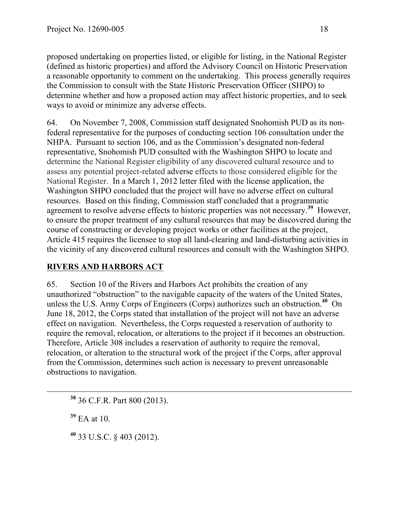proposed undertaking on properties listed, or eligible for listing, in the National Register (defined as historic properties) and afford the Advisory Council on Historic Preservation a reasonable opportunity to comment on the undertaking. This process generally requires the Commission to consult with the State Historic Preservation Officer (SHPO) to determine whether and how a proposed action may affect historic properties, and to seek ways to avoid or minimize any adverse effects.

64. On November 7, 2008, Commission staff designated Snohomish PUD as its nonfederal representative for the purposes of conducting section 106 consultation under the NHPA. Pursuant to section 106, and as the Commission's designated non-federal representative, Snohomish PUD consulted with the Washington SHPO to locate and determine the National Register eligibility of any discovered cultural resource and to assess any potential project-related adverse effects to those considered eligible for the National Register. In a March 1, 2012 letter filed with the license application, the Washington SHPO concluded that the project will have no adverse effect on cultural resources. Based on this finding, Commission staff concluded that a programmatic agreement to resolve adverse effects to historic properties was not necessary.**<sup>39</sup>** However, to ensure the proper treatment of any cultural resources that may be discovered during the course of constructing or developing project works or other facilities at the project, Article 415 requires the licensee to stop all land-clearing and land-disturbing activities in the vicinity of any discovered cultural resources and consult with the Washington SHPO.

# **RIVERS AND HARBORS ACT**

65. Section 10 of the Rivers and Harbors Act prohibits the creation of any unauthorized "obstruction" to the navigable capacity of the waters of the United States, unless the U.S. Army Corps of Engineers (Corps) authorizes such an obstruction.**<sup>40</sup>** On June 18, 2012, the Corps stated that installation of the project will not have an adverse effect on navigation. Nevertheless, the Corps requested a reservation of authority to require the removal, relocation, or alterations to the project if it becomes an obstruction. Therefore, Article 308 includes a reservation of authority to require the removal, relocation, or alteration to the structural work of the project if the Corps, after approval from the Commission, determines such action is necessary to prevent unreasonable obstructions to navigation.

**<sup>38</sup>** 36 C.F.R. Part 800 (2013).

**<sup>39</sup>** EA at 10.

**<sup>40</sup>** 33 U.S.C. § 403 (2012).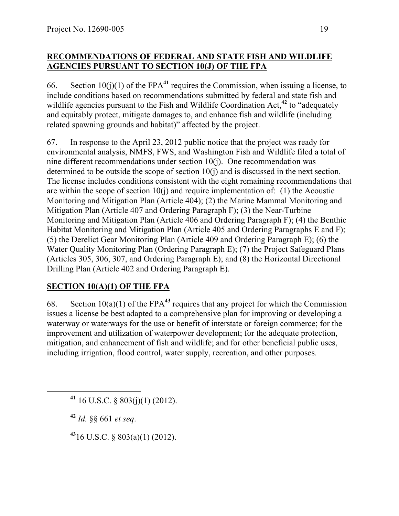#### **RECOMMENDATIONS OF FEDERAL AND STATE FISH AND WILDLIFE AGENCIES PURSUANT TO SECTION 10(J) OF THE FPA**

66. Section  $10(j)(1)$  of the FPA<sup>41</sup> requires the Commission, when issuing a license, to include conditions based on recommendations submitted by federal and state fish and wildlife agencies pursuant to the Fish and Wildlife Coordination Act,**<sup>42</sup>** to "adequately and equitably protect, mitigate damages to, and enhance fish and wildlife (including related spawning grounds and habitat)" affected by the project.

67. In response to the April 23, 2012 public notice that the project was ready for environmental analysis, NMFS, FWS, and Washington Fish and Wildlife filed a total of nine different recommendations under section 10(j). One recommendation was determined to be outside the scope of section 10(j) and is discussed in the next section. The license includes conditions consistent with the eight remaining recommendations that are within the scope of section  $10(i)$  and require implementation of: (1) the Acoustic Monitoring and Mitigation Plan (Article 404); (2) the Marine Mammal Monitoring and Mitigation Plan (Article 407 and Ordering Paragraph F); (3) the Near-Turbine Monitoring and Mitigation Plan (Article 406 and Ordering Paragraph F); (4) the Benthic Habitat Monitoring and Mitigation Plan (Article 405 and Ordering Paragraphs E and F); (5) the Derelict Gear Monitoring Plan (Article 409 and Ordering Paragraph E); (6) the Water Quality Monitoring Plan (Ordering Paragraph E); (7) the Project Safeguard Plans (Articles 305, 306, 307, and Ordering Paragraph E); and (8) the Horizontal Directional Drilling Plan (Article 402 and Ordering Paragraph E).

# **SECTION 10(A)(1) OF THE FPA**

68. Section 10(a)(1) of the FPA**<sup>43</sup>** requires that any project for which the Commission issues a license be best adapted to a comprehensive plan for improving or developing a waterway or waterways for the use or benefit of interstate or foreign commerce; for the improvement and utilization of waterpower development; for the adequate protection, mitigation, and enhancement of fish and wildlife; and for other beneficial public uses, including irrigation, flood control, water supply, recreation, and other purposes.

**<sup>41</sup>** 16 U.S.C. § 803(j)(1) (2012).

**<sup>42</sup>** *Id.* §§ 661 *et seq*.

**<sup>43</sup>**16 U.S.C. § 803(a)(1) (2012).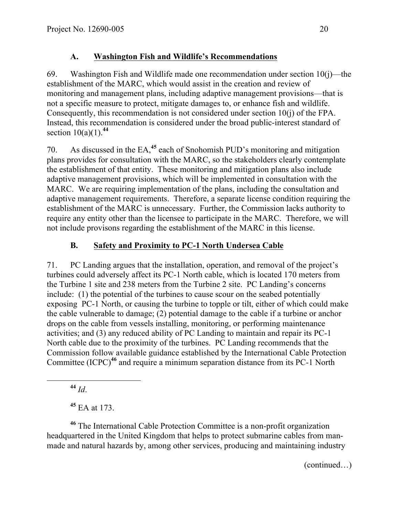#### **A. Washington Fish and Wildlife's Recommendations**

69. Washington Fish and Wildlife made one recommendation under section  $10(i)$ —the establishment of the MARC, which would assist in the creation and review of monitoring and management plans, including adaptive management provisions—that is not a specific measure to protect, mitigate damages to, or enhance fish and wildlife. Consequently, this recommendation is not considered under section 10(j) of the FPA. Instead, this recommendation is considered under the broad public-interest standard of section  $10(a)(1)$ .<sup>44</sup>

70. As discussed in the EA,**<sup>45</sup>** each of Snohomish PUD's monitoring and mitigation plans provides for consultation with the MARC, so the stakeholders clearly contemplate the establishment of that entity. These monitoring and mitigation plans also include adaptive management provisions, which will be implemented in consultation with the MARC. We are requiring implementation of the plans, including the consultation and adaptive management requirements. Therefore, a separate license condition requiring the establishment of the MARC is unnecessary. Further, the Commission lacks authority to require any entity other than the licensee to participate in the MARC. Therefore, we will not include provisons regarding the establishment of the MARC in this license.

# **B. Safety and Proximity to PC-1 North Undersea Cable**

71. PC Landing argues that the installation, operation, and removal of the project's turbines could adversely affect its PC-1 North cable, which is located 170 meters from the Turbine 1 site and 238 meters from the Turbine 2 site. PC Landing's concerns include: (1) the potential of the turbines to cause scour on the seabed potentially exposing PC-1 North, or causing the turbine to topple or tilt, either of which could make the cable vulnerable to damage; (2) potential damage to the cable if a turbine or anchor drops on the cable from vessels installing, monitoring, or performing maintenance activities; and (3) any reduced ability of PC Landing to maintain and repair its PC-1 North cable due to the proximity of the turbines. PC Landing recommends that the Commission follow available guidance established by the International Cable Protection Committee (ICPC)**<sup>46</sup>** and require a minimum separation distance from its PC-1 North

**<sup>44</sup>** *Id*.

**<sup>45</sup>** EA at 173.

**<sup>46</sup>** The International Cable Protection Committee is a non-profit organization headquartered in the United Kingdom that helps to protect submarine cables from manmade and natural hazards by, among other services, producing and maintaining industry

(continued…)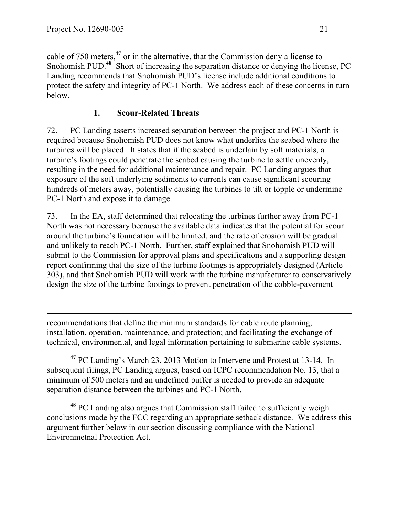$\overline{a}$ 

cable of 750 meters,**<sup>47</sup>** or in the alternative, that the Commission deny a license to Snohomish PUD.<sup>48</sup> Short of increasing the separation distance or denying the license, PC Landing recommends that Snohomish PUD's license include additional conditions to protect the safety and integrity of PC-1 North. We address each of these concerns in turn below.

### **1. Scour-Related Threats**

72. PC Landing asserts increased separation between the project and PC-1 North is required because Snohomish PUD does not know what underlies the seabed where the turbines will be placed. It states that if the seabed is underlain by soft materials, a turbine's footings could penetrate the seabed causing the turbine to settle unevenly, resulting in the need for additional maintenance and repair. PC Landing argues that exposure of the soft underlying sediments to currents can cause significant scouring hundreds of meters away, potentially causing the turbines to tilt or topple or undermine PC-1 North and expose it to damage.

73. In the EA, staff determined that relocating the turbines further away from PC-1 North was not necessary because the available data indicates that the potential for scour around the turbine's foundation will be limited, and the rate of erosion will be gradual and unlikely to reach PC-1 North. Further, staff explained that Snohomish PUD will submit to the Commission for approval plans and specifications and a supporting design report confirming that the size of the turbine footings is appropriately designed (Article 303), and that Snohomish PUD will work with the turbine manufacturer to conservatively design the size of the turbine footings to prevent penetration of the cobble-pavement

recommendations that define the minimum standards for cable route planning, installation, operation, maintenance, and protection; and facilitating the exchange of technical, environmental, and legal information pertaining to submarine cable systems.

**<sup>47</sup>** PC Landing's March 23, 2013 Motion to Intervene and Protest at 13-14. In subsequent filings, PC Landing argues, based on ICPC recommendation No. 13, that a minimum of 500 meters and an undefined buffer is needed to provide an adequate separation distance between the turbines and PC-1 North.

**<sup>48</sup>** PC Landing also argues that Commission staff failed to sufficiently weigh conclusions made by the FCC regarding an appropriate setback distance. We address this argument further below in our section discussing compliance with the National Environmetnal Protection Act.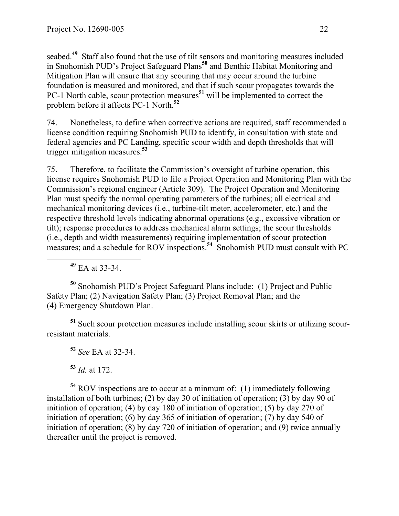seabed.<sup>49</sup> Staff also found that the use of tilt sensors and monitoring measures included in Snohomish PUD's Project Safeguard Plans**<sup>50</sup>** and Benthic Habitat Monitoring and Mitigation Plan will ensure that any scouring that may occur around the turbine foundation is measured and monitored, and that if such scour propagates towards the PC-1 North cable, scour protection measures**<sup>51</sup>** will be implemented to correct the problem before it affects PC-1 North. **52**

74. Nonetheless, to define when corrective actions are required, staff recommended a license condition requiring Snohomish PUD to identify, in consultation with state and federal agencies and PC Landing, specific scour width and depth thresholds that will trigger mitigation measures. **53**

75. Therefore, to facilitate the Commission's oversight of turbine operation, this license requires Snohomish PUD to file a Project Operation and Monitoring Plan with the Commission's regional engineer (Article 309). The Project Operation and Monitoring Plan must specify the normal operating parameters of the turbines; all electrical and mechanical monitoring devices (i.e., turbine-tilt meter, accelerometer, etc.) and the respective threshold levels indicating abnormal operations (e.g., excessive vibration or tilt); response procedures to address mechanical alarm settings; the scour thresholds (i.e., depth and width measurements) requiring implementation of scour protection measures; and a schedule for ROV inspections.**<sup>54</sup>** Snohomish PUD must consult with PC

**<sup>49</sup>** EA at 33-34.

**<sup>50</sup>** Snohomish PUD's Project Safeguard Plans include: (1) Project and Public Safety Plan; (2) Navigation Safety Plan; (3) Project Removal Plan; and the (4) Emergency Shutdown Plan.

**<sup>51</sup>** Such scour protection measures include installing scour skirts or utilizing scourresistant materials.

**<sup>52</sup>** *See* EA at 32-34.

**<sup>53</sup>** *Id.* at 172.

**<sup>54</sup>** ROV inspections are to occur at a minmum of: (1) immediately following installation of both turbines; (2) by day 30 of initiation of operation; (3) by day 90 of initiation of operation; (4) by day 180 of initiation of operation; (5) by day 270 of initiation of operation; (6) by day 365 of initiation of operation; (7) by day 540 of initiation of operation; (8) by day 720 of initiation of operation; and (9) twice annually thereafter until the project is removed.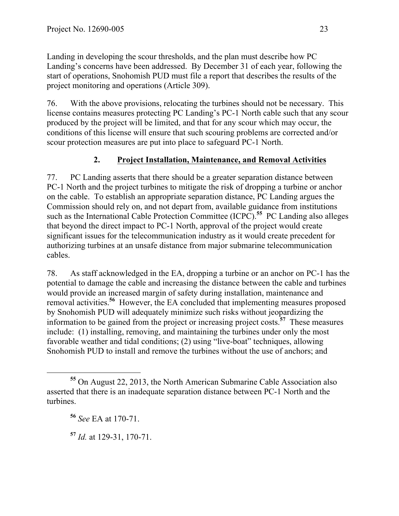Landing in developing the scour thresholds, and the plan must describe how PC Landing's concerns have been addressed. By December 31 of each year, following the start of operations, Snohomish PUD must file a report that describes the results of the project monitoring and operations (Article 309).

76. With the above provisions, relocating the turbines should not be necessary. This license contains measures protecting PC Landing's PC-1 North cable such that any scour produced by the project will be limited, and that for any scour which may occur, the conditions of this license will ensure that such scouring problems are corrected and/or scour protection measures are put into place to safeguard PC-1 North.

### **2. Project Installation, Maintenance, and Removal Activities**

77. PC Landing asserts that there should be a greater separation distance between PC-1 North and the project turbines to mitigate the risk of dropping a turbine or anchor on the cable. To establish an appropriate separation distance, PC Landing argues the Commission should rely on, and not depart from, available guidance from institutions such as the International Cable Protection Committee (ICPC). **<sup>55</sup>** PC Landing also alleges that beyond the direct impact to PC-1 North, approval of the project would create significant issues for the telecommunication industry as it would create precedent for authorizing turbines at an unsafe distance from major submarine telecommunication cables.

78. As staff acknowledged in the EA, dropping a turbine or an anchor on PC-1 has the potential to damage the cable and increasing the distance between the cable and turbines would provide an increased margin of safety during installation, maintenance and removal activities.**<sup>56</sup>** However, the EA concluded that implementing measures proposed by Snohomish PUD will adequately minimize such risks without jeopardizing the information to be gained from the project or increasing project costs.**<sup>57</sup>** These measures include: (1) installing, removing, and maintaining the turbines under only the most favorable weather and tidal conditions; (2) using "live-boat" techniques, allowing Snohomish PUD to install and remove the turbines without the use of anchors; and

**<sup>55</sup>** On August 22, 2013, the North American Submarine Cable Association also asserted that there is an inadequate separation distance between PC-1 North and the turbines.

**<sup>56</sup>** *See* EA at 170-71.

**<sup>57</sup>** *Id.* at 129-31, 170-71.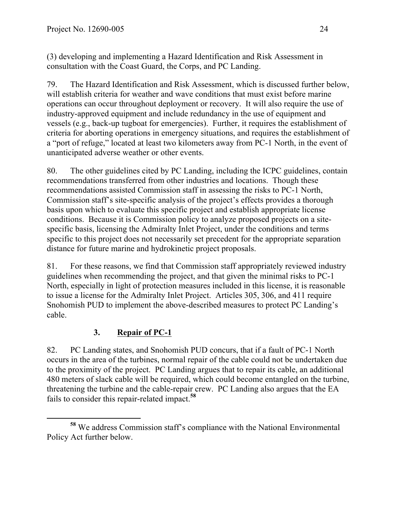(3) developing and implementing a Hazard Identification and Risk Assessment in consultation with the Coast Guard, the Corps, and PC Landing.

79. The Hazard Identification and Risk Assessment, which is discussed further below, will establish criteria for weather and wave conditions that must exist before marine operations can occur throughout deployment or recovery. It will also require the use of industry-approved equipment and include redundancy in the use of equipment and vessels (e.g., back-up tugboat for emergencies). Further, it requires the establishment of criteria for aborting operations in emergency situations, and requires the establishment of a "port of refuge," located at least two kilometers away from PC-1 North, in the event of unanticipated adverse weather or other events.

80. The other guidelines cited by PC Landing, including the ICPC guidelines, contain recommendations transferred from other industries and locations. Though these recommendations assisted Commission staff in assessing the risks to PC-1 North, Commission staff's site-specific analysis of the project's effects provides a thorough basis upon which to evaluate this specific project and establish appropriate license conditions. Because it is Commission policy to analyze proposed projects on a sitespecific basis, licensing the Admiralty Inlet Project, under the conditions and terms specific to this project does not necessarily set precedent for the appropriate separation distance for future marine and hydrokinetic project proposals.

81. For these reasons, we find that Commission staff appropriately reviewed industry guidelines when recommending the project, and that given the minimal risks to PC-1 North, especially in light of protection measures included in this license, it is reasonable to issue a license for the Admiralty Inlet Project. Articles 305, 306, and 411 require Snohomish PUD to implement the above-described measures to protect PC Landing's cable.

# **3. Repair of PC-1**

82. PC Landing states, and Snohomish PUD concurs, that if a fault of PC-1 North occurs in the area of the turbines, normal repair of the cable could not be undertaken due to the proximity of the project. PC Landing argues that to repair its cable, an additional 480 meters of slack cable will be required, which could become entangled on the turbine, threatening the turbine and the cable-repair crew. PC Landing also argues that the EA fails to consider this repair-related impact.**<sup>58</sup>**

**<sup>58</sup>** We address Commission staff's compliance with the National Environmental Policy Act further below.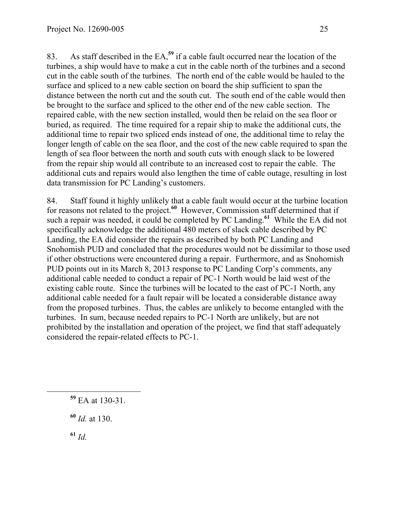83. As staff described in the EA,**<sup>59</sup>** if a cable fault occurred near the location of the turbines, a ship would have to make a cut in the cable north of the turbines and a second cut in the cable south of the turbines. The north end of the cable would be hauled to the surface and spliced to a new cable section on board the ship sufficient to span the distance between the north cut and the south cut. The south end of the cable would then be brought to the surface and spliced to the other end of the new cable section. The repaired cable, with the new section installed, would then be relaid on the sea floor or buried, as required. The time required for a repair ship to make the additional cuts, the additional time to repair two spliced ends instead of one, the additional time to relay the longer length of cable on the sea floor, and the cost of the new cable required to span the length of sea floor between the north and south cuts with enough slack to be lowered from the repair ship would all contribute to an increased cost to repair the cable. The additional cuts and repairs would also lengthen the time of cable outage, resulting in lost data transmission for PC Landing's customers.

84. Staff found it highly unlikely that a cable fault would occur at the turbine location for reasons not related to the project.<sup>60</sup> However, Commission staff determined that if such a repair was needed, it could be completed by PC Landing.**<sup>61</sup>** While the EA did not specifically acknowledge the additional 480 meters of slack cable described by PC Landing, the EA did consider the repairs as described by both PC Landing and Snohomish PUD and concluded that the procedures would not be dissimilar to those used if other obstructions were encountered during a repair. Furthermore, and as Snohomish PUD points out in its March 8, 2013 response to PC Landing Corp's comments, any additional cable needed to conduct a repair of PC-1 North would be laid west of the existing cable route. Since the turbines will be located to the east of PC-1 North, any additional cable needed for a fault repair will be located a considerable distance away from the proposed turbines. Thus, the cables are unlikely to become entangled with the turbines. In sum, because needed repairs to PC-1 North are unlikely, but are not prohibited by the installation and operation of the project, we find that staff adequately considered the repair-related effects to PC-1.

**<sup>61</sup>** *Id.*

**<sup>59</sup>** EA at 130-31.

**<sup>60</sup>** *Id.* at 130.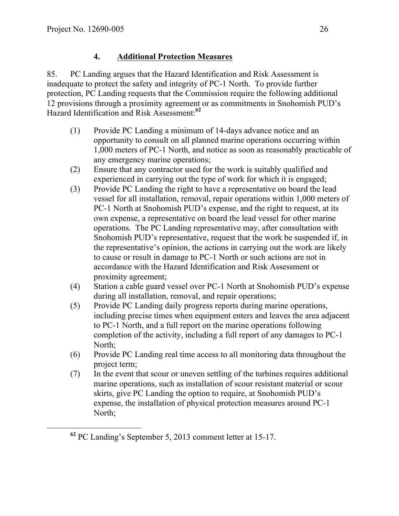# **4. Additional Protection Measures**

85. PC Landing argues that the Hazard Identification and Risk Assessment is inadequate to protect the safety and integrity of PC-1 North. To provide further protection, PC Landing requests that the Commission require the following additional 12 provisions through a proximity agreement or as commitments in Snohomish PUD's Hazard Identification and Risk Assessment: **62**

- (1) Provide PC Landing a minimum of 14-days advance notice and an opportunity to consult on all planned marine operations occurring within 1,000 meters of PC-1 North, and notice as soon as reasonably practicable of any emergency marine operations;
- (2) Ensure that any contractor used for the work is suitably qualified and experienced in carrying out the type of work for which it is engaged;
- (3) Provide PC Landing the right to have a representative on board the lead vessel for all installation, removal, repair operations within 1,000 meters of PC-1 North at Snohomish PUD's expense, and the right to request, at its own expense, a representative on board the lead vessel for other marine operations. The PC Landing representative may, after consultation with Snohomish PUD's representative, request that the work be suspended if, in the representative's opinion, the actions in carrying out the work are likely to cause or result in damage to PC-1 North or such actions are not in accordance with the Hazard Identification and Risk Assessment or proximity agreement;
- (4) Station a cable guard vessel over PC-1 North at Snohomish PUD's expense during all installation, removal, and repair operations;
- (5) Provide PC Landing daily progress reports during marine operations, including precise times when equipment enters and leaves the area adjacent to PC-1 North, and a full report on the marine operations following completion of the activity, including a full report of any damages to PC-1 North;
- (6) Provide PC Landing real time access to all monitoring data throughout the project term;
- (7) In the event that scour or uneven settling of the turbines requires additional marine operations, such as installation of scour resistant material or scour skirts, give PC Landing the option to require, at Snohomish PUD's expense, the installation of physical protection measures around PC-1 North;

**<sup>62</sup>** PC Landing's September 5, 2013 comment letter at 15-17.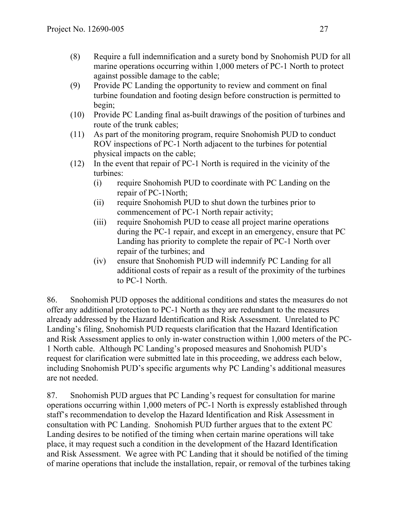- (8) Require a full indemnification and a surety bond by Snohomish PUD for all marine operations occurring within 1,000 meters of PC-1 North to protect against possible damage to the cable;
- (9) Provide PC Landing the opportunity to review and comment on final turbine foundation and footing design before construction is permitted to begin;
- (10) Provide PC Landing final as-built drawings of the position of turbines and route of the trunk cables;
- (11) As part of the monitoring program, require Snohomish PUD to conduct ROV inspections of PC-1 North adjacent to the turbines for potential physical impacts on the cable;
- (12) In the event that repair of PC-1 North is required in the vicinity of the turbines:
	- (i) require Snohomish PUD to coordinate with PC Landing on the repair of PC-1North;
	- (ii) require Snohomish PUD to shut down the turbines prior to commencement of PC-1 North repair activity;
	- (iii) require Snohomish PUD to cease all project marine operations during the PC-1 repair, and except in an emergency, ensure that PC Landing has priority to complete the repair of PC-1 North over repair of the turbines; and
	- (iv) ensure that Snohomish PUD will indemnify PC Landing for all additional costs of repair as a result of the proximity of the turbines to PC-1 North.

86. Snohomish PUD opposes the additional conditions and states the measures do not offer any additional protection to PC-1 North as they are redundant to the measures already addressed by the Hazard Identification and Risk Assessment. Unrelated to PC Landing's filing, Snohomish PUD requests clarification that the Hazard Identification and Risk Assessment applies to only in-water construction within 1,000 meters of the PC-1 North cable. Although PC Landing's proposed measures and Snohomish PUD's request for clarification were submitted late in this proceeding, we address each below, including Snohomish PUD's specific arguments why PC Landing's additional measures are not needed.

87. Snohomish PUD argues that PC Landing's request for consultation for marine operations occurring within 1,000 meters of PC-1 North is expressly established through staff's recommendation to develop the Hazard Identification and Risk Assessment in consultation with PC Landing. Snohomish PUD further argues that to the extent PC Landing desires to be notified of the timing when certain marine operations will take place, it may request such a condition in the development of the Hazard Identification and Risk Assessment. We agree with PC Landing that it should be notified of the timing of marine operations that include the installation, repair, or removal of the turbines taking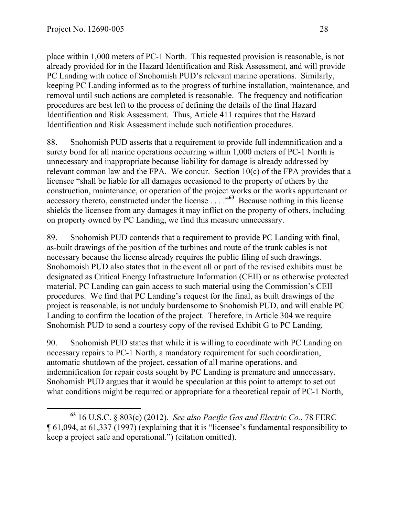place within 1,000 meters of PC-1 North. This requested provision is reasonable, is not already provided for in the Hazard Identification and Risk Assessment, and will provide PC Landing with notice of Snohomish PUD's relevant marine operations. Similarly, keeping PC Landing informed as to the progress of turbine installation, maintenance, and removal until such actions are completed is reasonable. The frequency and notification procedures are best left to the process of defining the details of the final Hazard Identification and Risk Assessment. Thus, Article 411 requires that the Hazard Identification and Risk Assessment include such notification procedures.

88. Snohomish PUD asserts that a requirement to provide full indemnification and a surety bond for all marine operations occurring within 1,000 meters of PC-1 North is unnecessary and inappropriate because liability for damage is already addressed by relevant common law and the FPA. We concur. Section 10(c) of the FPA provides that a licensee "shall be liable for all damages occasioned to the property of others by the construction, maintenance, or operation of the project works or the works appurtenant or accessory thereto, constructed under the license . . . ."**<sup>63</sup>** Because nothing in this license shields the licensee from any damages it may inflict on the property of others, including on property owned by PC Landing, we find this measure unnecessary.

89. Snohomish PUD contends that a requirement to provide PC Landing with final, as-built drawings of the position of the turbines and route of the trunk cables is not necessary because the license already requires the public filing of such drawings. Snohomoish PUD also states that in the event all or part of the revised exhibits must be designated as Critical Energy Infrastructure Information (CEII) or as otherwise protected material, PC Landing can gain access to such material using the Commission's CEII procedures. We find that PC Landing's request for the final, as built drawings of the project is reasonable, is not unduly burdensome to Snohomish PUD, and will enable PC Landing to confirm the location of the project. Therefore, in Article 304 we require Snohomish PUD to send a courtesy copy of the revised Exhibit G to PC Landing.

90. Snohomish PUD states that while it is willing to coordinate with PC Landing on necessary repairs to PC-1 North, a mandatory requirement for such coordination, automatic shutdown of the project, cessation of all marine operations, and indemnification for repair costs sought by PC Landing is premature and unnecessary. Snohomish PUD argues that it would be speculation at this point to attempt to set out what conditions might be required or appropriate for a theoretical repair of PC-1 North,

**<sup>63</sup>** 16 U.S.C. § 803(c) (2012). *See also Pacific Gas and Electric Co.*, 78 FERC ¶ 61,094, at 61,337 (1997) (explaining that it is "licensee's fundamental responsibility to keep a project safe and operational.") (citation omitted).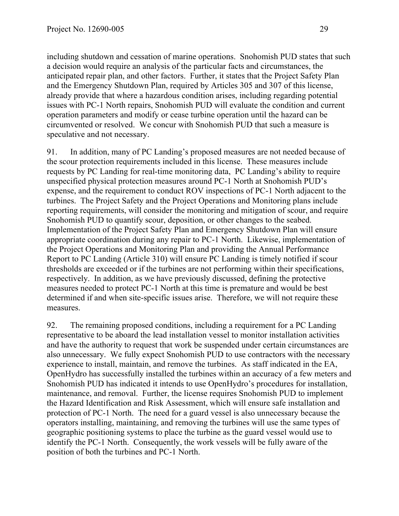including shutdown and cessation of marine operations. Snohomish PUD states that such a decision would require an analysis of the particular facts and circumstances, the anticipated repair plan, and other factors. Further, it states that the Project Safety Plan and the Emergency Shutdown Plan, required by Articles 305 and 307 of this license, already provide that where a hazardous condition arises, including regarding potential issues with PC-1 North repairs, Snohomish PUD will evaluate the condition and current operation parameters and modify or cease turbine operation until the hazard can be circumvented or resolved. We concur with Snohomish PUD that such a measure is speculative and not necessary.

91. In addition, many of PC Landing's proposed measures are not needed because of the scour protection requirements included in this license. These measures include requests by PC Landing for real-time monitoring data, PC Landing's ability to require unspecified physical protection measures around PC-1 North at Snohomish PUD's expense, and the requirement to conduct ROV inspections of PC-1 North adjacent to the turbines. The Project Safety and the Project Operations and Monitoring plans include reporting requirements, will consider the monitoring and mitigation of scour, and require Snohomish PUD to quantify scour, deposition, or other changes to the seabed. Implementation of the Project Safety Plan and Emergency Shutdown Plan will ensure appropriate coordination during any repair to PC-1 North. Likewise, implementation of the Project Operations and Monitoring Plan and providing the Annual Performance Report to PC Landing (Article 310) will ensure PC Landing is timely notified if scour thresholds are exceeded or if the turbines are not performing within their specifications, respectively. In addition, as we have previously discussed, defining the protective measures needed to protect PC-1 North at this time is premature and would be best determined if and when site-specific issues arise. Therefore, we will not require these measures.

92. The remaining proposed conditions, including a requirement for a PC Landing representative to be aboard the lead installation vessel to monitor installation activities and have the authority to request that work be suspended under certain circumstances are also unnecessary. We fully expect Snohomish PUD to use contractors with the necessary experience to install, maintain, and remove the turbines. As staff indicated in the EA, OpenHydro has successfully installed the turbines within an accuracy of a few meters and Snohomish PUD has indicated it intends to use OpenHydro's procedures for installation, maintenance, and removal. Further, the license requires Snohomish PUD to implement the Hazard Identification and Risk Assessment, which will ensure safe installation and protection of PC-1 North. The need for a guard vessel is also unnecessary because the operators installing, maintaining, and removing the turbines will use the same types of geographic positioning systems to place the turbine as the guard vessel would use to identify the PC-1 North. Consequently, the work vessels will be fully aware of the position of both the turbines and PC-1 North.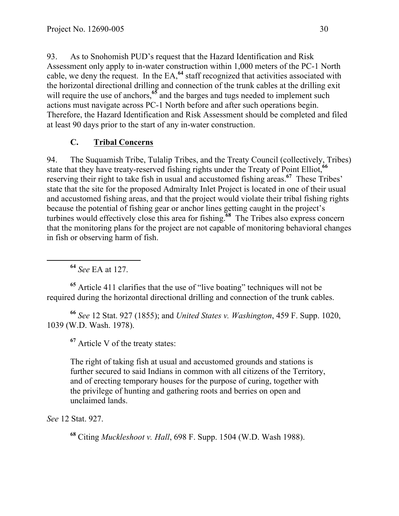93. As to Snohomish PUD's request that the Hazard Identification and Risk Assessment only apply to in-water construction within 1,000 meters of the PC-1 North cable, we deny the request. In the EA,**<sup>64</sup>** staff recognized that activities associated with the horizontal directional drilling and connection of the trunk cables at the drilling exit will require the use of anchors,<sup>65</sup> and the barges and tugs needed to implement such actions must navigate across PC-1 North before and after such operations begin. Therefore, the Hazard Identification and Risk Assessment should be completed and filed at least 90 days prior to the start of any in-water construction.

#### **C. Tribal Concerns**

94. The Suquamish Tribe, Tulalip Tribes, and the Treaty Council (collectively, Tribes) state that they have treaty-reserved fishing rights under the Treaty of Point Elliot,**<sup>66</sup>** reserving their right to take fish in usual and accustomed fishing areas.**<sup>67</sup>** These Tribes' state that the site for the proposed Admiralty Inlet Project is located in one of their usual and accustomed fishing areas, and that the project would violate their tribal fishing rights because the potential of fishing gear or anchor lines getting caught in the project's turbines would effectively close this area for fishing.**<sup>68</sup>** The Tribes also express concern that the monitoring plans for the project are not capable of monitoring behavioral changes in fish or observing harm of fish.

**<sup>64</sup>** *See* EA at 127.

**<sup>65</sup>** Article 411 clarifies that the use of "live boating" techniques will not be required during the horizontal directional drilling and connection of the trunk cables.

**<sup>66</sup>** *See* 12 Stat. 927 (1855); and *United States v. Washington*, 459 F. Supp. 1020, 1039 (W.D. Wash. 1978).

**<sup>67</sup>** Article V of the treaty states:

The right of taking fish at usual and accustomed grounds and stations is further secured to said Indians in common with all citizens of the Territory, and of erecting temporary houses for the purpose of curing, together with the privilege of hunting and gathering roots and berries on open and unclaimed lands.

*See* 12 Stat. 927.

**<sup>68</sup>** Citing *Muckleshoot v. Hall*, 698 F. Supp. 1504 (W.D. Wash 1988).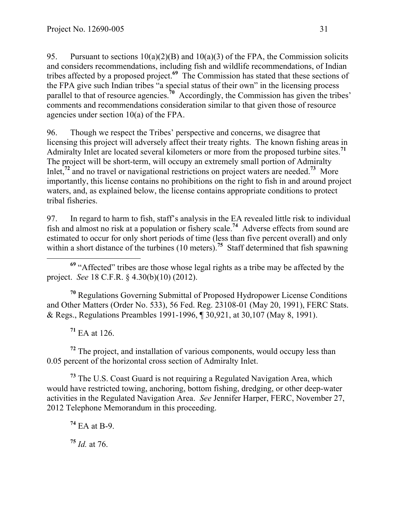95. Pursuant to sections  $10(a)(2)(B)$  and  $10(a)(3)$  of the FPA, the Commission solicits and considers recommendations, including fish and wildlife recommendations, of Indian tribes affected by a proposed project.**<sup>69</sup>** The Commission has stated that these sections of the FPA give such Indian tribes "a special status of their own" in the licensing process parallel to that of resource agencies.<sup>70</sup> Accordingly, the Commission has given the tribes' comments and recommendations consideration similar to that given those of resource agencies under section 10(a) of the FPA.

96. Though we respect the Tribes' perspective and concerns, we disagree that licensing this project will adversely affect their treaty rights. The known fishing areas in Admiralty Inlet are located several kilometers or more from the proposed turbine sites. **71** The project will be short-term, will occupy an extremely small portion of Admiralty Inlet,<sup>72</sup> and no travel or navigational restrictions on project waters are needed.<sup>73</sup> More importantly, this license contains no prohibitions on the right to fish in and around project waters, and, as explained below, the license contains appropriate conditions to protect tribal fisheries.

97. In regard to harm to fish, staff's analysis in the EA revealed little risk to individual fish and almost no risk at a population or fishery scale.<sup>74</sup> Adverse effects from sound are estimated to occur for only short periods of time (less than five percent overall) and only within a short distance of the turbines (10 meters).<sup>75</sup> Staff determined that fish spawning

 **<sup>69</sup>** "Affected" tribes are those whose legal rights as a tribe may be affected by the project. *See* 18 C.F.R. § 4.30(b)(10) (2012).

**<sup>70</sup>** Regulations Governing Submittal of Proposed Hydropower License Conditions and Other Matters (Order No. 533), 56 Fed. Reg. 23108-01 (May 20, 1991), FERC Stats. & Regs., Regulations Preambles 1991-1996, ¶ 30,921, at 30,107 (May 8, 1991).

**<sup>71</sup>** EA at 126.

**<sup>72</sup>** The project, and installation of various components, would occupy less than 0.05 percent of the horizontal cross section of Admiralty Inlet.

**<sup>73</sup>** The U.S. Coast Guard is not requiring a Regulated Navigation Area, which would have restricted towing, anchoring, bottom fishing, dredging, or other deep-water activities in the Regulated Navigation Area. *See* Jennifer Harper, FERC, November 27, 2012 Telephone Memorandum in this proceeding.

**<sup>74</sup>** EA at B-9. **<sup>75</sup>** *Id.* at 76.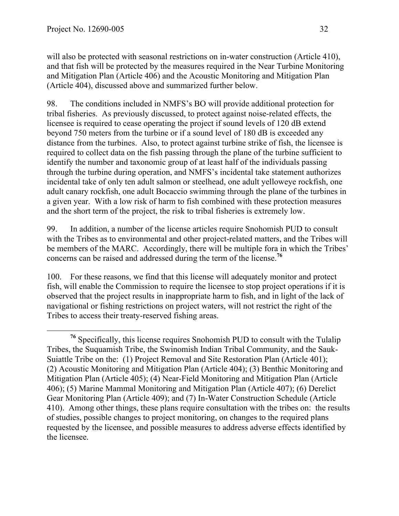will also be protected with seasonal restrictions on in-water construction (Article 410), and that fish will be protected by the measures required in the Near Turbine Monitoring and Mitigation Plan (Article 406) and the Acoustic Monitoring and Mitigation Plan (Article 404), discussed above and summarized further below.

98. The conditions included in NMFS's BO will provide additional protection for tribal fisheries. As previously discussed, to protect against noise-related effects, the licensee is required to cease operating the project if sound levels of 120 dB extend beyond 750 meters from the turbine or if a sound level of 180 dB is exceeded any distance from the turbines. Also, to protect against turbine strike of fish, the licensee is required to collect data on the fish passing through the plane of the turbine sufficient to identify the number and taxonomic group of at least half of the individuals passing through the turbine during operation, and NMFS's incidental take statement authorizes incidental take of only ten adult salmon or steelhead, one adult yelloweye rockfish, one adult canary rockfish, one adult Bocaccio swimming through the plane of the turbines in a given year. With a low risk of harm to fish combined with these protection measures and the short term of the project, the risk to tribal fisheries is extremely low.

99. In addition, a number of the license articles require Snohomish PUD to consult with the Tribes as to environmental and other project-related matters, and the Tribes will be members of the MARC. Accordingly, there will be multiple fora in which the Tribes' concerns can be raised and addressed during the term of the license.**<sup>76</sup>**

100. For these reasons, we find that this license will adequately monitor and protect fish, will enable the Commission to require the licensee to stop project operations if it is observed that the project results in inappropriate harm to fish, and in light of the lack of navigational or fishing restrictions on project waters, will not restrict the right of the Tribes to access their treaty-reserved fishing areas.

**<sup>76</sup>** Specifically, this license requires Snohomish PUD to consult with the Tulalip Tribes, the Suquamish Tribe, the Swinomish Indian Tribal Community, and the Sauk-Suiattle Tribe on the: (1) Project Removal and Site Restoration Plan (Article 401); (2) Acoustic Monitoring and Mitigation Plan (Article 404); (3) Benthic Monitoring and Mitigation Plan (Article 405); (4) Near-Field Monitoring and Mitigation Plan (Article 406); (5) Marine Mammal Monitoring and Mitigation Plan (Article 407); (6) Derelict Gear Monitoring Plan (Article 409); and (7) In-Water Construction Schedule (Article 410). Among other things, these plans require consultation with the tribes on: the results of studies, possible changes to project monitoring, on changes to the required plans requested by the licensee, and possible measures to address adverse effects identified by the licensee.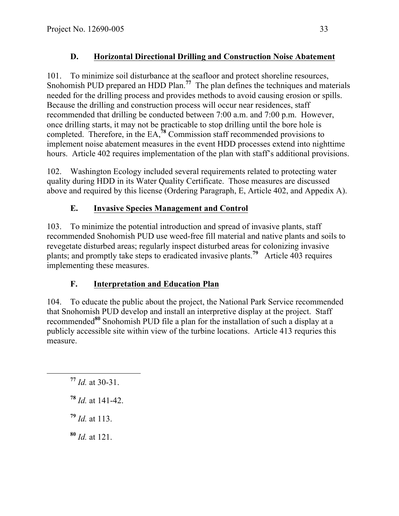# **D. Horizontal Directional Drilling and Construction Noise Abatement**

101. To minimize soil disturbance at the seafloor and protect shoreline resources, Snohomish PUD prepared an HDD Plan.<sup>77</sup> The plan defines the techniques and materials needed for the drilling process and provides methods to avoid causing erosion or spills. Because the drilling and construction process will occur near residences, staff recommended that drilling be conducted between 7:00 a.m. and 7:00 p.m. However, once drilling starts, it may not be practicable to stop drilling until the bore hole is completed. Therefore, in the EA,**<sup>78</sup>** Commission staff recommended provisions to implement noise abatement measures in the event HDD processes extend into nighttime hours. Article 402 requires implementation of the plan with staff's additional provisions.

102. Washington Ecology included several requirements related to protecting water quality during HDD in its Water Quality Certificate. Those measures are discussed above and required by this license (Ordering Paragraph, E, Article 402, and Appedix A).

# **E. Invasive Species Management and Control**

103. To minimize the potential introduction and spread of invasive plants, staff recommended Snohomish PUD use weed-free fill material and native plants and soils to revegetate disturbed areas; regularly inspect disturbed areas for colonizing invasive plants; and promptly take steps to eradicated invasive plants.**<sup>79</sup>** Article 403 requires implementing these measures.

# **F. Interpretation and Education Plan**

104. To educate the public about the project, the National Park Service recommended that Snohomish PUD develop and install an interpretive display at the project. Staff recommended**<sup>80</sup>** Snohomish PUD file a plan for the installation of such a display at a publicly accessible site within view of the turbine locations. Article 413 requries this measure.

**<sup>79</sup>** *Id.* at 113.

**<sup>80</sup>** *Id.* at 121.

**<sup>77</sup>** *Id.* at 30-31.

**<sup>78</sup>** *Id.* at 141-42.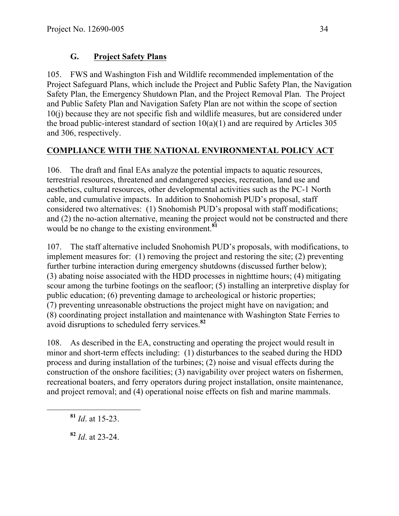# **G. Project Safety Plans**

105. FWS and Washington Fish and Wildlife recommended implementation of the Project Safeguard Plans, which include the Project and Public Safety Plan, the Navigation Safety Plan, the Emergency Shutdown Plan, and the Project Removal Plan. The Project and Public Safety Plan and Navigation Safety Plan are not within the scope of section 10(j) because they are not specific fish and wildlife measures, but are considered under the broad public-interest standard of section  $10(a)(1)$  and are required by Articles 305 and 306, respectively.

#### **COMPLIANCE WITH THE NATIONAL ENVIRONMENTAL POLICY ACT**

106. The draft and final EAs analyze the potential impacts to aquatic resources, terrestrial resources, threatened and endangered species, recreation, land use and aesthetics, cultural resources, other developmental activities such as the PC-1 North cable, and cumulative impacts. In addition to Snohomish PUD's proposal, staff considered two alternatives: (1) Snohomish PUD's proposal with staff modifications; and (2) the no-action alternative, meaning the project would not be constructed and there would be no change to the existing environment.**<sup>81</sup>**

107. The staff alternative included Snohomish PUD's proposals, with modifications, to implement measures for: (1) removing the project and restoring the site; (2) preventing further turbine interaction during emergency shutdowns (discussed further below); (3) abating noise associated with the HDD processes in nighttime hours; (4) mitigating scour among the turbine footings on the seafloor; (5) installing an interpretive display for public education; (6) preventing damage to archeological or historic properties; (7) preventing unreasonable obstructions the project might have on navigation; and (8) coordinating project installation and maintenance with Washington State Ferries to avoid disruptions to scheduled ferry services.**<sup>82</sup>**

108. As described in the EA, constructing and operating the project would result in minor and short-term effects including: (1) disturbances to the seabed during the HDD process and during installation of the turbines; (2) noise and visual effects during the construction of the onshore facilities; (3) navigability over project waters on fishermen, recreational boaters, and ferry operators during project installation, onsite maintenance, and project removal; and (4) operational noise effects on fish and marine mammals.

**<sup>81</sup>** *Id*. at 15-23.

**<sup>82</sup>** *Id*. at 23-24.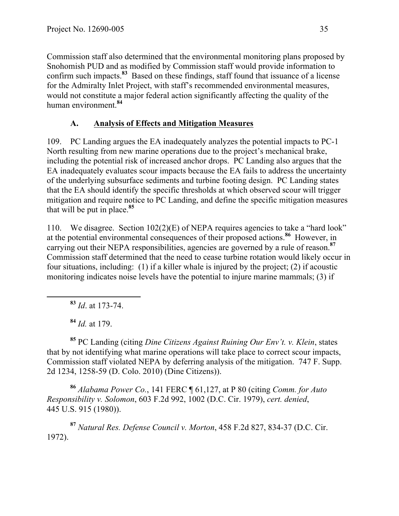Commission staff also determined that the environmental monitoring plans proposed by Snohomish PUD and as modified by Commission staff would provide information to confirm such impacts.**<sup>83</sup>** Based on these findings, staff found that issuance of a license for the Admiralty Inlet Project, with staff's recommended environmental measures, would not constitute a major federal action significantly affecting the quality of the human environment.**<sup>84</sup>**

# **A. Analysis of Effects and Mitigation Measures**

109. PC Landing argues the EA inadequately analyzes the potential impacts to PC-1 North resulting from new marine operations due to the project's mechanical brake, including the potential risk of increased anchor drops. PC Landing also argues that the EA inadequately evaluates scour impacts because the EA fails to address the uncertainty of the underlying subsurface sediments and turbine footing design. PC Landing states that the EA should identify the specific thresholds at which observed scour will trigger mitigation and require notice to PC Landing, and define the specific mitigation measures that will be put in place.**<sup>85</sup>**

110. We disagree. Section 102(2)(E) of NEPA requires agencies to take a "hard look" at the potential environmental consequences of their proposed actions.**<sup>86</sup>** However, in carrying out their NEPA responsibilities, agencies are governed by a rule of reason.**<sup>87</sup>** Commission staff determined that the need to cease turbine rotation would likely occur in four situations, including: (1) if a killer whale is injured by the project; (2) if acoustic monitoring indicates noise levels have the potential to injure marine mammals; (3) if

**<sup>83</sup>** *Id*. at 173-74.

**<sup>84</sup>** *Id.* at 179.

**<sup>85</sup>** PC Landing (citing *Dine Citizens Against Ruining Our Env't. v. Klein*, states that by not identifying what marine operations will take place to correct scour impacts, Commission staff violated NEPA by deferring analysis of the mitigation. 747 F. Supp. 2d 1234, 1258-59 (D. Colo. 2010) (Dine Citizens)).

**<sup>86</sup>** *Alabama Power Co.*, 141 FERC ¶ 61,127, at P 80 (citing *Comm. for Auto Responsibility v. Solomon*, 603 F.2d 992, 1002 (D.C. Cir. 1979), *cert. denied*, 445 U.S. 915 (1980)).

**<sup>87</sup>** *Natural Res. Defense Council v. Morton*, 458 F.2d 827, 834-37 (D.C. Cir. 1972).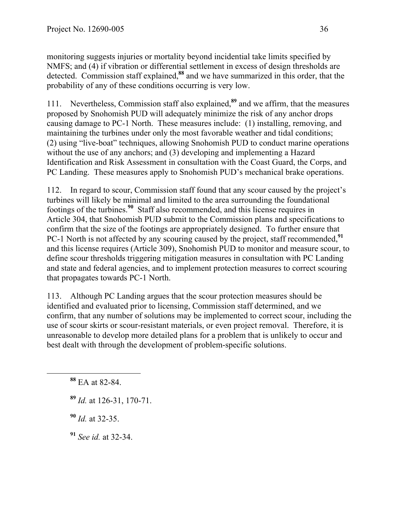monitoring suggests injuries or mortality beyond incidential take limits specified by NMFS; and (4) if vibration or differential settlement in excess of design thresholds are detected. Commission staff explained,**<sup>88</sup>** and we have summarized in this order, that the probability of any of these conditions occurring is very low.

111. Nevertheless, Commission staff also explained,**<sup>89</sup>** and we affirm, that the measures proposed by Snohomish PUD will adequately minimize the risk of any anchor drops causing damage to PC-1 North. These measures include: (1) installing, removing, and maintaining the turbines under only the most favorable weather and tidal conditions; (2) using "live-boat" techniques, allowing Snohomish PUD to conduct marine operations without the use of any anchors; and (3) developing and implementing a Hazard Identification and Risk Assessment in consultation with the Coast Guard, the Corps, and PC Landing. These measures apply to Snohomish PUD's mechanical brake operations.

112. In regard to scour, Commission staff found that any scour caused by the project's turbines will likely be minimal and limited to the area surrounding the foundational footings of the turbines.**<sup>90</sup>** Staff also recommended, and this license requires in Article 304, that Snohomish PUD submit to the Commission plans and specifications to confirm that the size of the footings are appropriately designed. To further ensure that PC-1 North is not affected by any scouring caused by the project, staff recommended,<sup>91</sup> and this license requires (Article 309), Snohomish PUD to monitor and measure scour, to define scour thresholds triggering mitigation measures in consultation with PC Landing and state and federal agencies, and to implement protection measures to correct scouring that propagates towards PC-1 North.

113. Although PC Landing argues that the scour protection measures should be identified and evaluated prior to licensing, Commission staff determined, and we confirm, that any number of solutions may be implemented to correct scour, including the use of scour skirts or scour-resistant materials, or even project removal. Therefore, it is unreasonable to develop more detailed plans for a problem that is unlikely to occur and best dealt with through the development of problem-specific solutions.

**<sup>89</sup>** *Id.* at 126-31, 170-71.

**<sup>90</sup>** *Id.* at 32-35.

**<sup>91</sup>** *See id.* at 32-34.

**<sup>88</sup>** EA at 82-84.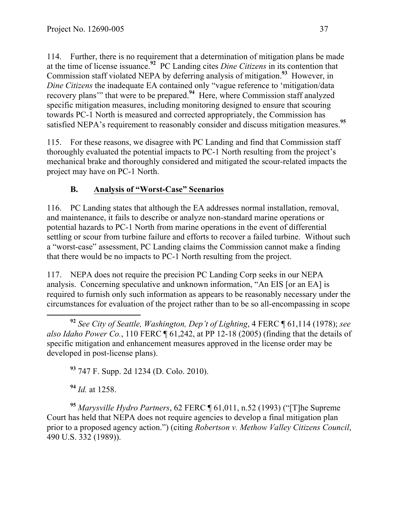114. Further, there is no requirement that a determination of mitigation plans be made at the time of license issuance.**<sup>92</sup>** PC Landing cites *Dine Citizens* in its contention that Commission staff violated NEPA by deferring analysis of mitigation.**<sup>93</sup>** However, in *Dine Citizens* the inadequate EA contained only "vague reference to 'mitigation/data recovery plans'" that were to be prepared.<sup>94</sup> Here, where Commission staff analyzed specific mitigation measures, including monitoring designed to ensure that scouring towards PC-1 North is measured and corrected appropriately, the Commission has satisfied NEPA's requirement to reasonably consider and discuss mitigation measures.**<sup>95</sup>**

115. For these reasons, we disagree with PC Landing and find that Commission staff thoroughly evaluated the potential impacts to PC-1 North resulting from the project's mechanical brake and thoroughly considered and mitigated the scour-related impacts the project may have on PC-1 North.

## **B. Analysis of "Worst-Case" Scenarios**

116. PC Landing states that although the EA addresses normal installation, removal, and maintenance, it fails to describe or analyze non-standard marine operations or potential hazards to PC-1 North from marine operations in the event of differential settling or scour from turbine failure and efforts to recover a failed turbine. Without such a "worst-case" assessment, PC Landing claims the Commission cannot make a finding that there would be no impacts to PC-1 North resulting from the project.

117. NEPA does not require the precision PC Landing Corp seeks in our NEPA analysis. Concerning speculative and unknown information, "An EIS [or an EA] is required to furnish only such information as appears to be reasonably necessary under the circumstances for evaluation of the project rather than to be so all-encompassing in scope

**<sup>93</sup>** 747 F. Supp. 2d 1234 (D. Colo. 2010).

**<sup>94</sup>** *Id.* at 1258.

**<sup>95</sup>** *Marysville Hydro Partners*, 62 FERC ¶ 61,011, n.52 (1993) ("[T]he Supreme Court has held that NEPA does not require agencies to develop a final mitigation plan prior to a proposed agency action.") (citing *Robertson v. Methow Valley Citizens Council*, 490 U.S. 332 (1989)).

**<sup>92</sup>** *See City of Seattle, Washington, Dep't of Lighting*, 4 FERC ¶ 61,114 (1978); *see also Idaho Power Co.*, 110 FERC ¶ 61,242, at PP 12-18 (2005) (finding that the details of specific mitigation and enhancement measures approved in the license order may be developed in post-license plans).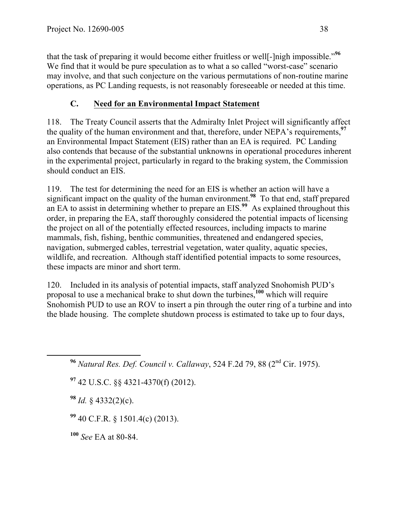that the task of preparing it would become either fruitless or well[-]nigh impossible."**<sup>96</sup>** We find that it would be pure speculation as to what a so called "worst-case" scenario may involve, and that such conjecture on the various permutations of non-routine marine operations, as PC Landing requests, is not reasonably foreseeable or needed at this time.

#### **C. Need for an Environmental Impact Statement**

118. The Treaty Council asserts that the Admiralty Inlet Project will significantly affect the quality of the human environment and that, therefore, under NEPA's requirements,<sup>97</sup> an Environmental Impact Statement (EIS) rather than an EA is required. PC Landing also contends that because of the substantial unknowns in operational procedures inherent in the experimental project, particularly in regard to the braking system, the Commission should conduct an EIS.

119. The test for determining the need for an EIS is whether an action will have a significant impact on the quality of the human environment.**<sup>98</sup>** To that end, staff prepared an EA to assist in determining whether to prepare an EIS.**<sup>99</sup>** As explained throughout this order, in preparing the EA, staff thoroughly considered the potential impacts of licensing the project on all of the potentially effected resources, including impacts to marine mammals, fish, fishing, benthic communities, threatened and endangered species, navigation, submerged cables, terrestrial vegetation, water quality, aquatic species, wildlife, and recreation. Although staff identified potential impacts to some resources, these impacts are minor and short term.

120. Included in its analysis of potential impacts, staff analyzed Snohomish PUD's proposal to use a mechanical brake to shut down the turbines,**<sup>100</sup>** which will require Snohomish PUD to use an ROV to insert a pin through the outer ring of a turbine and into the blade housing. The complete shutdown process is estimated to take up to four days,

**<sup>96</sup>** *Natural Res. Def. Council v. Callaway*, 524 F.2d 79, 88 (2nd Cir. 1975).

**<sup>97</sup>** 42 U.S.C. §§ 4321-4370(f) (2012).

**<sup>98</sup>** *Id.* § 4332(2)(c).

**<sup>99</sup>** 40 C.F.R. § 1501.4(c) (2013).

**<sup>100</sup>** *See* EA at 80-84.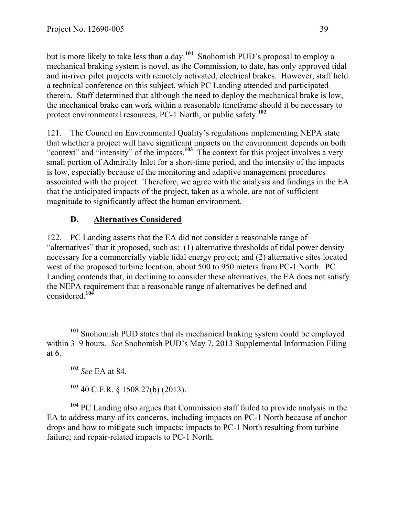but is more likely to take less than a day.**<sup>101</sup>** Snohomish PUD's proposal to employ a mechanical braking system is novel, as the Commission, to date, has only approved tidal and in-river pilot projects with remotely activated, electrical brakes. However, staff held a technical conference on this subject, which PC Landing attended and participated therein. Staff determined that although the need to deploy the mechanical brake is low, the mechanical brake can work within a reasonable timeframe should it be necessary to protect environmental resources, PC-1 North, or public safety.**<sup>102</sup>**

121. The Council on Environmental Quality's regulations implementing NEPA state that whether a project will have significant impacts on the environment depends on both "context" and "intensity" of the impacts.<sup>103</sup> The context for this project involves a very small portion of Admiralty Inlet for a short-time period, and the intensity of the impacts is low, especially because of the monitoring and adaptive management procedures associated with the project. Therefore, we agree with the analysis and findings in the EA that the anticipated impacts of the project, taken as a whole, are not of sufficient magnitude to significantly affect the human environment.

## **D. Alternatives Considered**

122. PC Landing asserts that the EA did not consider a reasonable range of "alternatives" that it proposed, such as: (1) alternative thresholds of tidal power density necessary for a commercially viable tidal energy project; and (2) alternative sites located west of the proposed turbine location, about 500 to 950 meters from PC-1 North. PC Landing contends that, in declining to consider these alternatives, the EA does not satisfy the NEPA requirement that a reasonable range of alternatives be defined and considered.**<sup>104</sup>**

**<sup>102</sup>** *See* EA at 84.

**<sup>103</sup>** 40 C.F.R. § 1508.27(b) (2013).

**<sup>104</sup>** PC Landing also argues that Commission staff failed to provide analysis in the EA to address many of its concerns, including impacts on PC-1 North because of anchor drops and how to mitigate such impacts; impacts to PC-1 North resulting from turbine failure; and repair-related impacts to PC-1 North.

**<sup>101</sup>** Snohomish PUD states that its mechanical braking system could be employed within 3–9 hours. *See* Snohomish PUD's May 7, 2013 Supplemental Information Filing at 6.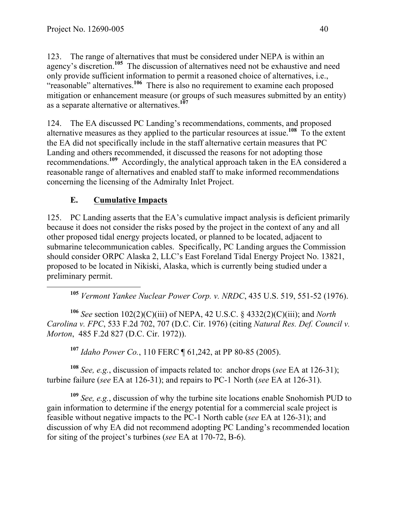123. The range of alternatives that must be considered under NEPA is within an agency's discretion.**<sup>105</sup>** The discussion of alternatives need not be exhaustive and need only provide sufficient information to permit a reasoned choice of alternatives, i.e., "reasonable" alternatives.**<sup>106</sup>** There is also no requirement to examine each proposed mitigation or enhancement measure (or groups of such measures submitted by an entity) as a separate alternative or alternatives.**<sup>107</sup>**

124. The EA discussed PC Landing's recommendations, comments, and proposed alternative measures as they applied to the particular resources at issue.**<sup>108</sup>** To the extent the EA did not specifically include in the staff alternative certain measures that PC Landing and others recommended, it discussed the reasons for not adopting those recommendations.**<sup>109</sup>** Accordingly, the analytical approach taken in the EA considered a reasonable range of alternatives and enabled staff to make informed recommendations concerning the licensing of the Admiralty Inlet Project.

## **E. Cumulative Impacts**

125. PC Landing asserts that the EA's cumulative impact analysis is deficient primarily because it does not consider the risks posed by the project in the context of any and all other proposed tidal energy projects located, or planned to be located, adjacent to submarine telecommunication cables. Specifically, PC Landing argues the Commission should consider ORPC Alaska 2, LLC's East Foreland Tidal Energy Project No. 13821, proposed to be located in Nikiski, Alaska, which is currently being studied under a preliminary permit.

**<sup>105</sup>** *Vermont Yankee Nuclear Power Corp. v. NRDC*, 435 U.S. 519, 551-52 (1976).

**<sup>106</sup>** *See* section 102(2)(C)(iii) of NEPA, 42 U.S.C. § 4332(2)(C)(iii); and *North Carolina v. FPC*, 533 F.2d 702, 707 (D.C. Cir. 1976) (citing *Natural Res. Def. Council v. Morton*, 485 F.2d 827 (D.C. Cir. 1972)).

**<sup>107</sup>** *Idaho Power Co.*, 110 FERC ¶ 61,242, at PP 80-85 (2005).

**<sup>108</sup>** *See, e.g.*, discussion of impacts related to: anchor drops (*see* EA at 126-31); turbine failure (*see* EA at 126-31); and repairs to PC-1 North (*see* EA at 126-31).

**<sup>109</sup>** *See, e.g.*, discussion of why the turbine site locations enable Snohomish PUD to gain information to determine if the energy potential for a commercial scale project is feasible without negative impacts to the PC-1 North cable (*see* EA at 126-31); and discussion of why EA did not recommend adopting PC Landing's recommended location for siting of the project's turbines (*see* EA at 170-72, B-6).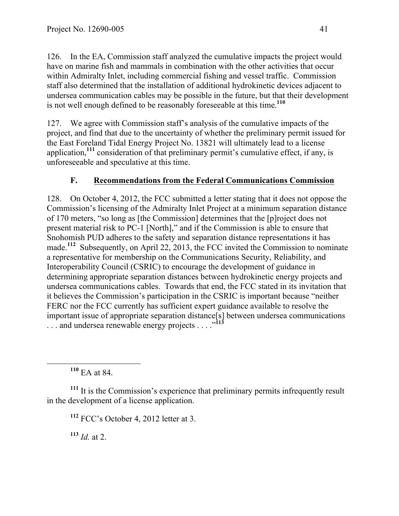126. In the EA, Commission staff analyzed the cumulative impacts the project would have on marine fish and mammals in combination with the other activities that occur within Admiralty Inlet, including commercial fishing and vessel traffic. Commission staff also determined that the installation of additional hydrokinetic devices adjacent to undersea communication cables may be possible in the future, but that their development is not well enough defined to be reasonably foreseeable at this time.**<sup>110</sup>**

127. We agree with Commission staff's analysis of the cumulative impacts of the project, and find that due to the uncertainty of whether the preliminary permit issued for the East Foreland Tidal Energy Project No. 13821 will ultimately lead to a license application,**<sup>111</sup>** consideration of that preliminary permit's cumulative effect, if any, is unforeseeable and speculative at this time.

#### **F. Recommendations from the Federal Communications Commission**

128. On October 4, 2012, the FCC submitted a letter stating that it does not oppose the Commission's licensing of the Admiralty Inlet Project at a minimum separation distance of 170 meters, "so long as [the Commission] determines that the [p]roject does not present material risk to PC-1 [North]," and if the Commission is able to ensure that Snohomish PUD adheres to the safety and separation distance representations it has made.<sup>112</sup> Subsequently, on April 22, 2013, the FCC invited the Commission to nominate a representative for membership on the Communications Security, Reliability, and Interoperability Council (CSRIC) to encourage the development of guidance in determining appropriate separation distances between hydrokinetic energy projects and undersea communications cables. Towards that end, the FCC stated in its invitation that it believes the Commission's participation in the CSRIC is important because "neither FERC nor the FCC currently has sufficient expert guidance available to resolve the important issue of appropriate separation distance[s] between undersea communications . . . and undersea renewable energy projects . . . . <sup>. . 113</sup>

**<sup>110</sup>** EA at 84.

<sup>111</sup> It is the Commission's experience that preliminary permits infrequently result in the development of a license application.

**<sup>112</sup>** FCC's October 4, 2012 letter at 3.

**<sup>113</sup>** *Id.* at 2.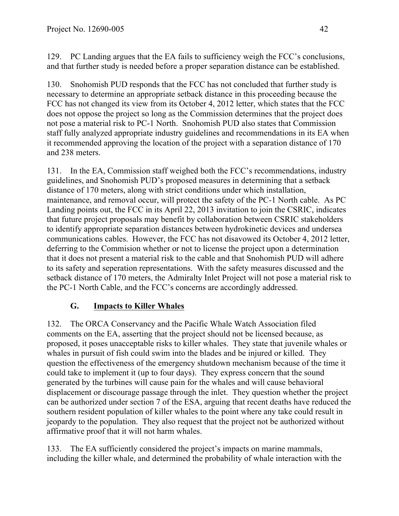129. PC Landing argues that the EA fails to sufficiency weigh the FCC's conclusions, and that further study is needed before a proper separation distance can be established.

130. Snohomish PUD responds that the FCC has not concluded that further study is necessary to determine an appropriate setback distance in this proceeding because the FCC has not changed its view from its October 4, 2012 letter, which states that the FCC does not oppose the project so long as the Commission determines that the project does not pose a material risk to PC-1 North. Snohomish PUD also states that Commission staff fully analyzed appropriate industry guidelines and recommendations in its EA when it recommended approving the location of the project with a separation distance of 170 and 238 meters.

131. In the EA, Commission staff weighed both the FCC's recommendations, industry guidelines, and Snohomish PUD's proposed measures in determining that a setback distance of 170 meters, along with strict conditions under which installation, maintenance, and removal occur, will protect the safety of the PC-1 North cable. As PC Landing points out, the FCC in its April 22, 2013 invitation to join the CSRIC, indicates that future project proposals may benefit by collaboration between CSRIC stakeholders to identify appropriate separation distances between hydrokinetic devices and undersea communications cables. However, the FCC has not disavowed its October 4, 2012 letter, deferring to the Commision whether or not to license the project upon a determination that it does not present a material risk to the cable and that Snohomish PUD will adhere to its safety and seperation representations. With the safety measures discussed and the setback distance of 170 meters, the Admiralty Inlet Project will not pose a material risk to the PC-1 North Cable, and the FCC's concerns are accordingly addressed.

## **G. Impacts to Killer Whales**

132. The ORCA Conservancy and the Pacific Whale Watch Association filed comments on the EA, asserting that the project should not be licensed because, as proposed, it poses unacceptable risks to killer whales. They state that juvenile whales or whales in pursuit of fish could swim into the blades and be injured or killed. They question the effectiveness of the emergency shutdown mechanism because of the time it could take to implement it (up to four days). They express concern that the sound generated by the turbines will cause pain for the whales and will cause behavioral displacement or discourage passage through the inlet. They question whether the project can be authorized under section 7 of the ESA, arguing that recent deaths have reduced the southern resident population of killer whales to the point where any take could result in jeopardy to the population. They also request that the project not be authorized without affirmative proof that it will not harm whales.

133. The EA sufficiently considered the project's impacts on marine mammals, including the killer whale, and determined the probability of whale interaction with the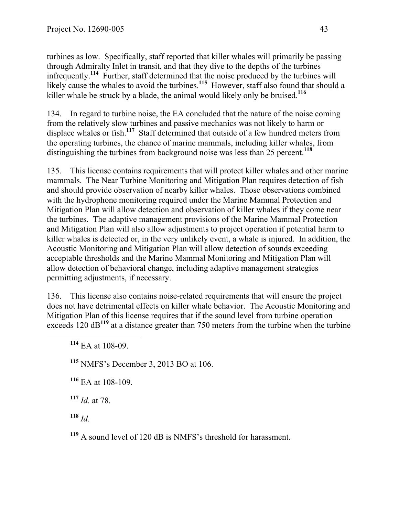turbines as low. Specifically, staff reported that killer whales will primarily be passing through Admiralty Inlet in transit, and that they dive to the depths of the turbines infrequently.**<sup>114</sup>** Further, staff determined that the noise produced by the turbines will likely cause the whales to avoid the turbines.**<sup>115</sup>** However, staff also found that should a killer whale be struck by a blade, the animal would likely only be bruised. **<sup>116</sup>**

134. In regard to turbine noise, the EA concluded that the nature of the noise coming from the relatively slow turbines and passive mechanics was not likely to harm or displace whales or fish.<sup>117</sup> Staff determined that outside of a few hundred meters from the operating turbines, the chance of marine mammals, including killer whales, from distinguishing the turbines from background noise was less than 25 percent.**<sup>118</sup>**

135. This license contains requirements that will protect killer whales and other marine mammals. The Near Turbine Monitoring and Mitigation Plan requires detection of fish and should provide observation of nearby killer whales. Those observations combined with the hydrophone monitoring required under the Marine Mammal Protection and Mitigation Plan will allow detection and observation of killer whales if they come near the turbines. The adaptive management provisions of the Marine Mammal Protection and Mitigation Plan will also allow adjustments to project operation if potential harm to killer whales is detected or, in the very unlikely event, a whale is injured. In addition, the Acoustic Monitoring and Mitigation Plan will allow detection of sounds exceeding acceptable thresholds and the Marine Mammal Monitoring and Mitigation Plan will allow detection of behavioral change, including adaptive management strategies permitting adjustments, if necessary.

136. This license also contains noise-related requirements that will ensure the project does not have detrimental effects on killer whale behavior. The Acoustic Monitoring and Mitigation Plan of this license requires that if the sound level from turbine operation exceeds 120 dB<sup>119</sup> at a distance greater than 750 meters from the turbine when the turbine

**<sup>115</sup>** NMFS's December 3, 2013 BO at 106.

**<sup>116</sup>** EA at 108-109.

**<sup>117</sup>** *Id.* at 78.

**<sup>118</sup>** *Id.*

**<sup>119</sup>** A sound level of 120 dB is NMFS's threshold for harassment.

**<sup>114</sup>** EA at 108-09.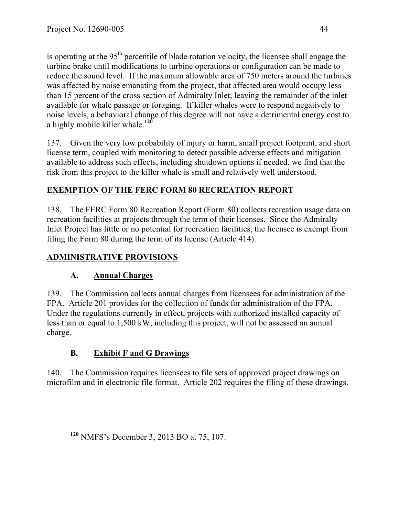is operating at the  $95<sup>th</sup>$  percentile of blade rotation velocity, the licensee shall engage the turbine brake until modifications to turbine operations or configuration can be made to reduce the sound level. If the maximum allowable area of 750 meters around the turbines was affected by noise emanating from the project, that affected area would occupy less than 15 percent of the cross section of Admiralty Inlet, leaving the remainder of the inlet available for whale passage or foraging. If killer whales were to respond negatively to noise levels, a behavioral change of this degree will not have a detrimental energy cost to a highly mobile killer whale. **<sup>120</sup>**

137. Given the very low probability of injury or harm, small project footprint, and short license term, coupled with monitoring to detect possible adverse effects and mitigation available to address such effects, including shutdown options if needed, we find that the risk from this project to the killer whale is small and relatively well understood.

#### **EXEMPTION OF THE FERC FORM 80 RECREATION REPORT**

138. The FERC Form 80 Recreation Report (Form 80) collects recreation usage data on recreation facilities at projects through the term of their licenses. Since the Admiralty Inlet Project has little or no potential for recreation facilities, the licensee is exempt from filing the Form 80 during the term of its license (Article 414).

#### **ADMINISTRATIVE PROVISIONS**

#### **A. Annual Charges**

139. The Commission collects annual charges from licensees for administration of the FPA. Article 201 provides for the collection of funds for administration of the FPA. Under the regulations currently in effect, projects with authorized installed capacity of less than or equal to 1,500 kW, including this project, will not be assessed an annual charge.

## **B. Exhibit F and G Drawings**

140. The Commission requires licensees to file sets of approved project drawings on microfilm and in electronic file format. Article 202 requires the filing of these drawings.

**<sup>120</sup>** NMFS's December 3, 2013 BO at 75, 107.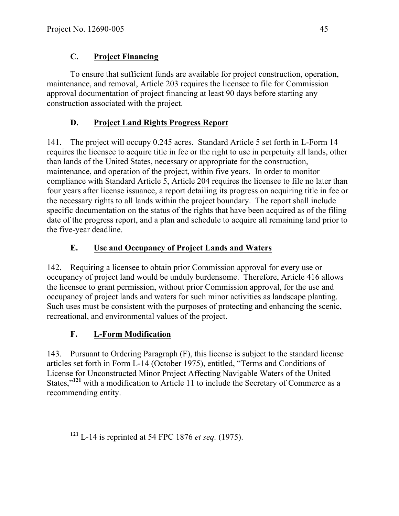## **C. Project Financing**

To ensure that sufficient funds are available for project construction, operation, maintenance, and removal, Article 203 requires the licensee to file for Commission approval documentation of project financing at least 90 days before starting any construction associated with the project.

# **D. Project Land Rights Progress Report**

141. The project will occupy 0.245 acres. Standard Article 5 set forth in L-Form 14 requires the licensee to acquire title in fee or the right to use in perpetuity all lands, other than lands of the United States, necessary or appropriate for the construction, maintenance, and operation of the project, within five years. In order to monitor compliance with Standard Article 5, Article 204 requires the licensee to file no later than four years after license issuance, a report detailing its progress on acquiring title in fee or the necessary rights to all lands within the project boundary. The report shall include specific documentation on the status of the rights that have been acquired as of the filing date of the progress report, and a plan and schedule to acquire all remaining land prior to the five-year deadline.

# **E. Use and Occupancy of Project Lands and Waters**

142. Requiring a licensee to obtain prior Commission approval for every use or occupancy of project land would be unduly burdensome. Therefore, Article 416 allows the licensee to grant permission, without prior Commission approval, for the use and occupancy of project lands and waters for such minor activities as landscape planting. Such uses must be consistent with the purposes of protecting and enhancing the scenic, recreational, and environmental values of the project.

# **F. L-Form Modification**

143. Pursuant to Ordering Paragraph (F), this license is subject to the standard license articles set forth in Form L-14 (October 1975), entitled, "Terms and Conditions of License for Unconstructed Minor Project Affecting Navigable Waters of the United States,"**<sup>121</sup>** with a modification to Article 11 to include the Secretary of Commerce as a recommending entity.

**<sup>121</sup>** L-14 is reprinted at 54 FPC 1876 *et seq.* (1975).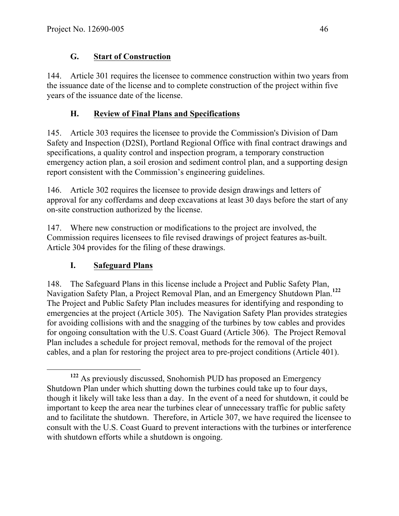#### **G. Start of Construction**

144. Article 301 requires the licensee to commence construction within two years from the issuance date of the license and to complete construction of the project within five years of the issuance date of the license.

## **H. Review of Final Plans and Specifications**

145. Article 303 requires the licensee to provide the Commission's Division of Dam Safety and Inspection (D2SI), Portland Regional Office with final contract drawings and specifications, a quality control and inspection program, a temporary construction emergency action plan, a soil erosion and sediment control plan, and a supporting design report consistent with the Commission's engineering guidelines.

146. Article 302 requires the licensee to provide design drawings and letters of approval for any cofferdams and deep excavations at least 30 days before the start of any on-site construction authorized by the license.

147. Where new construction or modifications to the project are involved, the Commission requires licensees to file revised drawings of project features as-built. Article 304 provides for the filing of these drawings.

## **I. Safeguard Plans**

148. The Safeguard Plans in this license include a Project and Public Safety Plan, Navigation Safety Plan, a Project Removal Plan, and an Emergency Shutdown Plan. **<sup>122</sup>** The Project and Public Safety Plan includes measures for identifying and responding to emergencies at the project (Article 305). The Navigation Safety Plan provides strategies for avoiding collisions with and the snagging of the turbines by tow cables and provides for ongoing consultation with the U.S. Coast Guard (Article 306). The Project Removal Plan includes a schedule for project removal, methods for the removal of the project cables, and a plan for restoring the project area to pre-project conditions (Article 401).

**<sup>122</sup>** As previously discussed, Snohomish PUD has proposed an Emergency Shutdown Plan under which shutting down the turbines could take up to four days, though it likely will take less than a day. In the event of a need for shutdown, it could be important to keep the area near the turbines clear of unnecessary traffic for public safety and to facilitate the shutdown. Therefore, in Article 307, we have required the licensee to consult with the U.S. Coast Guard to prevent interactions with the turbines or interference with shutdown efforts while a shutdown is ongoing.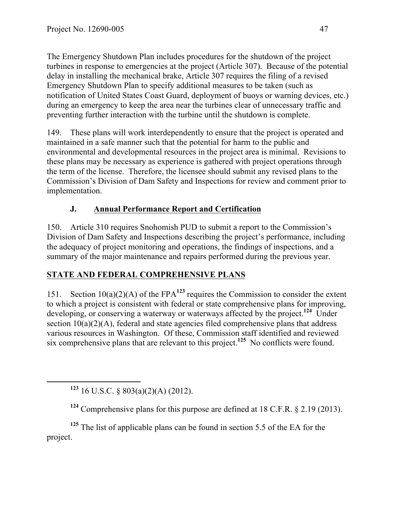The Emergency Shutdown Plan includes procedures for the shutdown of the project turbines in response to emergencies at the project (Article 307). Because of the potential delay in installing the mechanical brake, Article 307 requires the filing of a revised Emergency Shutdown Plan to specify additional measures to be taken (such as notification of United States Coast Guard, deployment of buoys or warning devices, etc.) during an emergency to keep the area near the turbines clear of unnecessary traffic and preventing further interaction with the turbine until the shutdown is complete.

149. These plans will work interdependently to ensure that the project is operated and maintained in a safe manner such that the potential for harm to the public and environmental and developmental resources in the project area is minimal. Revisions to these plans may be necessary as experience is gathered with project operations through the term of the license. Therefore, the licensee should submit any revised plans to the Commission's Division of Dam Safety and Inspections for review and comment prior to implementation.

## **J. Annual Performance Report and Certification**

150. Article 310 requires Snohomish PUD to submit a report to the Commission's Division of Dam Safety and Inspections describing the project's performance, including the adequacy of project monitoring and operations, the findings of inspections, and a summary of the major maintenance and repairs performed during the previous year.

## **STATE AND FEDERAL COMPREHENSIVE PLANS**

151. Section 10(a)(2)(A) of the FPA**<sup>123</sup>** requires the Commission to consider the extent to which a project is consistent with federal or state comprehensive plans for improving, developing, or conserving a waterway or waterways affected by the project.<sup>124</sup> Under section 10(a)(2)(A), federal and state agencies filed comprehensive plans that address various resources in Washington. Of these, Commission staff identified and reviewed six comprehensive plans that are relevant to this project.**<sup>125</sup>** No conflicts were found.

**<sup>123</sup>** 16 U.S.C. § 803(a)(2)(A) (2012).

**<sup>125</sup>** The list of applicable plans can be found in section 5.5 of the EA for the project.

**<sup>124</sup>** Comprehensive plans for this purpose are defined at 18 C.F.R. § 2.19 (2013).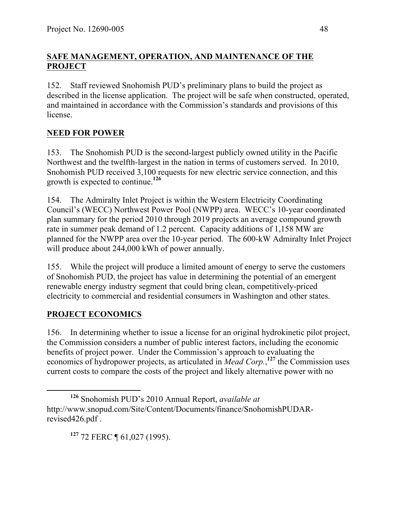#### **SAFE MANAGEMENT, OPERATION, AND MAINTENANCE OF THE PROJECT**

152. Staff reviewed Snohomish PUD's preliminary plans to build the project as described in the license application. The project will be safe when constructed, operated, and maintained in accordance with the Commission's standards and provisions of this license.

## **NEED FOR POWER**

153. The Snohomish PUD is the second-largest publicly owned utility in the Pacific Northwest and the twelfth-largest in the nation in terms of customers served. In 2010, Snohomish PUD received 3,100 requests for new electric service connection, and this growth is expected to continue.**<sup>126</sup>**

154. The Admiralty Inlet Project is within the Western Electricity Coordinating Council's (WECC) Northwest Power Pool (NWPP) area. WECC's 10-year coordinated plan summary for the period 2010 through 2019 projects an average compound growth rate in summer peak demand of 1.2 percent. Capacity additions of 1,158 MW are planned for the NWPP area over the 10-year period. The 600-kW Admiralty Inlet Project will produce about 244,000 kWh of power annually.

155. While the project will produce a limited amount of energy to serve the customers of Snohomish PUD, the project has value in determining the potential of an emergent renewable energy industry segment that could bring clean, competitively-priced electricity to commercial and residential consumers in Washington and other states.

#### **PROJECT ECONOMICS**

156. In determining whether to issue a license for an original hydrokinetic pilot project, the Commission considers a number of public interest factors, including the economic benefits of project power. Under the Commission's approach to evaluating the economics of hydropower projects, as articulated in *Mead Corp.*, **<sup>127</sup>** the Commission uses current costs to compare the costs of the project and likely alternative power with no

**<sup>127</sup>** 72 FERC ¶ 61,027 (1995).

**<sup>126</sup>** Snohomish PUD's 2010 Annual Report, *available at* http://www.snopud.com/Site/Content/Documents/finance/SnohomishPUDARrevised426.pdf .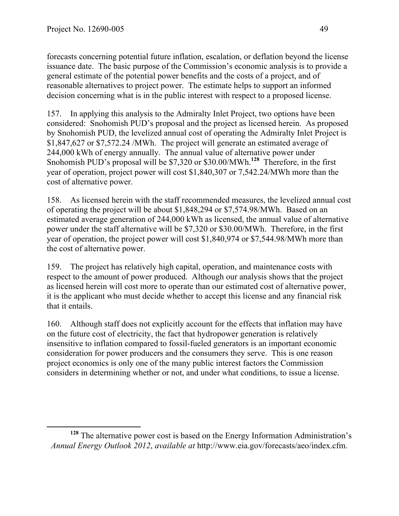forecasts concerning potential future inflation, escalation, or deflation beyond the license issuance date. The basic purpose of the Commission's economic analysis is to provide a general estimate of the potential power benefits and the costs of a project, and of reasonable alternatives to project power. The estimate helps to support an informed decision concerning what is in the public interest with respect to a proposed license.

157. In applying this analysis to the Admiralty Inlet Project, two options have been considered: Snohomish PUD's proposal and the project as licensed herein. As proposed by Snohomish PUD, the levelized annual cost of operating the Admiralty Inlet Project is \$1,847,627 or \$7,572.24 /MWh. The project will generate an estimated average of 244,000 kWh of energy annually. The annual value of alternative power under Snohomish PUD's proposal will be \$7,320 or \$30.00/MWh. **<sup>128</sup>** Therefore, in the first year of operation, project power will cost \$1,840,307 or 7,542.24/MWh more than the cost of alternative power.

158. As licensed herein with the staff recommended measures, the levelized annual cost of operating the project will be about \$1,848,294 or \$7,574.98/MWh. Based on an estimated average generation of 244,000 kWh as licensed, the annual value of alternative power under the staff alternative will be \$7,320 or \$30.00/MWh. Therefore, in the first year of operation, the project power will cost \$1,840,974 or \$7,544.98/MWh more than the cost of alternative power.

159. The project has relatively high capital, operation, and maintenance costs with respect to the amount of power produced. Although our analysis shows that the project as licensed herein will cost more to operate than our estimated cost of alternative power, it is the applicant who must decide whether to accept this license and any financial risk that it entails.

160. Although staff does not explicitly account for the effects that inflation may have on the future cost of electricity, the fact that hydropower generation is relatively insensitive to inflation compared to fossil-fueled generators is an important economic consideration for power producers and the consumers they serve. This is one reason project economics is only one of the many public interest factors the Commission considers in determining whether or not, and under what conditions, to issue a license.

**<sup>128</sup>** The alternative power cost is based on the Energy Information Administration's *Annual Energy Outlook 2012*, *available at* http://www.eia.gov/forecasts/aeo/index.cfm.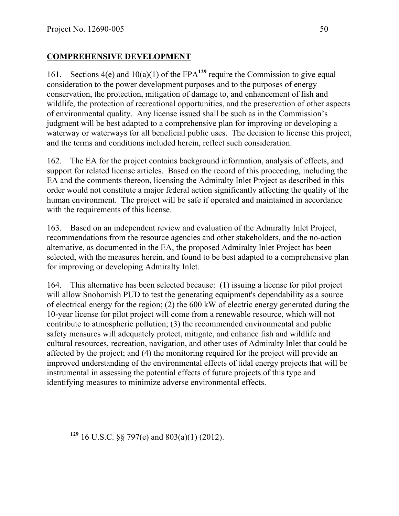#### **COMPREHENSIVE DEVELOPMENT**

161. Sections 4(e) and 10(a)(1) of the FPA**<sup>129</sup>** require the Commission to give equal consideration to the power development purposes and to the purposes of energy conservation, the protection, mitigation of damage to, and enhancement of fish and wildlife, the protection of recreational opportunities, and the preservation of other aspects of environmental quality. Any license issued shall be such as in the Commission's judgment will be best adapted to a comprehensive plan for improving or developing a waterway or waterways for all beneficial public uses. The decision to license this project, and the terms and conditions included herein, reflect such consideration.

162. The EA for the project contains background information, analysis of effects, and support for related license articles. Based on the record of this proceeding, including the EA and the comments thereon, licensing the Admiralty Inlet Project as described in this order would not constitute a major federal action significantly affecting the quality of the human environment. The project will be safe if operated and maintained in accordance with the requirements of this license.

163. Based on an independent review and evaluation of the Admiralty Inlet Project, recommendations from the resource agencies and other stakeholders, and the no-action alternative, as documented in the EA, the proposed Admiralty Inlet Project has been selected, with the measures herein, and found to be best adapted to a comprehensive plan for improving or developing Admiralty Inlet.

164. This alternative has been selected because: (1) issuing a license for pilot project will allow Snohomish PUD to test the generating equipment's dependability as a source of electrical energy for the region; (2) the 600 kW of electric energy generated during the 10-year license for pilot project will come from a renewable resource, which will not contribute to atmospheric pollution; (3) the recommended environmental and public safety measures will adequately protect, mitigate, and enhance fish and wildlife and cultural resources, recreation, navigation, and other uses of Admiralty Inlet that could be affected by the project; and (4) the monitoring required for the project will provide an improved understanding of the environmental effects of tidal energy projects that will be instrumental in assessing the potential effects of future projects of this type and identifying measures to minimize adverse environmental effects.

**<sup>129</sup>** 16 U.S.C. §§ 797(e) and 803(a)(1) (2012).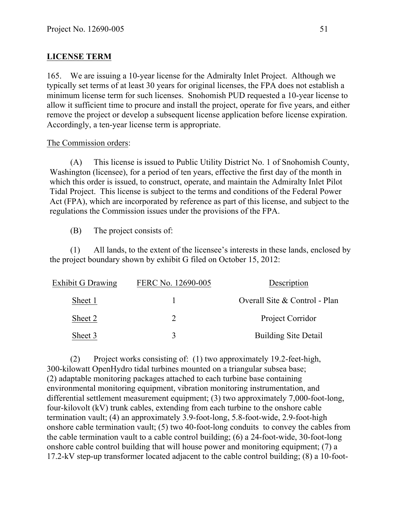#### **LICENSE TERM**

165. We are issuing a 10-year license for the Admiralty Inlet Project. Although we typically set terms of at least 30 years for original licenses, the FPA does not establish a minimum license term for such licenses. Snohomish PUD requested a 10-year license to allow it sufficient time to procure and install the project, operate for five years, and either remove the project or develop a subsequent license application before license expiration. Accordingly, a ten-year license term is appropriate.

#### The Commission orders:

(A) This license is issued to Public Utility District No. 1 of Snohomish County, Washington (licensee), for a period of ten years, effective the first day of the month in which this order is issued, to construct, operate, and maintain the Admiralty Inlet Pilot Tidal Project. This license is subject to the terms and conditions of the Federal Power Act (FPA), which are incorporated by reference as part of this license, and subject to the regulations the Commission issues under the provisions of the FPA.

(B) The project consists of:

(1) All lands, to the extent of the licensee's interests in these lands, enclosed by the project boundary shown by exhibit G filed on October 15, 2012:

| <b>Exhibit G Drawing</b> | FERC No. 12690-005 | Description                   |
|--------------------------|--------------------|-------------------------------|
| Sheet 1                  |                    | Overall Site & Control - Plan |
| Sheet 2                  |                    | Project Corridor              |
| Sheet 3                  |                    | <b>Building Site Detail</b>   |

(2) Project works consisting of: (1) two approximately 19.2-feet-high, 300-kilowatt OpenHydro tidal turbines mounted on a triangular subsea base; (2) adaptable monitoring packages attached to each turbine base containing environmental monitoring equipment, vibration monitoring instrumentation, and differential settlement measurement equipment; (3) two approximately 7,000-foot-long, four-kilovolt (kV) trunk cables, extending from each turbine to the onshore cable termination vault; (4) an approximately 3.9-foot-long, 5.8-foot-wide, 2.9-foot-high onshore cable termination vault; (5) two 40-foot-long conduits to convey the cables from the cable termination vault to a cable control building; (6) a 24-foot-wide, 30-foot-long onshore cable control building that will house power and monitoring equipment; (7) a 17.2-kV step-up transformer located adjacent to the cable control building; (8) a 10-foot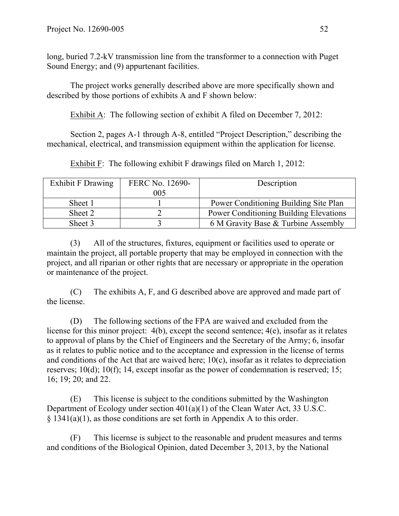long, buried 7.2-kV transmission line from the transformer to a connection with Puget Sound Energy; and (9) appurtenant facilities.

The project works generally described above are more specifically shown and described by those portions of exhibits A and F shown below:

Exhibit A: The following section of exhibit A filed on December 7, 2012:

Section 2, pages A-1 through A-8, entitled "Project Description," describing the mechanical, electrical, and transmission equipment within the application for license.

Exhibit F: The following exhibit F drawings filed on March 1, 2012:

| <b>Exhibit F Drawing</b> | FERC No. 12690- | Description                                   |
|--------------------------|-----------------|-----------------------------------------------|
|                          | 005             |                                               |
| Sheet 1                  |                 | Power Conditioning Building Site Plan         |
| Sheet 2                  |                 | <b>Power Conditioning Building Elevations</b> |
| Sheet 3                  |                 | 6 M Gravity Base & Turbine Assembly           |

(3) All of the structures, fixtures, equipment or facilities used to operate or maintain the project, all portable property that may be employed in connection with the project, and all riparian or other rights that are necessary or appropriate in the operation or maintenance of the project.

(C) The exhibits A, F, and G described above are approved and made part of the license.

(D) The following sections of the FPA are waived and excluded from the license for this minor project: 4(b), except the second sentence; 4(e), insofar as it relates to approval of plans by the Chief of Engineers and the Secretary of the Army; 6, insofar as it relates to public notice and to the acceptance and expression in the license of terms and conditions of the Act that are waived here; 10(c), insofar as it relates to depreciation reserves; 10(d); 10(f); 14, except insofar as the power of condemnation is reserved; 15; 16; 19; 20; and 22.

(E) This license is subject to the conditions submitted by the Washington Department of Ecology under section 401(a)(1) of the Clean Water Act, 33 U.S.C. § 1341(a)(1), as those conditions are set forth in Appendix A to this order.

(F) This licernse is subject to the reasonable and prudent measures and terms and conditions of the Biological Opinion, dated December 3, 2013, by the National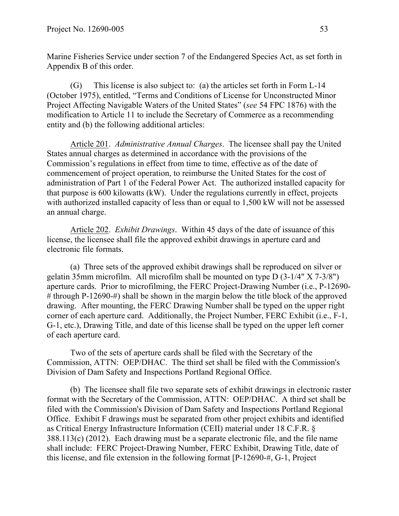Marine Fisheries Service under section 7 of the Endangered Species Act, as set forth in Appendix B of this order.

(G) This license is also subject to: (a) the articles set forth in Form L-14 (October 1975), entitled, "Terms and Conditions of License for Unconstructed Minor Project Affecting Navigable Waters of the United States" (*see* 54 FPC 1876) with the modification to Article 11 to include the Secretary of Commerce as a recommending entity and (b) the following additional articles:

Article 201. *Administrative Annual Charges*. The licensee shall pay the United States annual charges as determined in accordance with the provisions of the Commission's regulations in effect from time to time, effective as of the date of commencement of project operation, to reimburse the United States for the cost of administration of Part 1 of the Federal Power Act. The authorized installed capacity for that purpose is 600 kilowatts (kW). Under the regulations currently in effect, projects with authorized installed capacity of less than or equal to 1,500 kW will not be assessed an annual charge.

Article 202. *Exhibit Drawings*. Within 45 days of the date of issuance of this license, the licensee shall file the approved exhibit drawings in aperture card and electronic file formats.

(a) Three sets of the approved exhibit drawings shall be reproduced on silver or gelatin 35mm microfilm. All microfilm shall be mounted on type D (3-1/4" X 7-3/8") aperture cards. Prior to microfilming, the FERC Project-Drawing Number (i.e., P-12690- # through P-12690-#) shall be shown in the margin below the title block of the approved drawing. After mounting, the FERC Drawing Number shall be typed on the upper right corner of each aperture card. Additionally, the Project Number, FERC Exhibit (i.e., F-1, G-1, etc.), Drawing Title, and date of this license shall be typed on the upper left corner of each aperture card.

Two of the sets of aperture cards shall be filed with the Secretary of the Commission, ATTN: OEP/DHAC. The third set shall be filed with the Commission's Division of Dam Safety and Inspections Portland Regional Office.

(b) The licensee shall file two separate sets of exhibit drawings in electronic raster format with the Secretary of the Commission, ATTN: OEP/DHAC. A third set shall be filed with the Commission's Division of Dam Safety and Inspections Portland Regional Office. Exhibit F drawings must be separated from other project exhibits and identified as Critical Energy Infrastructure Information (CEII) material under 18 C.F.R. § 388.113(c) (2012). Each drawing must be a separate electronic file, and the file name shall include: FERC Project-Drawing Number, FERC Exhibit, Drawing Title, date of this license, and file extension in the following format [P-12690-#, G-1, Project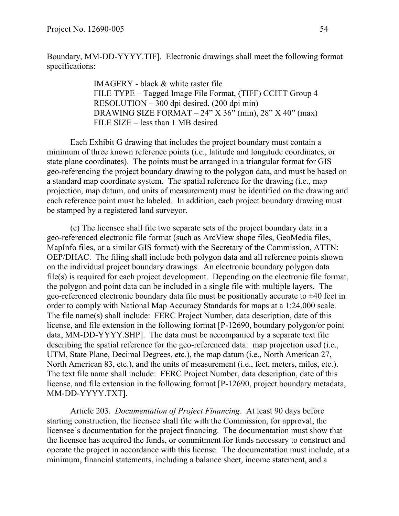Boundary, MM-DD-YYYY.TIF]. Electronic drawings shall meet the following format specifications:

> IMAGERY - black & white raster file FILE TYPE – Tagged Image File Format, (TIFF) CCITT Group 4 RESOLUTION – 300 dpi desired, (200 dpi min) DRAWING SIZE FORMAT –  $24$ " X  $36$ " (min),  $28$ " X  $40$ " (max) FILE SIZE – less than 1 MB desired

Each Exhibit G drawing that includes the project boundary must contain a minimum of three known reference points (i.e., latitude and longitude coordinates, or state plane coordinates). The points must be arranged in a triangular format for GIS geo-referencing the project boundary drawing to the polygon data, and must be based on a standard map coordinate system. The spatial reference for the drawing (i.e., map projection, map datum, and units of measurement) must be identified on the drawing and each reference point must be labeled. In addition, each project boundary drawing must be stamped by a registered land surveyor.

(c) The licensee shall file two separate sets of the project boundary data in a geo-referenced electronic file format (such as ArcView shape files, GeoMedia files, MapInfo files, or a similar GIS format) with the Secretary of the Commission, ATTN: OEP/DHAC. The filing shall include both polygon data and all reference points shown on the individual project boundary drawings. An electronic boundary polygon data file(s) is required for each project development. Depending on the electronic file format, the polygon and point data can be included in a single file with multiple layers. The geo-referenced electronic boundary data file must be positionally accurate to  $\pm 40$  feet in order to comply with National Map Accuracy Standards for maps at a 1:24,000 scale. The file name(s) shall include: FERC Project Number, data description, date of this license, and file extension in the following format [P-12690, boundary polygon/or point data, MM-DD-YYYY.SHP]. The data must be accompanied by a separate text file describing the spatial reference for the geo-referenced data: map projection used (i.e., UTM, State Plane, Decimal Degrees, etc.), the map datum (i.e., North American 27, North American 83, etc.), and the units of measurement (i.e., feet, meters, miles, etc.). The text file name shall include: FERC Project Number, data description, date of this license, and file extension in the following format [P-12690, project boundary metadata, MM-DD-YYYY.TXT].

Article 203. *Documentation of Project Financing*. At least 90 days before starting construction, the licensee shall file with the Commission, for approval, the licensee's documentation for the project financing. The documentation must show that the licensee has acquired the funds, or commitment for funds necessary to construct and operate the project in accordance with this license. The documentation must include, at a minimum, financial statements, including a balance sheet, income statement, and a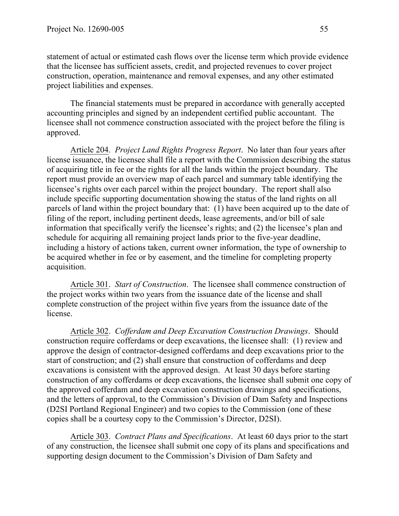statement of actual or estimated cash flows over the license term which provide evidence that the licensee has sufficient assets, credit, and projected revenues to cover project construction, operation, maintenance and removal expenses, and any other estimated project liabilities and expenses.

The financial statements must be prepared in accordance with generally accepted accounting principles and signed by an independent certified public accountant. The licensee shall not commence construction associated with the project before the filing is approved.

Article 204. *Project Land Rights Progress Report*. No later than four years after license issuance, the licensee shall file a report with the Commission describing the status of acquiring title in fee or the rights for all the lands within the project boundary. The report must provide an overview map of each parcel and summary table identifying the licensee's rights over each parcel within the project boundary. The report shall also include specific supporting documentation showing the status of the land rights on all parcels of land within the project boundary that: (1) have been acquired up to the date of filing of the report, including pertinent deeds, lease agreements, and/or bill of sale information that specifically verify the licensee's rights; and (2) the licensee's plan and schedule for acquiring all remaining project lands prior to the five-year deadline, including a history of actions taken, current owner information, the type of ownership to be acquired whether in fee or by easement, and the timeline for completing property acquisition.

Article 301. *Start of Construction*. The licensee shall commence construction of the project works within two years from the issuance date of the license and shall complete construction of the project within five years from the issuance date of the license.

Article 302. *Cofferdam and Deep Excavation Construction Drawings*. Should construction require cofferdams or deep excavations, the licensee shall: (1) review and approve the design of contractor-designed cofferdams and deep excavations prior to the start of construction; and (2) shall ensure that construction of cofferdams and deep excavations is consistent with the approved design. At least 30 days before starting construction of any cofferdams or deep excavations, the licensee shall submit one copy of the approved cofferdam and deep excavation construction drawings and specifications, and the letters of approval, to the Commission's Division of Dam Safety and Inspections (D2SI Portland Regional Engineer) and two copies to the Commission (one of these copies shall be a courtesy copy to the Commission's Director, D2SI).

Article 303. *Contract Plans and Specifications*. At least 60 days prior to the start of any construction, the licensee shall submit one copy of its plans and specifications and supporting design document to the Commission's Division of Dam Safety and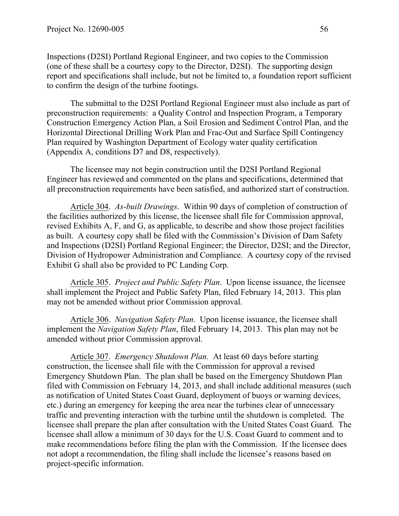Inspections (D2SI) Portland Regional Engineer, and two copies to the Commission (one of these shall be a courtesy copy to the Director, D2SI). The supporting design report and specifications shall include, but not be limited to, a foundation report sufficient to confirm the design of the turbine footings.

The submittal to the D2SI Portland Regional Engineer must also include as part of preconstruction requirements: a Quality Control and Inspection Program, a Temporary Construction Emergency Action Plan, a Soil Erosion and Sediment Control Plan, and the Horizontal Directional Drilling Work Plan and Frac-Out and Surface Spill Contingency Plan required by Washington Department of Ecology water quality certification (Appendix A, conditions D7 and D8, respectively).

The licensee may not begin construction until the D2SI Portland Regional Engineer has reviewed and commented on the plans and specifications, determined that all preconstruction requirements have been satisfied, and authorized start of construction.

Article 304. *As-built Drawings*. Within 90 days of completion of construction of the facilities authorized by this license, the licensee shall file for Commission approval, revised Exhibits A, F, and G, as applicable, to describe and show those project facilities as built. A courtesy copy shall be filed with the Commission's Division of Dam Safety and Inspections (D2SI) Portland Regional Engineer; the Director, D2SI; and the Director, Division of Hydropower Administration and Compliance. A courtesy copy of the revised Exhibit G shall also be provided to PC Landing Corp.

Article 305. *Project and Public Safety Plan*. Upon license issuance, the licensee shall implement the Project and Public Safety Plan, filed February 14, 2013. This plan may not be amended without prior Commission approval.

Article 306. *Navigation Safety Plan*. Upon license issuance, the licensee shall implement the *Navigation Safety Plan*, filed February 14, 2013. This plan may not be amended without prior Commission approval.

Article 307. *Emergency Shutdown Plan.* At least 60 days before starting construction, the licensee shall file with the Commission for approval a revised Emergency Shutdown Plan. The plan shall be based on the Emergency Shutdown Plan filed with Commission on February 14, 2013, and shall include additional measures (such as notification of United States Coast Guard, deployment of buoys or warning devices, etc.) during an emergency for keeping the area near the turbines clear of unnecessary traffic and preventing interaction with the turbine until the shutdown is completed. The licensee shall prepare the plan after consultation with the United States Coast Guard. The licensee shall allow a minimum of 30 days for the U.S. Coast Guard to comment and to make recommendations before filing the plan with the Commission. If the licensee does not adopt a recommendation, the filing shall include the licensee's reasons based on project-specific information.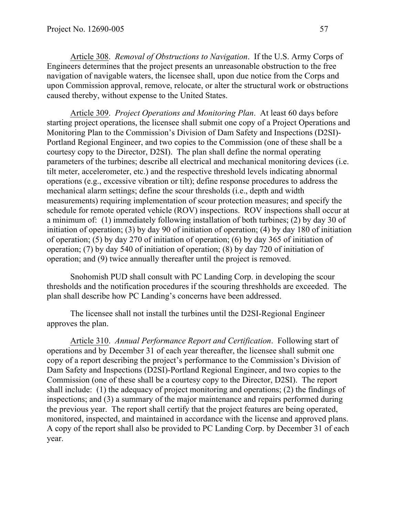Article 308. *Removal of Obstructions to Navigation*. If the U.S. Army Corps of Engineers determines that the project presents an unreasonable obstruction to the free navigation of navigable waters, the licensee shall, upon due notice from the Corps and upon Commission approval, remove, relocate, or alter the structural work or obstructions caused thereby, without expense to the United States.

Article 309. *Project Operations and Monitoring Plan*. At least 60 days before starting project operations, the licensee shall submit one copy of a Project Operations and Monitoring Plan to the Commission's Division of Dam Safety and Inspections (D2SI)- Portland Regional Engineer, and two copies to the Commission (one of these shall be a courtesy copy to the Director, D2SI). The plan shall define the normal operating parameters of the turbines; describe all electrical and mechanical monitoring devices (i.e. tilt meter, accelerometer, etc.) and the respective threshold levels indicating abnormal operations (e.g., excessive vibration or tilt); define response procedures to address the mechanical alarm settings; define the scour thresholds (i.e., depth and width measurements) requiring implementation of scour protection measures; and specify the schedule for remote operated vehicle (ROV) inspections. ROV inspections shall occur at a minimum of: (1) immediately following installation of both turbines; (2) by day 30 of initiation of operation; (3) by day 90 of initiation of operation; (4) by day 180 of initiation of operation; (5) by day 270 of initiation of operation; (6) by day 365 of initiation of operation; (7) by day 540 of initiation of operation; (8) by day 720 of initiation of operation; and (9) twice annually thereafter until the project is removed.

Snohomish PUD shall consult with PC Landing Corp. in developing the scour thresholds and the notification procedures if the scouring threshholds are exceeded. The plan shall describe how PC Landing's concerns have been addressed.

The licensee shall not install the turbines until the D2SI-Regional Engineer approves the plan.

Article 310. *Annual Performance Report and Certification*. Following start of operations and by December 31 of each year thereafter, the licensee shall submit one copy of a report describing the project's performance to the Commission's Division of Dam Safety and Inspections (D2SI)-Portland Regional Engineer, and two copies to the Commission (one of these shall be a courtesy copy to the Director, D2SI). The report shall include: (1) the adequacy of project monitoring and operations; (2) the findings of inspections; and (3) a summary of the major maintenance and repairs performed during the previous year. The report shall certify that the project features are being operated, monitored, inspected, and maintained in accordance with the license and approved plans. A copy of the report shall also be provided to PC Landing Corp. by December 31 of each year.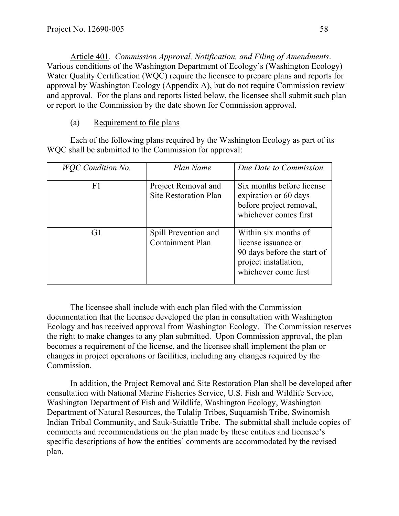Article 401*. Commission Approval, Notification, and Filing of Amendments*. Various conditions of the Washington Department of Ecology's (Washington Ecology) Water Quality Certification (WQC) require the licensee to prepare plans and reports for approval by Washington Ecology (Appendix A), but do not require Commission review and approval. For the plans and reports listed below, the licensee shall submit such plan or report to the Commission by the date shown for Commission approval.

#### (a) Requirement to file plans

Each of the following plans required by the Washington Ecology as part of its WQC shall be submitted to the Commission for approval:

| <b>WOC</b> Condition No. | Plan Name                                           | Due Date to Commission                                                                                                      |
|--------------------------|-----------------------------------------------------|-----------------------------------------------------------------------------------------------------------------------------|
| F1                       | Project Removal and<br><b>Site Restoration Plan</b> | Six months before license<br>expiration or 60 days<br>before project removal,<br>whichever comes first                      |
| G1                       | Spill Prevention and<br><b>Containment Plan</b>     | Within six months of<br>license issuance or<br>90 days before the start of<br>project installation,<br>whichever come first |

The licensee shall include with each plan filed with the Commission documentation that the licensee developed the plan in consultation with Washington Ecology and has received approval from Washington Ecology. The Commission reserves the right to make changes to any plan submitted. Upon Commission approval, the plan becomes a requirement of the license, and the licensee shall implement the plan or changes in project operations or facilities, including any changes required by the Commission.

In addition, the Project Removal and Site Restoration Plan shall be developed after consultation with National Marine Fisheries Service, U.S. Fish and Wildlife Service, Washington Department of Fish and Wildlife, Washington Ecology, Washington Department of Natural Resources, the Tulalip Tribes, Suquamish Tribe, Swinomish Indian Tribal Community, and Sauk-Suiattle Tribe. The submittal shall include copies of comments and recommendations on the plan made by these entities and licensee's specific descriptions of how the entities' comments are accommodated by the revised plan.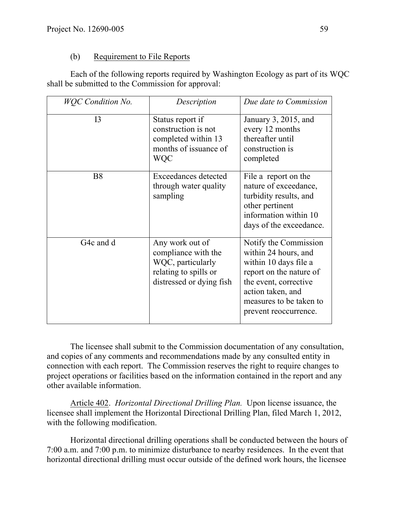#### (b) Requirement to File Reports

Each of the following reports required by Washington Ecology as part of its WQC shall be submitted to the Commission for approval:

| <b>WOC</b> Condition No. | Description                                                                                                      | Due date to Commission                                                                                                                                                                              |
|--------------------------|------------------------------------------------------------------------------------------------------------------|-----------------------------------------------------------------------------------------------------------------------------------------------------------------------------------------------------|
| I <sub>3</sub>           | Status report if<br>construction is not<br>completed within 13<br>months of issuance of<br><b>WQC</b>            | January 3, 2015, and<br>every 12 months<br>thereafter until<br>construction is<br>completed                                                                                                         |
| <b>B8</b>                | Exceedances detected<br>through water quality<br>sampling                                                        | File a report on the<br>nature of exceedance,<br>turbidity results, and<br>other pertinent<br>information within 10<br>days of the exceedance.                                                      |
| G <sub>4</sub> c and d   | Any work out of<br>compliance with the<br>WQC, particularly<br>relating to spills or<br>distressed or dying fish | Notify the Commission<br>within 24 hours, and<br>within 10 days file a<br>report on the nature of<br>the event, corrective<br>action taken, and<br>measures to be taken to<br>prevent reoccurrence. |

The licensee shall submit to the Commission documentation of any consultation, and copies of any comments and recommendations made by any consulted entity in connection with each report. The Commission reserves the right to require changes to project operations or facilities based on the information contained in the report and any other available information.

Article 402. *Horizontal Directional Drilling Plan.* Upon license issuance, the licensee shall implement the Horizontal Directional Drilling Plan, filed March 1, 2012, with the following modification.

Horizontal directional drilling operations shall be conducted between the hours of 7:00 a.m. and 7:00 p.m. to minimize disturbance to nearby residences. In the event that horizontal directional drilling must occur outside of the defined work hours, the licensee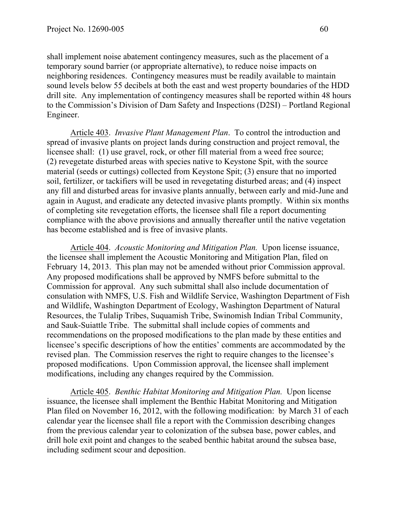shall implement noise abatement contingency measures, such as the placement of a temporary sound barrier (or appropriate alternative), to reduce noise impacts on neighboring residences. Contingency measures must be readily available to maintain sound levels below 55 decibels at both the east and west property boundaries of the HDD drill site. Any implementation of contingency measures shall be reported within 48 hours to the Commission's Division of Dam Safety and Inspections (D2SI) – Portland Regional Engineer.

Article 403. *Invasive Plant Management Plan*. To control the introduction and spread of invasive plants on project lands during construction and project removal, the licensee shall: (1) use gravel, rock, or other fill material from a weed free source; (2) revegetate disturbed areas with species native to Keystone Spit, with the source material (seeds or cuttings) collected from Keystone Spit; (3) ensure that no imported soil, fertilizer, or tackifiers will be used in revegetating disturbed areas; and (4) inspect any fill and disturbed areas for invasive plants annually, between early and mid-June and again in August, and eradicate any detected invasive plants promptly. Within six months of completing site revegetation efforts, the licensee shall file a report documenting compliance with the above provisions and annually thereafter until the native vegetation has become established and is free of invasive plants.

Article 404. *Acoustic Monitoring and Mitigation Plan.* Upon license issuance, the licensee shall implement the Acoustic Monitoring and Mitigation Plan, filed on February 14, 2013. This plan may not be amended without prior Commission approval. Any proposed modifications shall be approved by NMFS before submittal to the Commission for approval. Any such submittal shall also include documentation of consulation with NMFS, U.S. Fish and Wildlife Service, Washington Department of Fish and Wildlife, Washington Department of Ecology, Washington Department of Natural Resources, the Tulalip Tribes, Suquamish Tribe, Swinomish Indian Tribal Community, and Sauk-Suiattle Tribe. The submittal shall include copies of comments and recommendations on the proposed modifications to the plan made by these entities and licensee's specific descriptions of how the entities' comments are accommodated by the revised plan. The Commission reserves the right to require changes to the licensee's proposed modifications. Upon Commission approval, the licensee shall implement modifications, including any changes required by the Commission.

Article 405. *Benthic Habitat Monitoring and Mitigation Plan.* Upon license issuance, the licensee shall implement the Benthic Habitat Monitoring and Mitigation Plan filed on November 16, 2012, with the following modification: by March 31 of each calendar year the licensee shall file a report with the Commission describing changes from the previous calendar year to colonization of the subsea base, power cables, and drill hole exit point and changes to the seabed benthic habitat around the subsea base, including sediment scour and deposition.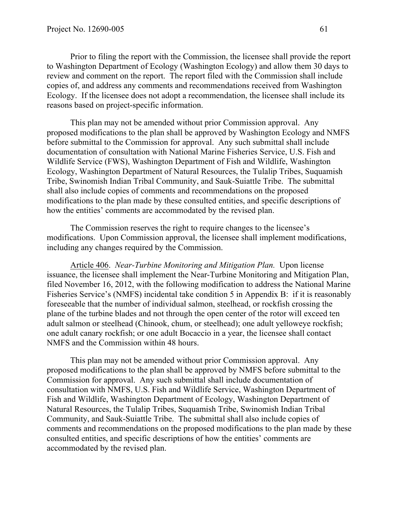Prior to filing the report with the Commission, the licensee shall provide the report to Washington Department of Ecology (Washington Ecology) and allow them 30 days to review and comment on the report. The report filed with the Commission shall include copies of, and address any comments and recommendations received from Washington Ecology. If the licensee does not adopt a recommendation, the licensee shall include its reasons based on project-specific information.

This plan may not be amended without prior Commission approval. Any proposed modifications to the plan shall be approved by Washington Ecology and NMFS before submittal to the Commission for approval. Any such submittal shall include documentation of consultation with National Marine Fisheries Service, U.S. Fish and Wildlife Service (FWS), Washington Department of Fish and Wildlife, Washington Ecology, Washington Department of Natural Resources, the Tulalip Tribes, Suquamish Tribe, Swinomish Indian Tribal Community, and Sauk-Suiattle Tribe. The submittal shall also include copies of comments and recommendations on the proposed modifications to the plan made by these consulted entities, and specific descriptions of how the entities' comments are accommodated by the revised plan.

The Commission reserves the right to require changes to the licensee's modifications. Upon Commission approval, the licensee shall implement modifications, including any changes required by the Commission.

Article 406. *Near-Turbine Monitoring and Mitigation Plan.* Upon license issuance, the licensee shall implement the Near-Turbine Monitoring and Mitigation Plan, filed November 16, 2012, with the following modification to address the National Marine Fisheries Service's (NMFS) incidental take condition 5 in Appendix B: if it is reasonably foreseeable that the number of individual salmon, steelhead, or rockfish crossing the plane of the turbine blades and not through the open center of the rotor will exceed ten adult salmon or steelhead (Chinook, chum, or steelhead); one adult yelloweye rockfish; one adult canary rockfish; or one adult Bocaccio in a year, the licensee shall contact NMFS and the Commission within 48 hours.

This plan may not be amended without prior Commission approval. Any proposed modifications to the plan shall be approved by NMFS before submittal to the Commission for approval. Any such submittal shall include documentation of consultation with NMFS, U.S. Fish and Wildlife Service, Washington Department of Fish and Wildlife, Washington Department of Ecology, Washington Department of Natural Resources, the Tulalip Tribes, Suquamish Tribe, Swinomish Indian Tribal Community, and Sauk-Suiattle Tribe. The submittal shall also include copies of comments and recommendations on the proposed modifications to the plan made by these consulted entities, and specific descriptions of how the entities' comments are accommodated by the revised plan.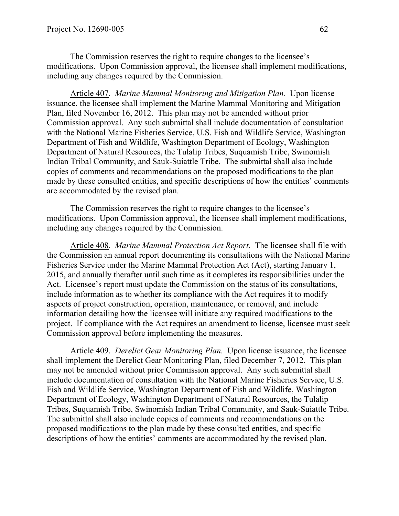The Commission reserves the right to require changes to the licensee's modifications. Upon Commission approval, the licensee shall implement modifications, including any changes required by the Commission.

Article 407. *Marine Mammal Monitoring and Mitigation Plan.* Upon license issuance, the licensee shall implement the Marine Mammal Monitoring and Mitigation Plan, filed November 16, 2012. This plan may not be amended without prior Commission approval. Any such submittal shall include documentation of consultation with the National Marine Fisheries Service, U.S. Fish and Wildlife Service, Washington Department of Fish and Wildlife, Washington Department of Ecology, Washington Department of Natural Resources, the Tulalip Tribes, Suquamish Tribe, Swinomish Indian Tribal Community, and Sauk-Suiattle Tribe. The submittal shall also include copies of comments and recommendations on the proposed modifications to the plan made by these consulted entities, and specific descriptions of how the entities' comments are accommodated by the revised plan.

The Commission reserves the right to require changes to the licensee's modifications. Upon Commission approval, the licensee shall implement modifications, including any changes required by the Commission.

Article 408. *Marine Mammal Protection Act Report*. The licensee shall file with the Commission an annual report documenting its consultations with the National Marine Fisheries Service under the Marine Mammal Protection Act (Act), starting January 1, 2015, and annually therafter until such time as it completes its responsibilities under the Act. Licensee's report must update the Commission on the status of its consultations, include information as to whether its compliance with the Act requires it to modify aspects of project construction, operation, maintenance, or removal, and include information detailing how the licensee will initiate any required modifications to the project. If compliance with the Act requires an amendment to license, licensee must seek Commission approval before implementing the measures.

Article 409. *Derelict Gear Monitoring Plan.* Upon license issuance, the licensee shall implement the Derelict Gear Monitoring Plan, filed December 7, 2012. This plan may not be amended without prior Commission approval. Any such submittal shall include documentation of consultation with the National Marine Fisheries Service, U.S. Fish and Wildlife Service, Washington Department of Fish and Wildlife, Washington Department of Ecology, Washington Department of Natural Resources, the Tulalip Tribes, Suquamish Tribe, Swinomish Indian Tribal Community, and Sauk-Suiattle Tribe. The submittal shall also include copies of comments and recommendations on the proposed modifications to the plan made by these consulted entities, and specific descriptions of how the entities' comments are accommodated by the revised plan.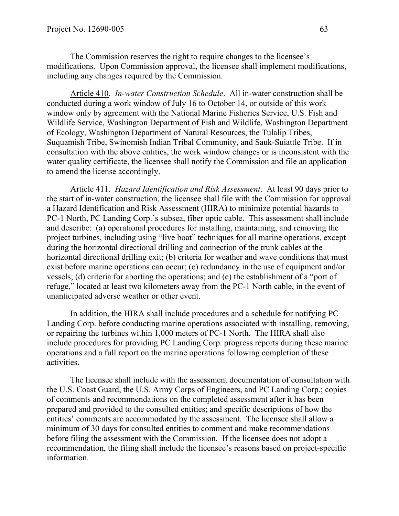The Commission reserves the right to require changes to the licensee's modifications. Upon Commission approval, the licensee shall implement modifications, including any changes required by the Commission.

Article 410. *In-water Construction Schedule*. All in-water construction shall be conducted during a work window of July 16 to October 14, or outside of this work window only by agreement with the National Marine Fisheries Service, U.S. Fish and Wildlife Service, Washington Department of Fish and Wildlife, Washington Department of Ecology, Washington Department of Natural Resources, the Tulalip Tribes, Suquamish Tribe, Swinomish Indian Tribal Community, and Sauk-Suiattle Tribe. If in consultation with the above entities, the work window changes or is inconsistent with the water quality certificate, the licensee shall notify the Commission and file an application to amend the license accordingly.

Article 411. *Hazard Identification and Risk Assessment*. At least 90 days prior to the start of in-water construction, the licensee shall file with the Commission for approval a Hazard Identification and Risk Assessment (HIRA) to minimize potential hazards to PC-1 North, PC Landing Corp.'s subsea, fiber optic cable. This assessment shall include and describe: (a) operational procedures for installing, maintaining, and removing the project turbines, including using "live boat" techniques for all marine operations, except during the horizontal directional drilling and connection of the trunk cables at the horizontal directional drilling exit; (b) criteria for weather and wave conditions that must exist before marine operations can occur; (c) redundancy in the use of equipment and/or vessels; (d) criteria for aborting the operations; and (e) the establishment of a "port of refuge," located at least two kilometers away from the PC-1 North cable, in the event of unanticipated adverse weather or other event.

In addition, the HIRA shall include procedures and a schedule for notifying PC Landing Corp. before conducting marine operations associated with installing, removing, or repairing the turbines within 1,000 meters of PC-1 North. The HIRA shall also include procedures for providing PC Landing Corp. progress reports during these marine operations and a full report on the marine operations following completion of these activities.

The licensee shall include with the assessment documentation of consultation with the U.S. Coast Guard, the U.S. Army Corps of Engineers, and PC Landing Corp.; copies of comments and recommendations on the completed assessment after it has been prepared and provided to the consulted entities; and specific descriptions of how the entities' comments are accommodated by the assessment. The licensee shall allow a minimum of 30 days for consulted entities to comment and make recommendations before filing the assessment with the Commission. If the licensee does not adopt a recommendation, the filing shall include the licensee's reasons based on project-specific information.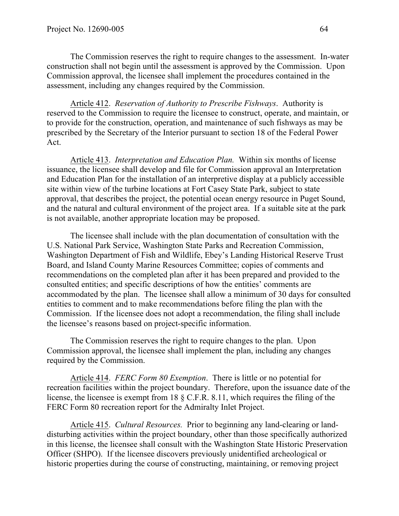The Commission reserves the right to require changes to the assessment. In-water construction shall not begin until the assessment is approved by the Commission. Upon Commission approval, the licensee shall implement the procedures contained in the assessment, including any changes required by the Commission.

Article 412. *Reservation of Authority to Prescribe Fishways*. Authority is reserved to the Commission to require the licensee to construct, operate, and maintain, or to provide for the construction, operation, and maintenance of such fishways as may be prescribed by the Secretary of the Interior pursuant to section 18 of the Federal Power Act.

Article 413. *Interpretation and Education Plan.* Within six months of license issuance, the licensee shall develop and file for Commission approval an Interpretation and Education Plan for the installation of an interpretive display at a publicly accessible site within view of the turbine locations at Fort Casey State Park, subject to state approval, that describes the project, the potential ocean energy resource in Puget Sound, and the natural and cultural environment of the project area. If a suitable site at the park is not available, another appropriate location may be proposed.

The licensee shall include with the plan documentation of consultation with the U.S. National Park Service, Washington State Parks and Recreation Commission, Washington Department of Fish and Wildlife, Ebey's Landing Historical Reserve Trust Board, and Island County Marine Resources Committee; copies of comments and recommendations on the completed plan after it has been prepared and provided to the consulted entities; and specific descriptions of how the entities' comments are accommodated by the plan. The licensee shall allow a minimum of 30 days for consulted entities to comment and to make recommendations before filing the plan with the Commission. If the licensee does not adopt a recommendation, the filing shall include the licensee's reasons based on project-specific information.

The Commission reserves the right to require changes to the plan. Upon Commission approval, the licensee shall implement the plan, including any changes required by the Commission.

Article 414. *FERC Form 80 Exemption*. There is little or no potential for recreation facilities within the project boundary. Therefore, upon the issuance date of the license, the licensee is exempt from 18 § C.F.R. 8.11, which requires the filing of the FERC Form 80 recreation report for the Admiralty Inlet Project.

Article 415. *Cultural Resources.* Prior to beginning any land-clearing or landdisturbing activities within the project boundary, other than those specifically authorized in this license, the licensee shall consult with the Washington State Historic Preservation Officer (SHPO). If the licensee discovers previously unidentified archeological or historic properties during the course of constructing, maintaining, or removing project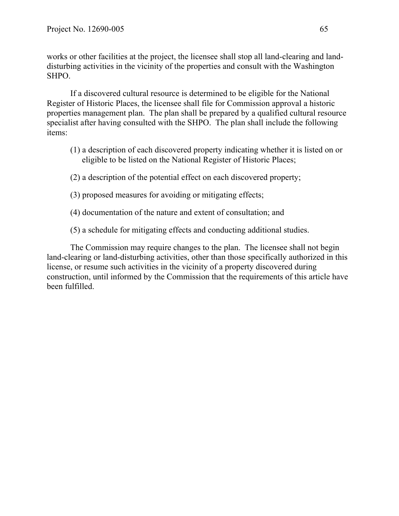works or other facilities at the project, the licensee shall stop all land-clearing and landdisturbing activities in the vicinity of the properties and consult with the Washington SHPO.

If a discovered cultural resource is determined to be eligible for the National Register of Historic Places, the licensee shall file for Commission approval a historic properties management plan. The plan shall be prepared by a qualified cultural resource specialist after having consulted with the SHPO. The plan shall include the following items:

- (1) a description of each discovered property indicating whether it is listed on or eligible to be listed on the National Register of Historic Places;
- (2) a description of the potential effect on each discovered property;
- (3) proposed measures for avoiding or mitigating effects;
- (4) documentation of the nature and extent of consultation; and
- (5) a schedule for mitigating effects and conducting additional studies.

The Commission may require changes to the plan. The licensee shall not begin land-clearing or land-disturbing activities, other than those specifically authorized in this license, or resume such activities in the vicinity of a property discovered during construction, until informed by the Commission that the requirements of this article have been fulfilled.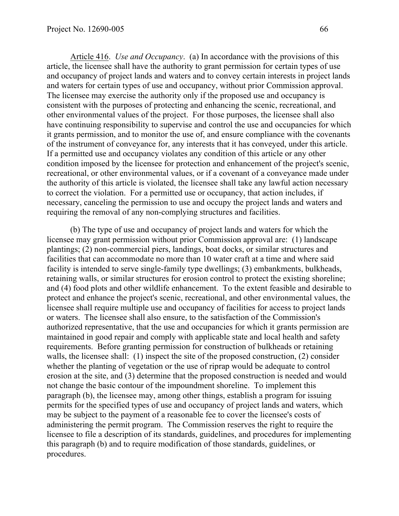Article 416. *Use and Occupancy*. (a) In accordance with the provisions of this article, the licensee shall have the authority to grant permission for certain types of use and occupancy of project lands and waters and to convey certain interests in project lands and waters for certain types of use and occupancy, without prior Commission approval. The licensee may exercise the authority only if the proposed use and occupancy is consistent with the purposes of protecting and enhancing the scenic, recreational, and other environmental values of the project. For those purposes, the licensee shall also have continuing responsibility to supervise and control the use and occupancies for which it grants permission, and to monitor the use of, and ensure compliance with the covenants of the instrument of conveyance for, any interests that it has conveyed, under this article. If a permitted use and occupancy violates any condition of this article or any other condition imposed by the licensee for protection and enhancement of the project's scenic, recreational, or other environmental values, or if a covenant of a conveyance made under the authority of this article is violated, the licensee shall take any lawful action necessary to correct the violation. For a permitted use or occupancy, that action includes, if necessary, canceling the permission to use and occupy the project lands and waters and requiring the removal of any non-complying structures and facilities.

(b) The type of use and occupancy of project lands and waters for which the licensee may grant permission without prior Commission approval are: (1) landscape plantings; (2) non-commercial piers, landings, boat docks, or similar structures and facilities that can accommodate no more than 10 water craft at a time and where said facility is intended to serve single-family type dwellings; (3) embankments, bulkheads, retaining walls, or similar structures for erosion control to protect the existing shoreline; and (4) food plots and other wildlife enhancement. To the extent feasible and desirable to protect and enhance the project's scenic, recreational, and other environmental values, the licensee shall require multiple use and occupancy of facilities for access to project lands or waters. The licensee shall also ensure, to the satisfaction of the Commission's authorized representative, that the use and occupancies for which it grants permission are maintained in good repair and comply with applicable state and local health and safety requirements. Before granting permission for construction of bulkheads or retaining walls, the licensee shall: (1) inspect the site of the proposed construction, (2) consider whether the planting of vegetation or the use of riprap would be adequate to control erosion at the site, and (3) determine that the proposed construction is needed and would not change the basic contour of the impoundment shoreline. To implement this paragraph (b), the licensee may, among other things, establish a program for issuing permits for the specified types of use and occupancy of project lands and waters, which may be subject to the payment of a reasonable fee to cover the licensee's costs of administering the permit program. The Commission reserves the right to require the licensee to file a description of its standards, guidelines, and procedures for implementing this paragraph (b) and to require modification of those standards, guidelines, or procedures.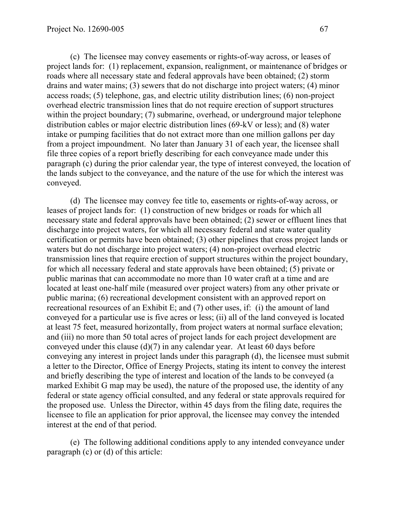(c) The licensee may convey easements or rights-of-way across, or leases of project lands for: (1) replacement, expansion, realignment, or maintenance of bridges or roads where all necessary state and federal approvals have been obtained; (2) storm drains and water mains; (3) sewers that do not discharge into project waters; (4) minor access roads; (5) telephone, gas, and electric utility distribution lines; (6) non-project overhead electric transmission lines that do not require erection of support structures within the project boundary; (7) submarine, overhead, or underground major telephone distribution cables or major electric distribution lines (69-kV or less); and (8) water intake or pumping facilities that do not extract more than one million gallons per day from a project impoundment. No later than January 31 of each year, the licensee shall file three copies of a report briefly describing for each conveyance made under this paragraph (c) during the prior calendar year, the type of interest conveyed, the location of the lands subject to the conveyance, and the nature of the use for which the interest was conveyed.

(d) The licensee may convey fee title to, easements or rights-of-way across, or leases of project lands for: (1) construction of new bridges or roads for which all necessary state and federal approvals have been obtained; (2) sewer or effluent lines that discharge into project waters, for which all necessary federal and state water quality certification or permits have been obtained; (3) other pipelines that cross project lands or waters but do not discharge into project waters; (4) non-project overhead electric transmission lines that require erection of support structures within the project boundary, for which all necessary federal and state approvals have been obtained; (5) private or public marinas that can accommodate no more than 10 water craft at a time and are located at least one-half mile (measured over project waters) from any other private or public marina; (6) recreational development consistent with an approved report on recreational resources of an Exhibit E; and (7) other uses, if: (i) the amount of land conveyed for a particular use is five acres or less; (ii) all of the land conveyed is located at least 75 feet, measured horizontally, from project waters at normal surface elevation; and (iii) no more than 50 total acres of project lands for each project development are conveyed under this clause (d)(7) in any calendar year. At least 60 days before conveying any interest in project lands under this paragraph (d), the licensee must submit a letter to the Director, Office of Energy Projects, stating its intent to convey the interest and briefly describing the type of interest and location of the lands to be conveyed (a marked Exhibit G map may be used), the nature of the proposed use, the identity of any federal or state agency official consulted, and any federal or state approvals required for the proposed use. Unless the Director, within 45 days from the filing date, requires the licensee to file an application for prior approval, the licensee may convey the intended interest at the end of that period.

(e) The following additional conditions apply to any intended conveyance under paragraph (c) or (d) of this article: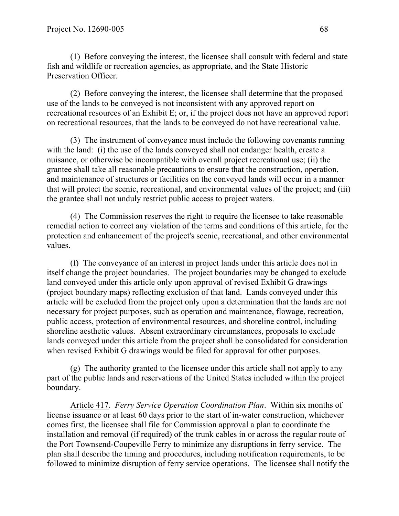(1) Before conveying the interest, the licensee shall consult with federal and state fish and wildlife or recreation agencies, as appropriate, and the State Historic Preservation Officer.

(2) Before conveying the interest, the licensee shall determine that the proposed use of the lands to be conveyed is not inconsistent with any approved report on recreational resources of an Exhibit E; or, if the project does not have an approved report on recreational resources, that the lands to be conveyed do not have recreational value.

(3) The instrument of conveyance must include the following covenants running with the land: (i) the use of the lands conveyed shall not endanger health, create a nuisance, or otherwise be incompatible with overall project recreational use; (ii) the grantee shall take all reasonable precautions to ensure that the construction, operation, and maintenance of structures or facilities on the conveyed lands will occur in a manner that will protect the scenic, recreational, and environmental values of the project; and (iii) the grantee shall not unduly restrict public access to project waters.

(4) The Commission reserves the right to require the licensee to take reasonable remedial action to correct any violation of the terms and conditions of this article, for the protection and enhancement of the project's scenic, recreational, and other environmental values.

(f) The conveyance of an interest in project lands under this article does not in itself change the project boundaries. The project boundaries may be changed to exclude land conveyed under this article only upon approval of revised Exhibit G drawings (project boundary maps) reflecting exclusion of that land. Lands conveyed under this article will be excluded from the project only upon a determination that the lands are not necessary for project purposes, such as operation and maintenance, flowage, recreation, public access, protection of environmental resources, and shoreline control, including shoreline aesthetic values. Absent extraordinary circumstances, proposals to exclude lands conveyed under this article from the project shall be consolidated for consideration when revised Exhibit G drawings would be filed for approval for other purposes.

(g) The authority granted to the licensee under this article shall not apply to any part of the public lands and reservations of the United States included within the project boundary.

Article 417. *Ferry Service Operation Coordination Plan*. Within six months of license issuance or at least 60 days prior to the start of in-water construction, whichever comes first, the licensee shall file for Commission approval a plan to coordinate the installation and removal (if required) of the trunk cables in or across the regular route of the Port Townsend-Coupeville Ferry to minimize any disruptions in ferry service. The plan shall describe the timing and procedures, including notification requirements, to be followed to minimize disruption of ferry service operations. The licensee shall notify the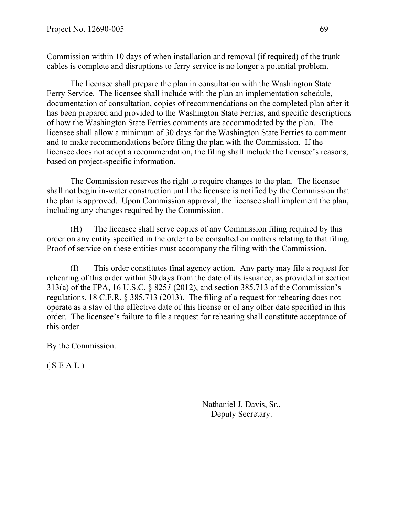Commission within 10 days of when installation and removal (if required) of the trunk cables is complete and disruptions to ferry service is no longer a potential problem.

The licensee shall prepare the plan in consultation with the Washington State Ferry Service. The licensee shall include with the plan an implementation schedule, documentation of consultation, copies of recommendations on the completed plan after it has been prepared and provided to the Washington State Ferries, and specific descriptions of how the Washington State Ferries comments are accommodated by the plan. The licensee shall allow a minimum of 30 days for the Washington State Ferries to comment and to make recommendations before filing the plan with the Commission. If the licensee does not adopt a recommendation, the filing shall include the licensee's reasons, based on project-specific information.

The Commission reserves the right to require changes to the plan. The licensee shall not begin in-water construction until the licensee is notified by the Commission that the plan is approved. Upon Commission approval, the licensee shall implement the plan, including any changes required by the Commission.

(H) The licensee shall serve copies of any Commission filing required by this order on any entity specified in the order to be consulted on matters relating to that filing. Proof of service on these entities must accompany the filing with the Commission.

(I) This order constitutes final agency action. Any party may file a request for rehearing of this order within 30 days from the date of its issuance, as provided in section 313(a) of the FPA, 16 U.S.C. § 825*1* (2012), and section 385.713 of the Commission's regulations, 18 C.F.R. § 385.713 (2013). The filing of a request for rehearing does not operate as a stay of the effective date of this license or of any other date specified in this order. The licensee's failure to file a request for rehearing shall constitute acceptance of this order.

By the Commission.

 $(S E A L)$ 

Nathaniel J. Davis, Sr., Deputy Secretary.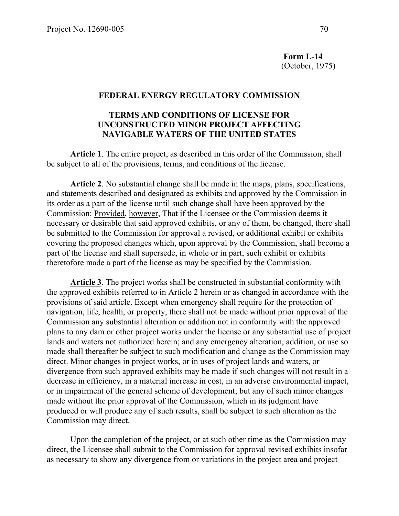**Form L-14**  (October, 1975)

#### **FEDERAL ENERGY REGULATORY COMMISSION**

#### **TERMS AND CONDITIONS OF LICENSE FOR UNCONSTRUCTED MINOR PROJECT AFFECTING NAVIGABLE WATERS OF THE UNITED STATES**

**Article 1**. The entire project, as described in this order of the Commission, shall be subject to all of the provisions, terms, and conditions of the license.

**Article 2**. No substantial change shall be made in the maps, plans, specifications, and statements described and designated as exhibits and approved by the Commission in its order as a part of the license until such change shall have been approved by the Commission: Provided, however, That if the Licensee or the Commission deems it necessary or desirable that said approved exhibits, or any of them, be changed, there shall be submitted to the Commission for approval a revised, or additional exhibit or exhibits covering the proposed changes which, upon approval by the Commission, shall become a part of the license and shall supersede, in whole or in part, such exhibit or exhibits theretofore made a part of the license as may be specified by the Commission.

**Article 3**. The project works shall be constructed in substantial conformity with the approved exhibits referred to in Article 2 herein or as changed in accordance with the provisions of said article. Except when emergency shall require for the protection of navigation, life, health, or property, there shall not be made without prior approval of the Commission any substantial alteration or addition not in conformity with the approved plans to any dam or other project works under the license or any substantial use of project lands and waters not authorized herein; and any emergency alteration, addition, or use so made shall thereafter be subject to such modification and change as the Commission may direct. Minor changes in project works, or in uses of project lands and waters, or divergence from such approved exhibits may be made if such changes will not result in a decrease in efficiency, in a material increase in cost, in an adverse environmental impact, or in impairment of the general scheme of development; but any of such minor changes made without the prior approval of the Commission, which in its judgment have produced or will produce any of such results, shall be subject to such alteration as the Commission may direct.

Upon the completion of the project, or at such other time as the Commission may direct, the Licensee shall submit to the Commission for approval revised exhibits insofar as necessary to show any divergence from or variations in the project area and project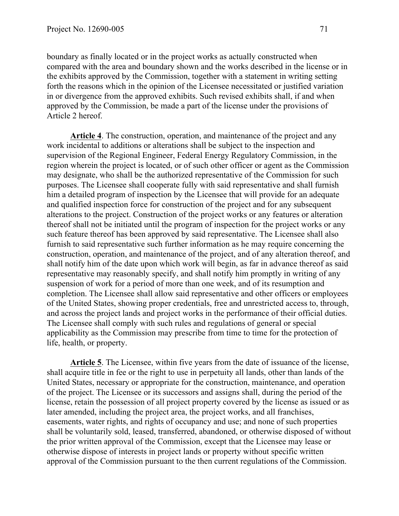boundary as finally located or in the project works as actually constructed when compared with the area and boundary shown and the works described in the license or in the exhibits approved by the Commission, together with a statement in writing setting forth the reasons which in the opinion of the Licensee necessitated or justified variation in or divergence from the approved exhibits. Such revised exhibits shall, if and when approved by the Commission, be made a part of the license under the provisions of Article 2 hereof.

**Article 4**. The construction, operation, and maintenance of the project and any work incidental to additions or alterations shall be subject to the inspection and supervision of the Regional Engineer, Federal Energy Regulatory Commission, in the region wherein the project is located, or of such other officer or agent as the Commission may designate, who shall be the authorized representative of the Commission for such purposes. The Licensee shall cooperate fully with said representative and shall furnish him a detailed program of inspection by the Licensee that will provide for an adequate and qualified inspection force for construction of the project and for any subsequent alterations to the project. Construction of the project works or any features or alteration thereof shall not be initiated until the program of inspection for the project works or any such feature thereof has been approved by said representative. The Licensee shall also furnish to said representative such further information as he may require concerning the construction, operation, and maintenance of the project, and of any alteration thereof, and shall notify him of the date upon which work will begin, as far in advance thereof as said representative may reasonably specify, and shall notify him promptly in writing of any suspension of work for a period of more than one week, and of its resumption and completion. The Licensee shall allow said representative and other officers or employees of the United States, showing proper credentials, free and unrestricted access to, through, and across the project lands and project works in the performance of their official duties. The Licensee shall comply with such rules and regulations of general or special applicability as the Commission may prescribe from time to time for the protection of life, health, or property.

**Article 5**. The Licensee, within five years from the date of issuance of the license, shall acquire title in fee or the right to use in perpetuity all lands, other than lands of the United States, necessary or appropriate for the construction, maintenance, and operation of the project. The Licensee or its successors and assigns shall, during the period of the license, retain the possession of all project property covered by the license as issued or as later amended, including the project area, the project works, and all franchises, easements, water rights, and rights of occupancy and use; and none of such properties shall be voluntarily sold, leased, transferred, abandoned, or otherwise disposed of without the prior written approval of the Commission, except that the Licensee may lease or otherwise dispose of interests in project lands or property without specific written approval of the Commission pursuant to the then current regulations of the Commission.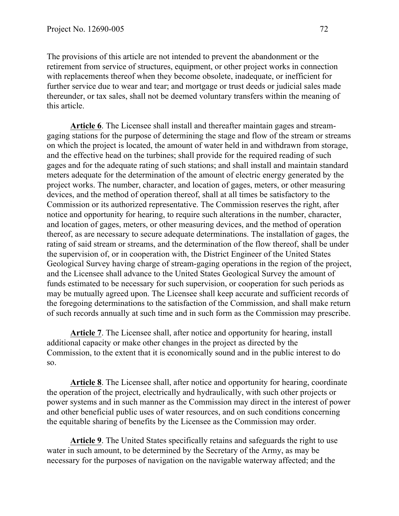The provisions of this article are not intended to prevent the abandonment or the retirement from service of structures, equipment, or other project works in connection with replacements thereof when they become obsolete, inadequate, or inefficient for further service due to wear and tear; and mortgage or trust deeds or judicial sales made thereunder, or tax sales, shall not be deemed voluntary transfers within the meaning of this article.

**Article 6**. The Licensee shall install and thereafter maintain gages and streamgaging stations for the purpose of determining the stage and flow of the stream or streams on which the project is located, the amount of water held in and withdrawn from storage, and the effective head on the turbines; shall provide for the required reading of such gages and for the adequate rating of such stations; and shall install and maintain standard meters adequate for the determination of the amount of electric energy generated by the project works. The number, character, and location of gages, meters, or other measuring devices, and the method of operation thereof, shall at all times be satisfactory to the Commission or its authorized representative. The Commission reserves the right, after notice and opportunity for hearing, to require such alterations in the number, character, and location of gages, meters, or other measuring devices, and the method of operation thereof, as are necessary to secure adequate determinations. The installation of gages, the rating of said stream or streams, and the determination of the flow thereof, shall be under the supervision of, or in cooperation with, the District Engineer of the United States Geological Survey having charge of stream-gaging operations in the region of the project, and the Licensee shall advance to the United States Geological Survey the amount of funds estimated to be necessary for such supervision, or cooperation for such periods as may be mutually agreed upon. The Licensee shall keep accurate and sufficient records of the foregoing determinations to the satisfaction of the Commission, and shall make return of such records annually at such time and in such form as the Commission may prescribe.

**Article 7**. The Licensee shall, after notice and opportunity for hearing, install additional capacity or make other changes in the project as directed by the Commission, to the extent that it is economically sound and in the public interest to do so.

**Article 8**. The Licensee shall, after notice and opportunity for hearing, coordinate the operation of the project, electrically and hydraulically, with such other projects or power systems and in such manner as the Commission may direct in the interest of power and other beneficial public uses of water resources, and on such conditions concerning the equitable sharing of benefits by the Licensee as the Commission may order.

**Article 9**. The United States specifically retains and safeguards the right to use water in such amount, to be determined by the Secretary of the Army, as may be necessary for the purposes of navigation on the navigable waterway affected; and the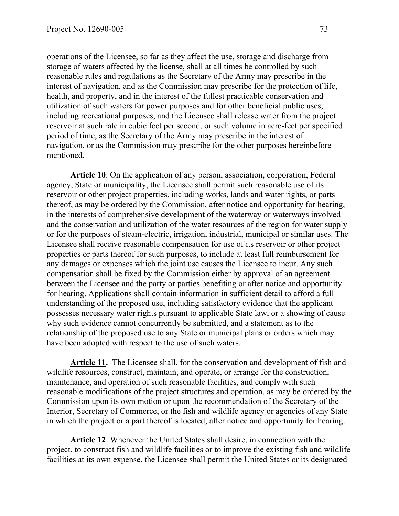operations of the Licensee, so far as they affect the use, storage and discharge from storage of waters affected by the license, shall at all times be controlled by such reasonable rules and regulations as the Secretary of the Army may prescribe in the interest of navigation, and as the Commission may prescribe for the protection of life, health, and property, and in the interest of the fullest practicable conservation and utilization of such waters for power purposes and for other beneficial public uses, including recreational purposes, and the Licensee shall release water from the project reservoir at such rate in cubic feet per second, or such volume in acre-feet per specified period of time, as the Secretary of the Army may prescribe in the interest of navigation, or as the Commission may prescribe for the other purposes hereinbefore mentioned.

**Article 10**. On the application of any person, association, corporation, Federal agency, State or municipality, the Licensee shall permit such reasonable use of its reservoir or other project properties, including works, lands and water rights, or parts thereof, as may be ordered by the Commission, after notice and opportunity for hearing, in the interests of comprehensive development of the waterway or waterways involved and the conservation and utilization of the water resources of the region for water supply or for the purposes of steam-electric, irrigation, industrial, municipal or similar uses. The Licensee shall receive reasonable compensation for use of its reservoir or other project properties or parts thereof for such purposes, to include at least full reimbursement for any damages or expenses which the joint use causes the Licensee to incur. Any such compensation shall be fixed by the Commission either by approval of an agreement between the Licensee and the party or parties benefiting or after notice and opportunity for hearing. Applications shall contain information in sufficient detail to afford a full understanding of the proposed use, including satisfactory evidence that the applicant possesses necessary water rights pursuant to applicable State law, or a showing of cause why such evidence cannot concurrently be submitted, and a statement as to the relationship of the proposed use to any State or municipal plans or orders which may have been adopted with respect to the use of such waters.

**Article 11.** The Licensee shall, for the conservation and development of fish and wildlife resources, construct, maintain, and operate, or arrange for the construction, maintenance, and operation of such reasonable facilities, and comply with such reasonable modifications of the project structures and operation, as may be ordered by the Commission upon its own motion or upon the recommendation of the Secretary of the Interior, Secretary of Commerce, or the fish and wildlife agency or agencies of any State in which the project or a part thereof is located, after notice and opportunity for hearing.

**Article 12**. Whenever the United States shall desire, in connection with the project, to construct fish and wildlife facilities or to improve the existing fish and wildlife facilities at its own expense, the Licensee shall permit the United States or its designated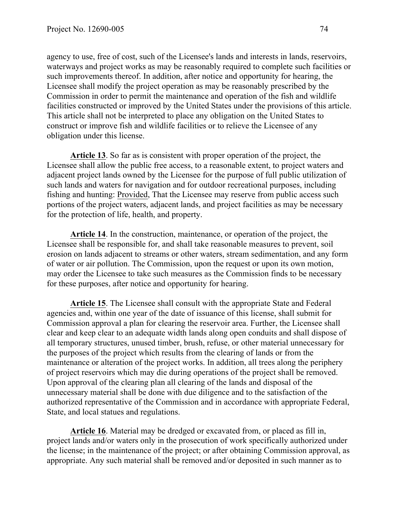agency to use, free of cost, such of the Licensee's lands and interests in lands, reservoirs, waterways and project works as may be reasonably required to complete such facilities or such improvements thereof. In addition, after notice and opportunity for hearing, the Licensee shall modify the project operation as may be reasonably prescribed by the Commission in order to permit the maintenance and operation of the fish and wildlife facilities constructed or improved by the United States under the provisions of this article. This article shall not be interpreted to place any obligation on the United States to construct or improve fish and wildlife facilities or to relieve the Licensee of any obligation under this license.

**Article 13**. So far as is consistent with proper operation of the project, the Licensee shall allow the public free access, to a reasonable extent, to project waters and adjacent project lands owned by the Licensee for the purpose of full public utilization of such lands and waters for navigation and for outdoor recreational purposes, including fishing and hunting: Provided, That the Licensee may reserve from public access such portions of the project waters, adjacent lands, and project facilities as may be necessary for the protection of life, health, and property.

**Article 14**. In the construction, maintenance, or operation of the project, the Licensee shall be responsible for, and shall take reasonable measures to prevent, soil erosion on lands adjacent to streams or other waters, stream sedimentation, and any form of water or air pollution. The Commission, upon the request or upon its own motion, may order the Licensee to take such measures as the Commission finds to be necessary for these purposes, after notice and opportunity for hearing.

**Article 15**. The Licensee shall consult with the appropriate State and Federal agencies and, within one year of the date of issuance of this license, shall submit for Commission approval a plan for clearing the reservoir area. Further, the Licensee shall clear and keep clear to an adequate width lands along open conduits and shall dispose of all temporary structures, unused timber, brush, refuse, or other material unnecessary for the purposes of the project which results from the clearing of lands or from the maintenance or alteration of the project works. In addition, all trees along the periphery of project reservoirs which may die during operations of the project shall be removed. Upon approval of the clearing plan all clearing of the lands and disposal of the unnecessary material shall be done with due diligence and to the satisfaction of the authorized representative of the Commission and in accordance with appropriate Federal, State, and local statues and regulations.

**Article 16**. Material may be dredged or excavated from, or placed as fill in, project lands and/or waters only in the prosecution of work specifically authorized under the license; in the maintenance of the project; or after obtaining Commission approval, as appropriate. Any such material shall be removed and/or deposited in such manner as to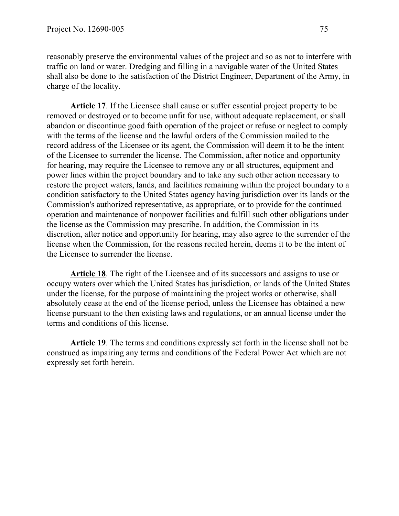reasonably preserve the environmental values of the project and so as not to interfere with traffic on land or water. Dredging and filling in a navigable water of the United States shall also be done to the satisfaction of the District Engineer, Department of the Army, in charge of the locality.

**Article 17**. If the Licensee shall cause or suffer essential project property to be removed or destroyed or to become unfit for use, without adequate replacement, or shall abandon or discontinue good faith operation of the project or refuse or neglect to comply with the terms of the license and the lawful orders of the Commission mailed to the record address of the Licensee or its agent, the Commission will deem it to be the intent of the Licensee to surrender the license. The Commission, after notice and opportunity for hearing, may require the Licensee to remove any or all structures, equipment and power lines within the project boundary and to take any such other action necessary to restore the project waters, lands, and facilities remaining within the project boundary to a condition satisfactory to the United States agency having jurisdiction over its lands or the Commission's authorized representative, as appropriate, or to provide for the continued operation and maintenance of nonpower facilities and fulfill such other obligations under the license as the Commission may prescribe. In addition, the Commission in its discretion, after notice and opportunity for hearing, may also agree to the surrender of the license when the Commission, for the reasons recited herein, deems it to be the intent of the Licensee to surrender the license.

**Article 18**. The right of the Licensee and of its successors and assigns to use or occupy waters over which the United States has jurisdiction, or lands of the United States under the license, for the purpose of maintaining the project works or otherwise, shall absolutely cease at the end of the license period, unless the Licensee has obtained a new license pursuant to the then existing laws and regulations, or an annual license under the terms and conditions of this license.

**Article 19**. The terms and conditions expressly set forth in the license shall not be construed as impairing any terms and conditions of the Federal Power Act which are not expressly set forth herein.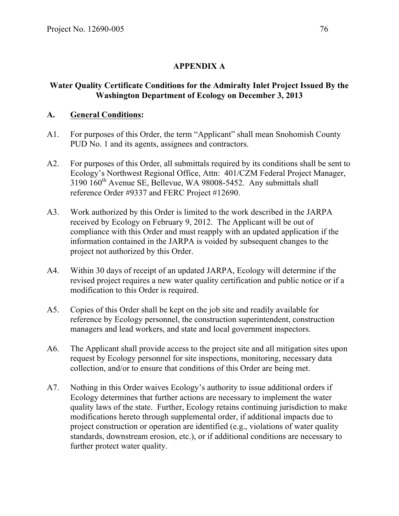# **APPENDIX A**

## **Water Quality Certificate Conditions for the Admiralty Inlet Project Issued By the Washington Department of Ecology on December 3, 2013**

## **A. General Conditions:**

- A1. For purposes of this Order, the term "Applicant" shall mean Snohomish County PUD No. 1 and its agents, assignees and contractors.
- A2. For purposes of this Order, all submittals required by its conditions shall be sent to Ecology's Northwest Regional Office, Attn: 401/CZM Federal Project Manager, 3190 160th Avenue SE, Bellevue, WA 98008-5452. Any submittals shall reference Order #9337 and FERC Project #12690.
- A3. Work authorized by this Order is limited to the work described in the JARPA received by Ecology on February 9, 2012. The Applicant will be out of compliance with this Order and must reapply with an updated application if the information contained in the JARPA is voided by subsequent changes to the project not authorized by this Order.
- A4. Within 30 days of receipt of an updated JARPA, Ecology will determine if the revised project requires a new water quality certification and public notice or if a modification to this Order is required.
- A5. Copies of this Order shall be kept on the job site and readily available for reference by Ecology personnel, the construction superintendent, construction managers and lead workers, and state and local government inspectors.
- A6. The Applicant shall provide access to the project site and all mitigation sites upon request by Ecology personnel for site inspections, monitoring, necessary data collection, and/or to ensure that conditions of this Order are being met.
- A7. Nothing in this Order waives Ecology's authority to issue additional orders if Ecology determines that further actions are necessary to implement the water quality laws of the state. Further, Ecology retains continuing jurisdiction to make modifications hereto through supplemental order, if additional impacts due to project construction or operation are identified (e.g., violations of water quality standards, downstream erosion, etc.), or if additional conditions are necessary to further protect water quality.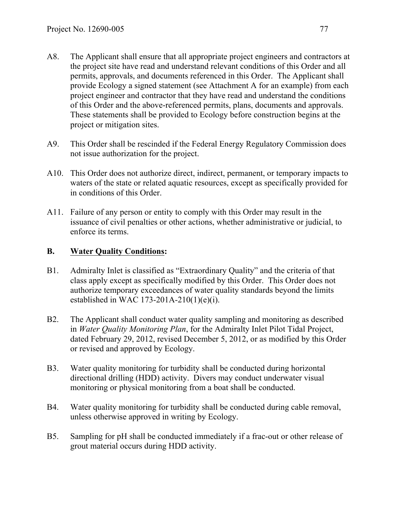- A8. The Applicant shall ensure that all appropriate project engineers and contractors at the project site have read and understand relevant conditions of this Order and all permits, approvals, and documents referenced in this Order. The Applicant shall provide Ecology a signed statement (see Attachment A for an example) from each project engineer and contractor that they have read and understand the conditions of this Order and the above-referenced permits, plans, documents and approvals. These statements shall be provided to Ecology before construction begins at the project or mitigation sites.
- A9. This Order shall be rescinded if the Federal Energy Regulatory Commission does not issue authorization for the project.
- A10. This Order does not authorize direct, indirect, permanent, or temporary impacts to waters of the state or related aquatic resources, except as specifically provided for in conditions of this Order.
- A11. Failure of any person or entity to comply with this Order may result in the issuance of civil penalties or other actions, whether administrative or judicial, to enforce its terms.

### **B. Water Quality Conditions:**

- B1. Admiralty Inlet is classified as "Extraordinary Quality" and the criteria of that class apply except as specifically modified by this Order. This Order does not authorize temporary exceedances of water quality standards beyond the limits established in WAC 173-201A-210(1)(e)(i).
- B2. The Applicant shall conduct water quality sampling and monitoring as described in *Water Quality Monitoring Plan*, for the Admiralty Inlet Pilot Tidal Project, dated February 29, 2012, revised December 5, 2012, or as modified by this Order or revised and approved by Ecology.
- B3. Water quality monitoring for turbidity shall be conducted during horizontal directional drilling (HDD) activity. Divers may conduct underwater visual monitoring or physical monitoring from a boat shall be conducted.
- B4. Water quality monitoring for turbidity shall be conducted during cable removal, unless otherwise approved in writing by Ecology.
- B5. Sampling for pH shall be conducted immediately if a frac-out or other release of grout material occurs during HDD activity.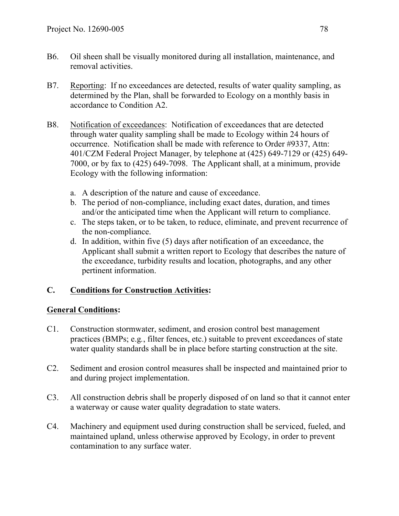- B6. Oil sheen shall be visually monitored during all installation, maintenance, and removal activities.
- B7. Reporting: If no exceedances are detected, results of water quality sampling, as determined by the Plan, shall be forwarded to Ecology on a monthly basis in accordance to Condition A2.
- B8. Notification of exceedances: Notification of exceedances that are detected through water quality sampling shall be made to Ecology within 24 hours of occurrence. Notification shall be made with reference to Order #9337, Attn: 401/CZM Federal Project Manager, by telephone at (425) 649-7129 or (425) 649- 7000, or by fax to (425) 649-7098. The Applicant shall, at a minimum, provide Ecology with the following information:
	- a. A description of the nature and cause of exceedance.
	- b. The period of non-compliance, including exact dates, duration, and times and/or the anticipated time when the Applicant will return to compliance.
	- c. The steps taken, or to be taken, to reduce, eliminate, and prevent recurrence of the non-compliance.
	- d. In addition, within five (5) days after notification of an exceedance, the Applicant shall submit a written report to Ecology that describes the nature of the exceedance, turbidity results and location, photographs, and any other pertinent information.

# **C. Conditions for Construction Activities:**

## **General Conditions:**

- C1. Construction stormwater, sediment, and erosion control best management practices (BMPs; e.g*.*, filter fences, etc.) suitable to prevent exceedances of state water quality standards shall be in place before starting construction at the site.
- C2. Sediment and erosion control measures shall be inspected and maintained prior to and during project implementation.
- C3. All construction debris shall be properly disposed of on land so that it cannot enter a waterway or cause water quality degradation to state waters.
- C4. Machinery and equipment used during construction shall be serviced, fueled, and maintained upland, unless otherwise approved by Ecology, in order to prevent contamination to any surface water.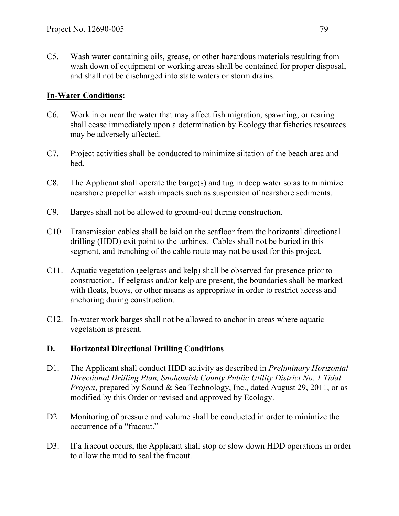C5. Wash water containing oils, grease, or other hazardous materials resulting from wash down of equipment or working areas shall be contained for proper disposal, and shall not be discharged into state waters or storm drains.

## **In-Water Conditions:**

- C6. Work in or near the water that may affect fish migration, spawning, or rearing shall cease immediately upon a determination by Ecology that fisheries resources may be adversely affected.
- C7. Project activities shall be conducted to minimize siltation of the beach area and bed.
- C8. The Applicant shall operate the barge(s) and tug in deep water so as to minimize nearshore propeller wash impacts such as suspension of nearshore sediments.
- C9. Barges shall not be allowed to ground-out during construction.
- C10. Transmission cables shall be laid on the seafloor from the horizontal directional drilling (HDD) exit point to the turbines. Cables shall not be buried in this segment, and trenching of the cable route may not be used for this project.
- C11. Aquatic vegetation (eelgrass and kelp) shall be observed for presence prior to construction. If eelgrass and/or kelp are present, the boundaries shall be marked with floats, buoys, or other means as appropriate in order to restrict access and anchoring during construction.
- C12. In-water work barges shall not be allowed to anchor in areas where aquatic vegetation is present.

## **D. Horizontal Directional Drilling Conditions**

- D1. The Applicant shall conduct HDD activity as described in *Preliminary Horizontal Directional Drilling Plan, Snohomish County Public Utility District No. 1 Tidal Project*, prepared by Sound & Sea Technology, Inc., dated August 29, 2011, or as modified by this Order or revised and approved by Ecology.
- D2. Monitoring of pressure and volume shall be conducted in order to minimize the occurrence of a "fracout."
- D3. If a fracout occurs, the Applicant shall stop or slow down HDD operations in order to allow the mud to seal the fracout.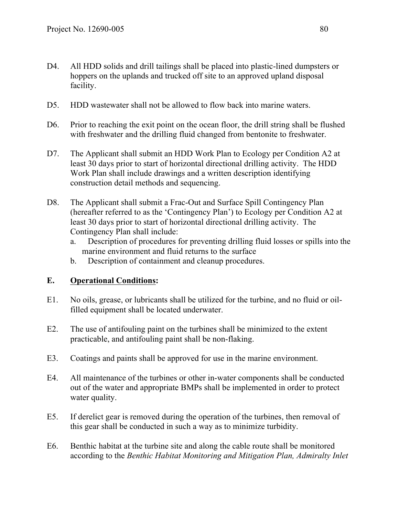- D4. All HDD solids and drill tailings shall be placed into plastic-lined dumpsters or hoppers on the uplands and trucked off site to an approved upland disposal facility.
- D5. HDD wastewater shall not be allowed to flow back into marine waters.
- D6. Prior to reaching the exit point on the ocean floor, the drill string shall be flushed with freshwater and the drilling fluid changed from bentonite to freshwater.
- D7. The Applicant shall submit an HDD Work Plan to Ecology per Condition A2 at least 30 days prior to start of horizontal directional drilling activity. The HDD Work Plan shall include drawings and a written description identifying construction detail methods and sequencing.
- D8. The Applicant shall submit a Frac-Out and Surface Spill Contingency Plan (hereafter referred to as the 'Contingency Plan') to Ecology per Condition A2 at least 30 days prior to start of horizontal directional drilling activity. The Contingency Plan shall include:
	- a. Description of procedures for preventing drilling fluid losses or spills into the marine environment and fluid returns to the surface
	- b. Description of containment and cleanup procedures.

#### **E. Operational Conditions:**

- E1. No oils, grease, or lubricants shall be utilized for the turbine, and no fluid or oilfilled equipment shall be located underwater.
- E2. The use of antifouling paint on the turbines shall be minimized to the extent practicable, and antifouling paint shall be non-flaking.
- E3. Coatings and paints shall be approved for use in the marine environment.
- E4. All maintenance of the turbines or other in-water components shall be conducted out of the water and appropriate BMPs shall be implemented in order to protect water quality.
- E5. If derelict gear is removed during the operation of the turbines, then removal of this gear shall be conducted in such a way as to minimize turbidity.
- E6. Benthic habitat at the turbine site and along the cable route shall be monitored according to the *Benthic Habitat Monitoring and Mitigation Plan, Admiralty Inlet*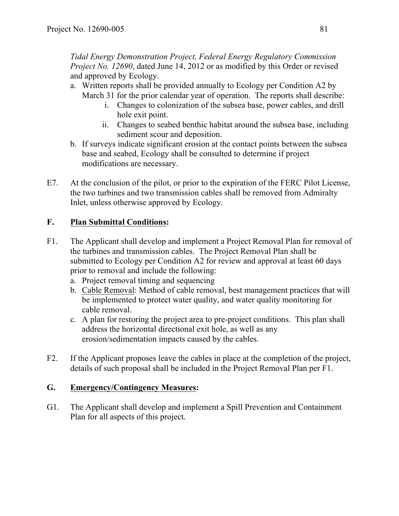*Tidal Energy Demonstration Project, Federal Energy Regulatory Commission Project No. 12690*, dated June 14, 2012 or as modified by this Order or revised and approved by Ecology.

- a. Written reports shall be provided annually to Ecology per Condition A2 by March 31 for the prior calendar year of operation. The reports shall describe:
	- i. Changes to colonization of the subsea base, power cables, and drill hole exit point.
	- ii. Changes to seabed benthic habitat around the subsea base, including sediment scour and deposition.
- b. If surveys indicate significant erosion at the contact points between the subsea base and seabed, Ecology shall be consulted to determine if project modifications are necessary.
- E7. At the conclusion of the pilot, or prior to the expiration of the FERC Pilot License, the two turbines and two transmission cables shall be removed from Admiralty Inlet, unless otherwise approved by Ecology.

## **F. Plan Submittal Conditions:**

- F1. The Applicant shall develop and implement a Project Removal Plan for removal of the turbines and transmission cables. The Project Removal Plan shall be submitted to Ecology per Condition A2 for review and approval at least 60 days prior to removal and include the following:
	- a. Project removal timing and sequencing
	- b. Cable Removal: Method of cable removal, best management practices that will be implemented to protect water quality, and water quality monitoring for cable removal.
	- c. A plan for restoring the project area to pre-project conditions. This plan shall address the horizontal directional exit hole, as well as any erosion/sedimentation impacts caused by the cables.
- F2. If the Applicant proposes leave the cables in place at the completion of the project, details of such proposal shall be included in the Project Removal Plan per F1.

## **G. Emergency/Contingency Measures:**

G1. The Applicant shall develop and implement a Spill Prevention and Containment Plan for all aspects of this project.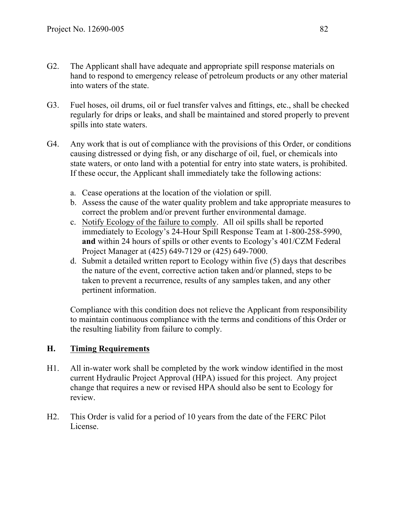- G2. The Applicant shall have adequate and appropriate spill response materials on hand to respond to emergency release of petroleum products or any other material into waters of the state.
- G3. Fuel hoses, oil drums, oil or fuel transfer valves and fittings, etc., shall be checked regularly for drips or leaks, and shall be maintained and stored properly to prevent spills into state waters.
- G4. Any work that is out of compliance with the provisions of this Order, or conditions causing distressed or dying fish, or any discharge of oil, fuel, or chemicals into state waters, or onto land with a potential for entry into state waters, is prohibited. If these occur, the Applicant shall immediately take the following actions:
	- a. Cease operations at the location of the violation or spill.
	- b. Assess the cause of the water quality problem and take appropriate measures to correct the problem and/or prevent further environmental damage.
	- c. Notify Ecology of the failure to comply. All oil spills shall be reported immediately to Ecology's 24-Hour Spill Response Team at 1-800-258-5990, **and** within 24 hours of spills or other events to Ecology's 401/CZM Federal Project Manager at (425) 649-7129 or (425) 649-7000.
	- d. Submit a detailed written report to Ecology within five (5) days that describes the nature of the event, corrective action taken and/or planned, steps to be taken to prevent a recurrence, results of any samples taken, and any other pertinent information.

Compliance with this condition does not relieve the Applicant from responsibility to maintain continuous compliance with the terms and conditions of this Order or the resulting liability from failure to comply.

## **H. Timing Requirements**

- H1. All in-water work shall be completed by the work window identified in the most current Hydraulic Project Approval (HPA) issued for this project. Any project change that requires a new or revised HPA should also be sent to Ecology for review.
- H2. This Order is valid for a period of 10 years from the date of the FERC Pilot License.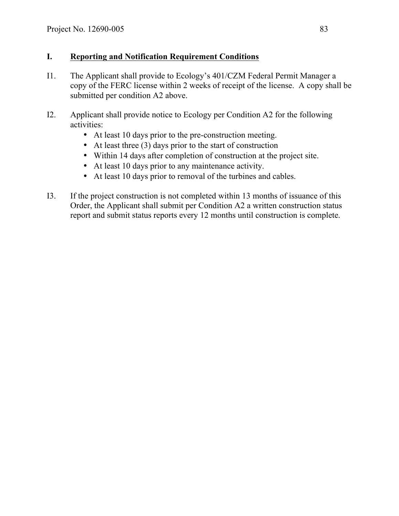## **I. Reporting and Notification Requirement Conditions**

- I1. The Applicant shall provide to Ecology's 401/CZM Federal Permit Manager a copy of the FERC license within 2 weeks of receipt of the license. A copy shall be submitted per condition A2 above.
- I2. Applicant shall provide notice to Ecology per Condition A2 for the following activities:
	- At least 10 days prior to the pre-construction meeting.
	- At least three (3) days prior to the start of construction
	- Within 14 days after completion of construction at the project site.
	- At least 10 days prior to any maintenance activity.
	- At least 10 days prior to removal of the turbines and cables.
- I3. If the project construction is not completed within 13 months of issuance of this Order, the Applicant shall submit per Condition A2 a written construction status report and submit status reports every 12 months until construction is complete.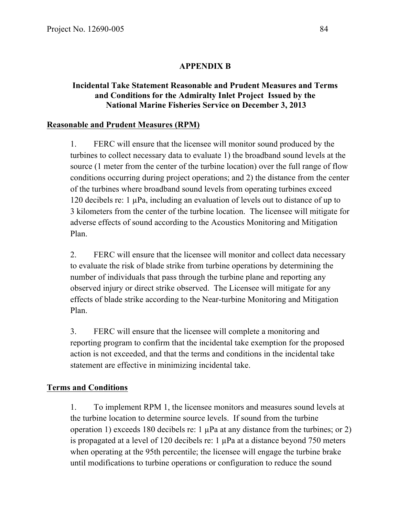## **APPENDIX B**

### **Incidental Take Statement Reasonable and Prudent Measures and Terms and Conditions for the Admiralty Inlet Project Issued by the National Marine Fisheries Service on December 3, 2013**

### **Reasonable and Prudent Measures (RPM)**

1. FERC will ensure that the licensee will monitor sound produced by the turbines to collect necessary data to evaluate 1) the broadband sound levels at the source (1 meter from the center of the turbine location) over the full range of flow conditions occurring during project operations; and 2) the distance from the center of the turbines where broadband sound levels from operating turbines exceed 120 decibels re: 1 µPa, including an evaluation of levels out to distance of up to 3 kilometers from the center of the turbine location. The licensee will mitigate for adverse effects of sound according to the Acoustics Monitoring and Mitigation Plan.

2. FERC will ensure that the licensee will monitor and collect data necessary to evaluate the risk of blade strike from turbine operations by determining the number of individuals that pass through the turbine plane and reporting any observed injury or direct strike observed. The Licensee will mitigate for any effects of blade strike according to the Near-turbine Monitoring and Mitigation Plan.

3. FERC will ensure that the licensee will complete a monitoring and reporting program to confirm that the incidental take exemption for the proposed action is not exceeded, and that the terms and conditions in the incidental take statement are effective in minimizing incidental take.

#### **Terms and Conditions**

1. To implement RPM 1, the licensee monitors and measures sound levels at the turbine location to determine source levels. If sound from the turbine operation 1) exceeds 180 decibels re: 1  $\mu$ Pa at any distance from the turbines; or 2) is propagated at a level of 120 decibels re: 1  $\mu$ Pa at a distance beyond 750 meters when operating at the 95th percentile; the licensee will engage the turbine brake until modifications to turbine operations or configuration to reduce the sound